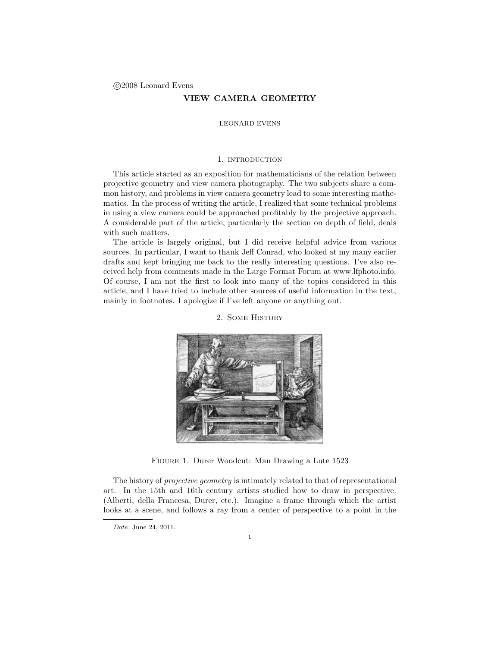# VIEW CAMERA GEOMETRY

## LEONARD EVENS

### 1. INTRODUCTION

This article started as an exposition for mathematicians of the relation between projective geometry and view camera photography. The two subjects share a common history, and problems in view camera geometry lead to some interesting mathematics. In the process of writing the article, I realized that some technical problems in using a view camera could be approached profitably by the projective approach. A considerable part of the article, particularly the section on depth of field, deals with such matters.

The article is largely original, but I did receive helpful advice from various sources. In particular, I want to thank Jeff Conrad, who looked at my many earlier drafts and kept bringing me back to the really interesting questions. I've also received help from comments made in the Large Format Forum at www.lfphoto.info. Of course, I am not the first to look into many of the topics considered in this article, and I have tried to include other sources of useful information in the text, mainly in footnotes. I apologize if I've left anyone or anything out.



2. Some History

Figure 1. Durer Woodcut: Man Drawing a Lute 1523

The history of *projective geometry* is intimately related to that of representational art. In the 15th and 16th century artists studied how to draw in perspective. (Alberti, della Francesa, Durer, etc.). Imagine a frame through which the artist looks at a scene, and follows a ray from a center of perspective to a point in the

Date: June 24, 2011.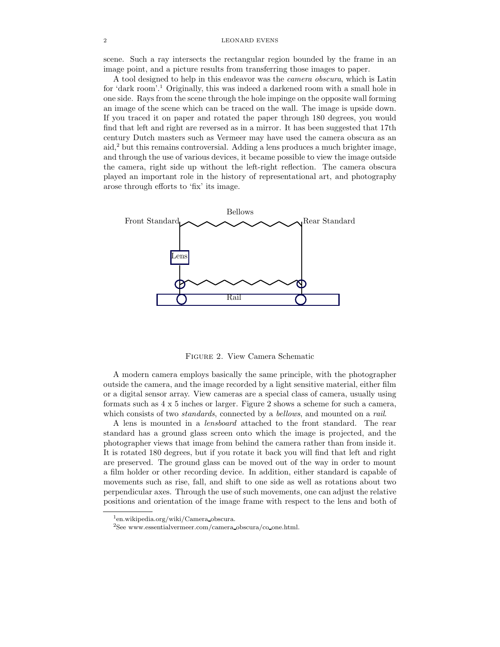#### 2 LEONARD EVENS

scene. Such a ray intersects the rectangular region bounded by the frame in an image point, and a picture results from transferring those images to paper.

A tool designed to help in this endeavor was the camera obscura, which is Latin for 'dark room'.<sup>1</sup> Originally, this was indeed a darkened room with a small hole in one side. Rays from the scene through the hole impinge on the opposite wall forming an image of the scene which can be traced on the wall. The image is upside down. If you traced it on paper and rotated the paper through 180 degrees, you would find that left and right are reversed as in a mirror. It has been suggested that 17th century Dutch masters such as Vermeer may have used the camera obscura as an aid,<sup>2</sup> but this remains controversial. Adding a lens produces a much brighter image, and through the use of various devices, it became possible to view the image outside the camera, right side up without the left-right reflection. The camera obscura played an important role in the history of representational art, and photography arose through efforts to 'fix' its image.



Figure 2. View Camera Schematic

A modern camera employs basically the same principle, with the photographer outside the camera, and the image recorded by a light sensitive material, either film or a digital sensor array. View cameras are a special class of camera, usually using formats such as 4 x 5 inches or larger. Figure 2 shows a scheme for such a camera, which consists of two *standards*, connected by a *bellows*, and mounted on a *rail.* 

A lens is mounted in a lensboard attached to the front standard. The rear standard has a ground glass screen onto which the image is projected, and the photographer views that image from behind the camera rather than from inside it. It is rotated 180 degrees, but if you rotate it back you will find that left and right are preserved. The ground glass can be moved out of the way in order to mount a film holder or other recording device. In addition, either standard is capable of movements such as rise, fall, and shift to one side as well as rotations about two perpendicular axes. Through the use of such movements, one can adjust the relative positions and orientation of the image frame with respect to the lens and both of

<sup>1</sup> en.wikipedia.org/wiki/Camera obscura.

 ${}^{2}$ See www.essentialvermeer.com/camera\_obscura/co\_one.html.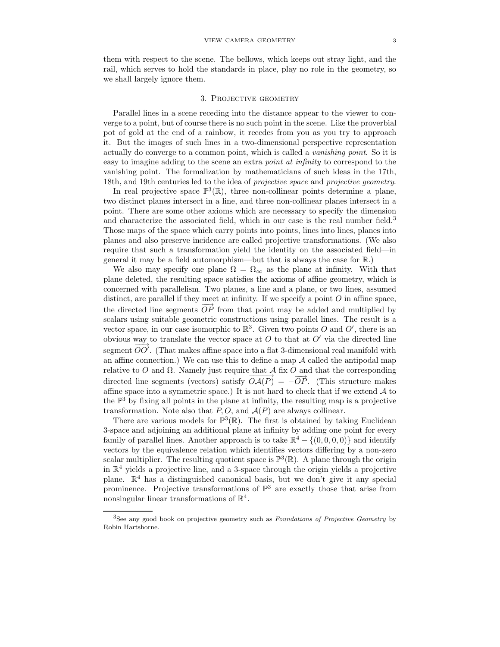them with respect to the scene. The bellows, which keeps out stray light, and the rail, which serves to hold the standards in place, play no role in the geometry, so we shall largely ignore them.

### 3. Projective geometry

Parallel lines in a scene receding into the distance appear to the viewer to converge to a point, but of course there is no such point in the scene. Like the proverbial pot of gold at the end of a rainbow, it recedes from you as you try to approach it. But the images of such lines in a two-dimensional perspective representation actually do converge to a common point, which is called a vanishing point. So it is easy to imagine adding to the scene an extra point at infinity to correspond to the vanishing point. The formalization by mathematicians of such ideas in the 17th, 18th, and 19th centuries led to the idea of projective space and projective geometry.

In real projective space  $\mathbb{P}^3(\mathbb{R})$ , three non-collinear points determine a plane, two distinct planes intersect in a line, and three non-collinear planes intersect in a point. There are some other axioms which are necessary to specify the dimension and characterize the associated field, which in our case is the real number field.<sup>3</sup> Those maps of the space which carry points into points, lines into lines, planes into planes and also preserve incidence are called projective transformations. (We also require that such a transformation yield the identity on the associated field—in general it may be a field automorphism—but that is always the case for R.)

We also may specify one plane  $\Omega = \Omega_{\infty}$  as the plane at infinity. With that plane deleted, the resulting space satisfies the axioms of affine geometry, which is concerned with parallelism. Two planes, a line and a plane, or two lines, assumed distinct, are parallel if they meet at infinity. If we specify a point  $O$  in affine space, the directed line segments  $\overrightarrow{OP}$  from that point may be added and multiplied by scalars using suitable geometric constructions using parallel lines. The result is a vector space, in our case isomorphic to  $\mathbb{R}^3$ . Given two points O and O', there is an obvious way to translate the vector space at  $O$  to that at  $O'$  via the directed line segment  $\overrightarrow{OO'}$ . (That makes affine space into a flat 3-dimensional real manifold with an affine connection.) We can use this to define a map  $A$  called the antipodal map relative to O and  $\Omega$ . Namely just require that A fix O and that the corresponding directed line segments (vectors) satisfy  $\overrightarrow{OA(P)} = -\overrightarrow{OP}$ . (This structure makes affine space into a symmetric space.) It is not hard to check that if we extend  $A$  to the  $\mathbb{P}^3$  by fixing all points in the plane at infinity, the resulting map is a projective transformation. Note also that  $P, O$ , and  $A(P)$  are always collinear.

There are various models for  $\mathbb{P}^3(\mathbb{R})$ . The first is obtained by taking Euclidean 3-space and adjoining an additional plane at infinity by adding one point for every family of parallel lines. Another approach is to take  $\mathbb{R}^4 - \{(0,0,0,0)\}$  and identify vectors by the equivalence relation which identifies vectors differing by a non-zero scalar multiplier. The resulting quotient space is  $\mathbb{P}^3(\mathbb{R})$ . A plane through the origin in  $\mathbb{R}^4$  yields a projective line, and a 3-space through the origin yields a projective plane. R <sup>4</sup> has a distinguished canonical basis, but we don't give it any special prominence. Projective transformations of  $\mathbb{P}^3$  are exactly those that arise from nonsingular linear transformations of  $\mathbb{R}^4$ .

<sup>&</sup>lt;sup>3</sup>See any good book on projective geometry such as *Foundations of Projective Geometry* by Robin Hartshorne.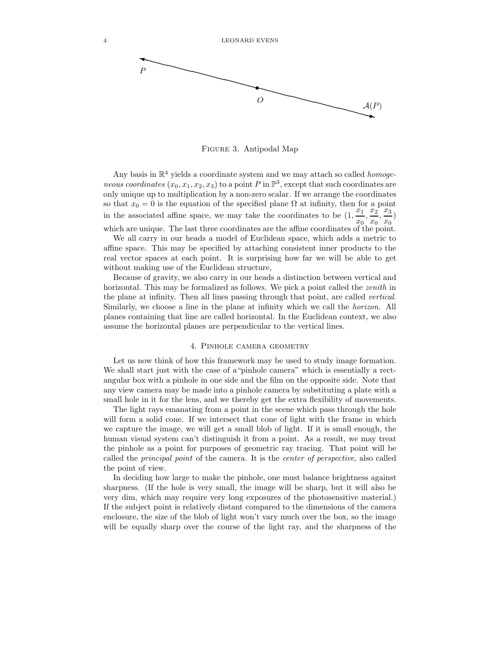

Figure 3. Antipodal Map

Any basis in  $\mathbb{R}^4$  yields a coordinate system and we may attach so called *homoge*neous coordinates  $(x_0, x_1, x_2, x_3)$  to a point P in  $\mathbb{P}^3$ , except that such coordinates are only unique up to multiplication by a non-zero scalar. If we arrange the coordinates so that  $x_0 = 0$  is the equation of the specified plane  $\Omega$  at infinity, then for a point in the associated affine space, we may take the coordinates to be  $(1, \frac{x_1}{x_2})$  $\frac{\overline{x_1}}{\overline{x_0}}, \frac{\overline{x_2}}{\overline{x_0}}$  $\frac{x_2}{x_0}, \frac{x_3}{x_0}$  $\frac{1}{x_0}$ which are unique. The last three coordinates are the affine coordinates of the point.

We all carry in our heads a model of Euclidean space, which adds a metric to affine space. This may be specified by attaching consistent inner products to the real vector spaces at each point. It is surprising how far we will be able to get without making use of the Euclidean structure,

Because of gravity, we also carry in our heads a distinction between vertical and horizontal. This may be formalized as follows. We pick a point called the *zenith* in the plane at infinity. Then all lines passing through that point, are called vertical. Similarly, we choose a line in the plane at infinity which we call the horizon. All planes containing that line are called horizontal. In the Euclidean context, we also assume the horizontal planes are perpendicular to the vertical lines.

# 4. Pinhole camera geometry

Let us now think of how this framework may be used to study image formation. We shall start just with the case of a"pinhole camera" which is essentially a rectangular box with a pinhole in one side and the film on the opposite side. Note that any view camera may be made into a pinhole camera by substituting a plate with a small hole in it for the lens, and we thereby get the extra flexibility of movements.

The light rays emanating from a point in the scene which pass through the hole will form a solid cone. If we intersect that cone of light with the frame in which we capture the image, we will get a small blob of light. If it is small enough, the human visual system can't distinguish it from a point. As a result, we may treat the pinhole as a point for purposes of geometric ray tracing. That point will be called the principal point of the camera. It is the center of perspective, also called the point of view.

In deciding how large to make the pinhole, one must balance brightness against sharpness. (If the hole is very small, the image will be sharp, but it will also be very dim, which may require very long exposures of the photosensitive material.) If the subject point is relatively distant compared to the dimensions of the camera enclosure, the size of the blob of light won't vary much over the box, so the image will be equally sharp over the course of the light ray, and the sharpness of the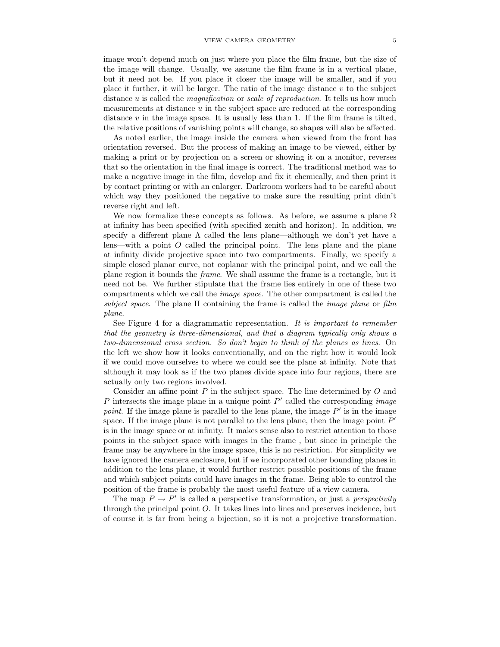image won't depend much on just where you place the film frame, but the size of the image will change. Usually, we assume the film frame is in a vertical plane, but it need not be. If you place it closer the image will be smaller, and if you place it further, it will be larger. The ratio of the image distance  $v$  to the subject distance  $u$  is called the *magnification* or *scale of reproduction*. It tells us how much measurements at distance  $u$  in the subject space are reduced at the corresponding distance  $v$  in the image space. It is usually less than 1. If the film frame is tilted, the relative positions of vanishing points will change, so shapes will also be affected.

As noted earlier, the image inside the camera when viewed from the front has orientation reversed. But the process of making an image to be viewed, either by making a print or by projection on a screen or showing it on a monitor, reverses that so the orientation in the final image is correct. The traditional method was to make a negative image in the film, develop and fix it chemically, and then print it by contact printing or with an enlarger. Darkroom workers had to be careful about which way they positioned the negative to make sure the resulting print didn't reverse right and left.

We now formalize these concepts as follows. As before, we assume a plane  $\Omega$ at infinity has been specified (with specified zenith and horizon). In addition, we specify a different plane  $\Lambda$  called the lens plane—although we don't yet have a lens—with a point  $O$  called the principal point. The lens plane and the plane at infinity divide projective space into two compartments. Finally, we specify a simple closed planar curve, not coplanar with the principal point, and we call the plane region it bounds the frame. We shall assume the frame is a rectangle, but it need not be. We further stipulate that the frame lies entirely in one of these two compartments which we call the image space. The other compartment is called the subject space. The plane  $\Pi$  containing the frame is called the *image plane* or film plane.

See Figure 4 for a diagrammatic representation. It is important to remember that the geometry is three-dimensional, and that a diagram typically only shows a two-dimensional cross section. So don't begin to think of the planes as lines. On the left we show how it looks conventionally, and on the right how it would look if we could move ourselves to where we could see the plane at infinity. Note that although it may look as if the two planes divide space into four regions, there are actually only two regions involved.

Consider an affine point  $P$  in the subject space. The line determined by  $O$  and  $P$  intersects the image plane in a unique point  $P'$  called the corresponding *image* point. If the image plane is parallel to the lens plane, the image  $P'$  is in the image space. If the image plane is not parallel to the lens plane, then the image point  $P'$ is in the image space or at infinity. It makes sense also to restrict attention to those points in the subject space with images in the frame , but since in principle the frame may be anywhere in the image space, this is no restriction. For simplicity we have ignored the camera enclosure, but if we incorporated other bounding planes in addition to the lens plane, it would further restrict possible positions of the frame and which subject points could have images in the frame. Being able to control the position of the frame is probably the most useful feature of a view camera.

The map  $P \mapsto P'$  is called a perspective transformation, or just a *perspectivity* through the principal point O. It takes lines into lines and preserves incidence, but of course it is far from being a bijection, so it is not a projective transformation.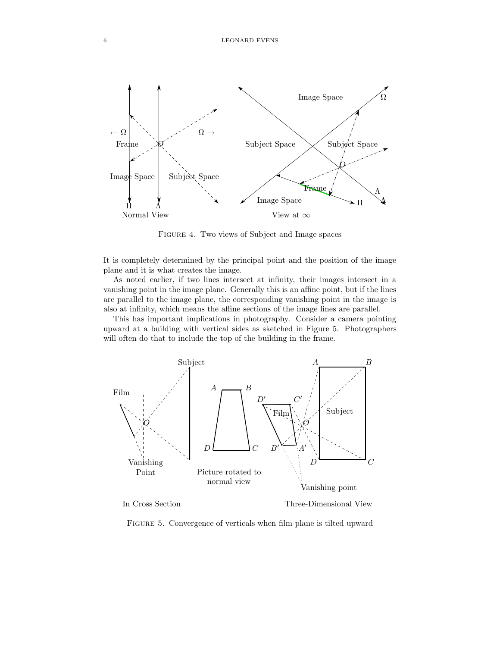

Figure 4. Two views of Subject and Image spaces

It is completely determined by the principal point and the position of the image plane and it is what creates the image.

As noted earlier, if two lines intersect at infinity, their images intersect in a vanishing point in the image plane. Generally this is an affine point, but if the lines are parallel to the image plane, the corresponding vanishing point in the image is also at infinity, which means the affine sections of the image lines are parallel.

This has important implications in photography. Consider a camera pointing upward at a building with vertical sides as sketched in Figure 5. Photographers will often do that to include the top of the building in the frame.



In Cross Section

Three-Dimensional View

FIGURE 5. Convergence of verticals when film plane is tilted upward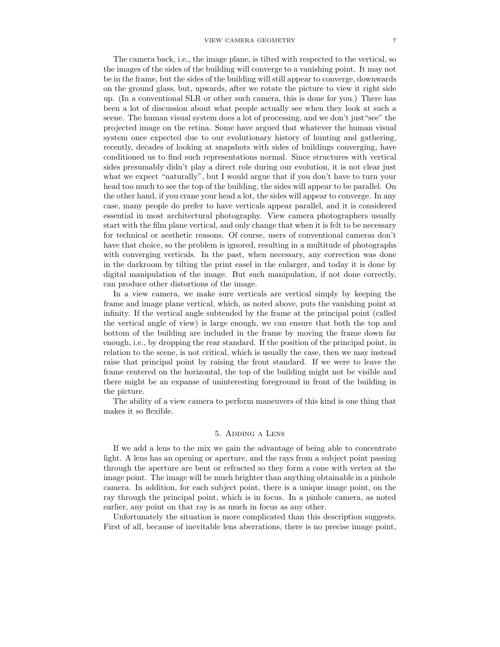#### VIEW CAMERA GEOMETRY 7

The camera back, i.e., the image plane, is tilted with respected to the vertical, so the images of the sides of the building will converge to a vanishing point. It may not be in the frame, but the sides of the building will still appear to converge, downwards on the ground glass, but, upwards, after we rotate the picture to view it right side up. (In a conventional SLR or other such camera, this is done for you.) There has been a lot of discussion about what people actually see when they look at such a scene. The human visual system does a lot of processing, and we don't just"see" the projected image on the retina. Some have argued that whatever the human visual system once expected due to our evolutionary history of hunting and gathering, recently, decades of looking at snapshots with sides of buildings converging, have conditioned us to find such representations normal. Since structures with vertical sides presumably didn't play a direct role during our evolution, it is not clear just what we expect "naturally", but I would argue that if you don't have to turn your head too much to see the top of the building, the sides will appear to be parallel. On the other hand, if you crane your head a lot, the sides will appear to converge. In any case, many people do prefer to have verticals appear parallel, and it is considered essential in most architectural photography. View camera photographers usually start with the film plane vertical, and only change that when it is felt to be necessary for technical or aesthetic reasons. Of course, users of conventional cameras don't have that choice, so the problem is ignored, resulting in a multitude of photographs with converging verticals. In the past, when necessary, any correction was done in the darkroom by tilting the print easel in the enlarger, and today it is done by digital manipulation of the image. But such manipulation, if not done correctly, can produce other distortions of the image.

In a view camera, we make sure verticals are vertical simply by keeping the frame and image plane vertical, which, as noted above, puts the vanishing point at infinity. If the vertical angle subtended by the frame at the principal point (called the vertical angle of view) is large enough, we can ensure that both the top and bottom of the building are included in the frame by moving the frame down far enough, i.e., by dropping the rear standard. If the position of the principal point, in relation to the scene, is not critical, which is usually the case, then we may instead raise that principal point by raising the front standard. If we were to leave the frame centered on the horizontal, the top of the building might not be visible and there might be an expanse of uninteresting foreground in front of the building in the picture.

The ability of a view camera to perform maneuvers of this kind is one thing that makes it so flexible.

# 5. Adding a Lens

If we add a lens to the mix we gain the advantage of being able to concentrate light. A lens has an opening or aperture, and the rays from a subject point passing through the aperture are bent or refracted so they form a cone with vertex at the image point. The image will be much brighter than anything obtainable in a pinhole camera. In addition, for each subject point, there is a unique image point, on the ray through the principal point, which is in focus. In a pinhole camera, as noted earlier, any point on that ray is as much in focus as any other.

Unfortunately the situation is more complicated than this description suggests. First of all, because of inevitable lens aberrations, there is no precise image point,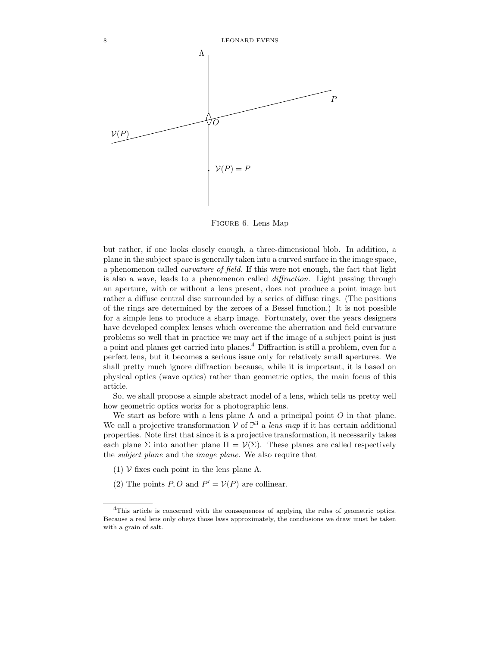

Figure 6. Lens Map

but rather, if one looks closely enough, a three-dimensional blob. In addition, a plane in the subject space is generally taken into a curved surface in the image space, a phenomenon called curvature of field. If this were not enough, the fact that light is also a wave, leads to a phenomenon called diffraction. Light passing through an aperture, with or without a lens present, does not produce a point image but rather a diffuse central disc surrounded by a series of diffuse rings. (The positions of the rings are determined by the zeroes of a Bessel function.) It is not possible for a simple lens to produce a sharp image. Fortunately, over the years designers have developed complex lenses which overcome the aberration and field curvature problems so well that in practice we may act if the image of a subject point is just a point and planes get carried into planes.<sup>4</sup> Diffraction is still a problem, even for a perfect lens, but it becomes a serious issue only for relatively small apertures. We shall pretty much ignore diffraction because, while it is important, it is based on physical optics (wave optics) rather than geometric optics, the main focus of this article.

So, we shall propose a simple abstract model of a lens, which tells us pretty well how geometric optics works for a photographic lens.

We start as before with a lens plane  $\Lambda$  and a principal point  $O$  in that plane. We call a projective transformation  $V$  of  $\mathbb{P}^3$  a lens map if it has certain additional properties. Note first that since it is a projective transformation, it necessarily takes each plane  $\Sigma$  into another plane  $\Pi = \mathcal{V}(\Sigma)$ . These planes are called respectively the subject plane and the image plane. We also require that

- (1)  $\mathcal V$  fixes each point in the lens plane  $\Lambda$ .
- (2) The points  $P, O$  and  $P' = V(P)$  are collinear.

<sup>4</sup>This article is concerned with the consequences of applying the rules of geometric optics. Because a real lens only obeys those laws approximately, the conclusions we draw must be taken with a grain of salt.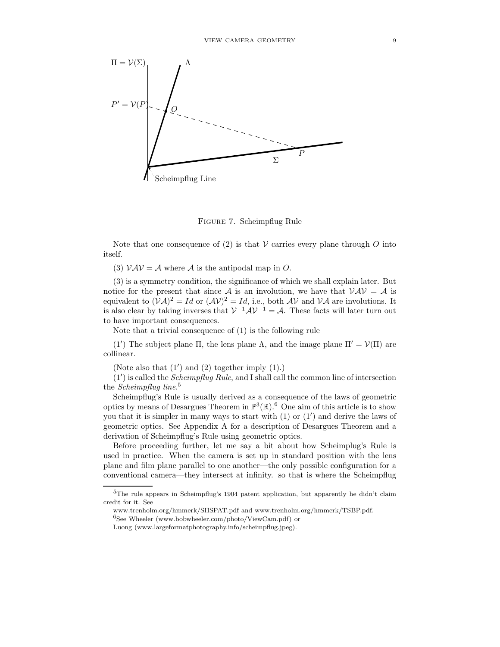

Figure 7. Scheimpflug Rule

Note that one consequence of  $(2)$  is that V carries every plane through O into itself.

(3)  $VAV = A$  where A is the antipodal map in O.

(3) is a symmetry condition, the significance of which we shall explain later. But notice for the present that since A is an involution, we have that  $VAV = A$  is equivalent to  $(\mathcal{V}\mathcal{A})^2 = Id$  or  $(\mathcal{AV})^2 = Id$ , i.e., both  $\mathcal{AV}$  and  $\mathcal{VA}$  are involutions. It is also clear by taking inverses that  $V^{-1}AV^{-1} = A$ . These facts will later turn out to have important consequences.

Note that a trivial consequence of (1) is the following rule

(1') The subject plane  $\Pi$ , the lens plane  $\Lambda$ , and the image plane  $\Pi' = \mathcal{V}(\Pi)$  are collinear.

(Note also that (1′ ) and (2) together imply (1).)

 $(1')$  is called the *Scheimpflug Rule*, and I shall call the common line of intersection the *Scheimpflug line*.<sup>5</sup>

Scheimpflug's Rule is usually derived as a consequence of the laws of geometric optics by means of Desargues Theorem in  $\mathbb{P}^3(\mathbb{R})$ .<sup>6</sup> One aim of this article is to show you that it is simpler in many ways to start with (1) or (1′ ) and derive the laws of geometric optics. See Appendix A for a description of Desargues Theorem and a derivation of Scheimpflug's Rule using geometric optics.

Before proceeding further, let me say a bit about how Scheimplug's Rule is used in practice. When the camera is set up in standard position with the lens plane and film plane parallel to one another—the only possible configuration for a conventional camera—they intersect at infinity. so that is where the Scheimpflug

 $^6\rm{See}$  Wheeler (www.bobwheeler.com/photo/ViewCam.pdf) or

<sup>5</sup>The rule appears in Scheimpflug's 1904 patent application, but apparently he didn't claim credit for it. See

www.trenholm.org/hmmerk/SHSPAT.pdf and www.trenholm.org/hmmerk/TSBP.pdf.

Luong (www.largeformatphotography.info/scheimpflug.jpeg).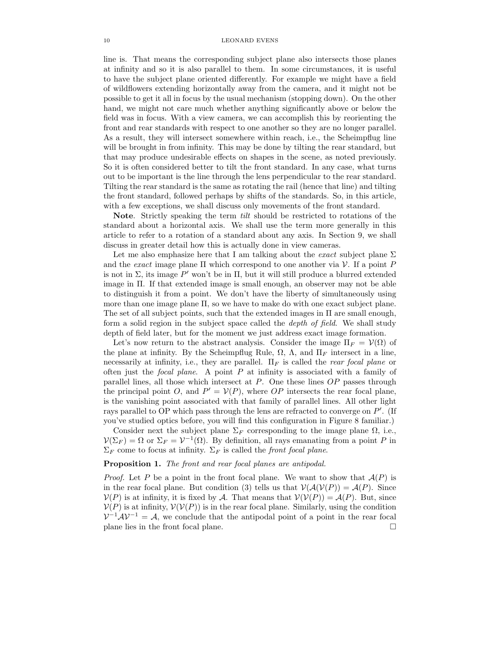line is. That means the corresponding subject plane also intersects those planes at infinity and so it is also parallel to them. In some circumstances, it is useful to have the subject plane oriented differently. For example we might have a field of wildflowers extending horizontally away from the camera, and it might not be possible to get it all in focus by the usual mechanism (stopping down). On the other hand, we might not care much whether anything significantly above or below the field was in focus. With a view camera, we can accomplish this by reorienting the front and rear standards with respect to one another so they are no longer parallel. As a result, they will intersect somewhere within reach, i.e., the Scheimpflug line will be brought in from infinity. This may be done by tilting the rear standard, but that may produce undesirable effects on shapes in the scene, as noted previously. So it is often considered better to tilt the front standard. In any case, what turns out to be important is the line through the lens perpendicular to the rear standard. Tilting the rear standard is the same as rotating the rail (hence that line) and tilting the front standard, followed perhaps by shifts of the standards. So, in this article, with a few exceptions, we shall discuss only movements of the front standard.

Note. Strictly speaking the term *tilt* should be restricted to rotations of the standard about a horizontal axis. We shall use the term more generally in this article to refer to a rotation of a standard about any axis. In Section 9, we shall discuss in greater detail how this is actually done in view cameras.

Let me also emphasize here that I am talking about the *exact* subject plane  $\Sigma$ and the exact image plane  $\Pi$  which correspond to one another via  $\mathcal V$ . If a point P is not in  $\Sigma$ , its image  $P'$  won't be in  $\Pi$ , but it will still produce a blurred extended image in Π. If that extended image is small enough, an observer may not be able to distinguish it from a point. We don't have the liberty of simultaneously using more than one image plane Π, so we have to make do with one exact subject plane. The set of all subject points, such that the extended images in  $\Pi$  are small enough, form a solid region in the subject space called the depth of field. We shall study depth of field later, but for the moment we just address exact image formation.

Let's now return to the abstract analysis. Consider the image  $\Pi_F = \mathcal{V}(\Omega)$  of the plane at infinity. By the Scheimpflug Rule,  $\Omega$ ,  $\Lambda$ , and  $\Pi_F$  intersect in a line, necessarily at infinity, i.e., they are parallel.  $\Pi_F$  is called the *rear focal plane* or often just the *focal plane*. A point  $P$  at infinity is associated with a family of parallel lines, all those which intersect at  $P$ . One these lines  $OP$  passes through the principal point O, and  $P' = V(P)$ , where OP intersects the rear focal plane, is the vanishing point associated with that family of parallel lines. All other light rays parallel to OP which pass through the lens are refracted to converge on  $P'$ . (If you've studied optics before, you will find this configuration in Figure 8 familiar.)

Consider next the subject plane  $\Sigma_F$  corresponding to the image plane  $\Omega$ , i.e.,  $\mathcal{V}(\Sigma_F) = \Omega$  or  $\Sigma_F = \mathcal{V}^{-1}(\Omega)$ . By definition, all rays emanating from a point P in  $\Sigma_F$  come to focus at infinity.  $\Sigma_F$  is called the front focal plane.

## Proposition 1. The front and rear focal planes are antipodal.

*Proof.* Let P be a point in the front focal plane. We want to show that  $A(P)$  is in the rear focal plane. But condition (3) tells us that  $V(A(V(P)) = A(P)$ . Since  $V(P)$  is at infinity, it is fixed by A. That means that  $V(V(P)) = A(P)$ . But, since  $V(P)$  is at infinity,  $V(V(P))$  is in the rear focal plane. Similarly, using the condition  $V^{-1}AV^{-1} = A$ , we conclude that the antipodal point of a point in the rear focal plane lies in the front focal plane.  $\Box$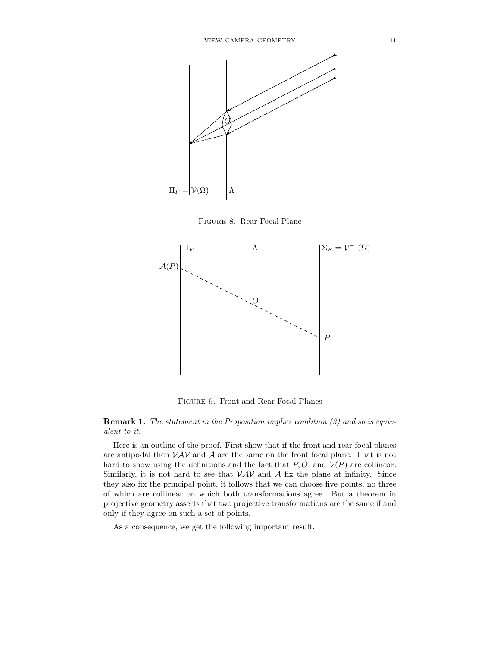

Figure 8. Rear Focal Plane



Figure 9. Front and Rear Focal Planes

Remark 1. The statement in the Proposition implies condition (3) and so is equivalent to it.

Here is an outline of the proof. First show that if the front and rear focal planes are antipodal then  $VAV$  and A are the same on the front focal plane. That is not hard to show using the definitions and the fact that  $P, O$ , and  $V(P)$  are collinear. Similarly, it is not hard to see that  $VAV$  and A fix the plane at infinity. Since they also fix the principal point, it follows that we can choose five points, no three of which are collinear on which both transformations agree. But a theorem in projective geometry asserts that two projective transformations are the same if and only if they agree on such a set of points.

As a consequence, we get the following important result.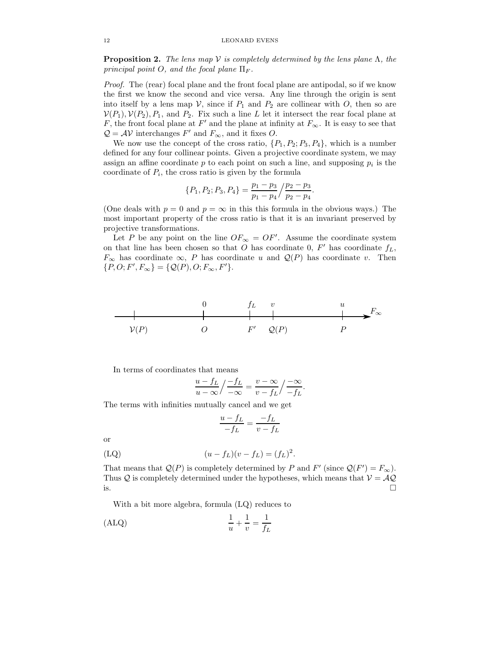**Proposition 2.** The lens map  $V$  is completely determined by the lens plane  $\Lambda$ , the principal point O, and the focal plane  $\Pi_F$ .

Proof. The (rear) focal plane and the front focal plane are antipodal, so if we know the first we know the second and vice versa. Any line through the origin is sent into itself by a lens map  $V$ , since if  $P_1$  and  $P_2$  are collinear with  $O$ , then so are  $\mathcal{V}(P_1), \mathcal{V}(P_2), P_1$ , and  $P_2$ . Fix such a line L let it intersect the rear focal plane at F, the front focal plane at  $F'$  and the plane at infinity at  $F_{\infty}$ . It is easy to see that  $Q = AV$  interchanges  $F'$  and  $F_{\infty}$ , and it fixes O.

We now use the concept of the cross ratio,  $\{P_1, P_2, P_3, P_4\}$ , which is a number defined for any four collinear points. Given a projective coordinate system, we may assign an affine coordinate  $p$  to each point on such a line, and supposing  $p_i$  is the coordinate of  $P_i$ , the cross ratio is given by the formula

$$
\{P_1, P_2; P_3, P_4\} = \frac{p_1 - p_3}{p_1 - p_4} / \frac{p_2 - p_3}{p_2 - p_4}.
$$

(One deals with  $p = 0$  and  $p = \infty$  in this this formula in the obvious ways.) The most important property of the cross ratio is that it is an invariant preserved by projective transformations.

Let P be any point on the line  $OF_{\infty} = OF'$ . Assume the coordinate system on that line has been chosen so that O has coordinate  $0, F'$  has coordinate  $f_L$ ,  $F_{\infty}$  has coordinate  $\infty$ , P has coordinate u and  $\mathcal{Q}(P)$  has coordinate v. Then  $\{P, O; F', F_{\infty}\} = \{Q(P), O; F_{\infty}, F'\}.$ 



In terms of coordinates that means

$$
\frac{u - f_L}{u - \infty} / \frac{-f_L}{-\infty} = \frac{v - \infty}{v - f_L} / \frac{-\infty}{-f_L}.
$$

The terms with infinities mutually cancel and we get

$$
\frac{u - f_L}{-f_L} = \frac{-f_L}{v - f_L}
$$

or

(LQ) 
$$
(u - f_L)(v - f_L) = (f_L)^2.
$$

That means that  $Q(P)$  is completely determined by P and F' (since  $Q(F') = F_{\infty}$ ). Thus  $Q$  is completely determined under the hypotheses, which means that  $V = AQ$  is.  $\Box$ 

With a bit more algebra, formula (LQ) reduces to

$$
\frac{1}{u} + \frac{1}{v} = \frac{1}{f_L}
$$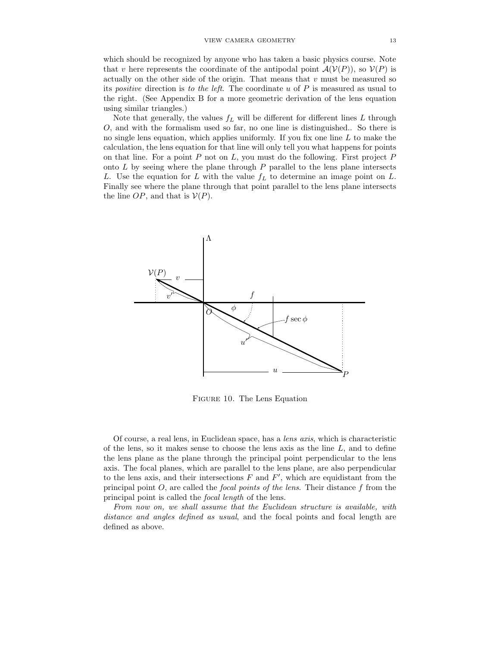which should be recognized by anyone who has taken a basic physics course. Note that v here represents the coordinate of the antipodal point  $\mathcal{A}(\mathcal{V}(P))$ , so  $\mathcal{V}(P)$  is actually on the other side of the origin. That means that  $v$  must be measured so its *positive* direction is to the left. The coordinate u of  $P$  is measured as usual to the right. (See Appendix B for a more geometric derivation of the lens equation using similar triangles.)

Note that generally, the values  $f_L$  will be different for different lines L through O, and with the formalism used so far, no one line is distinguished.. So there is no single lens equation, which applies uniformly. If you fix one line  $L$  to make the calculation, the lens equation for that line will only tell you what happens for points on that line. For a point  $P$  not on  $L$ , you must do the following. First project  $P$ onto  $L$  by seeing where the plane through  $P$  parallel to the lens plane intersects L. Use the equation for L with the value  $f<sub>L</sub>$  to determine an image point on L. Finally see where the plane through that point parallel to the lens plane intersects the line  $OP$ , and that is  $V(P)$ .



Figure 10. The Lens Equation

Of course, a real lens, in Euclidean space, has a lens axis, which is characteristic of the lens, so it makes sense to choose the lens axis as the line  $L$ , and to define the lens plane as the plane through the principal point perpendicular to the lens axis. The focal planes, which are parallel to the lens plane, are also perpendicular to the lens axis, and their intersections  $F$  and  $F'$ , which are equidistant from the principal point  $O$ , are called the *focal points of the lens*. Their distance  $f$  from the principal point is called the focal length of the lens.

From now on, we shall assume that the Euclidean structure is available, with distance and angles defined as usual, and the focal points and focal length are defined as above.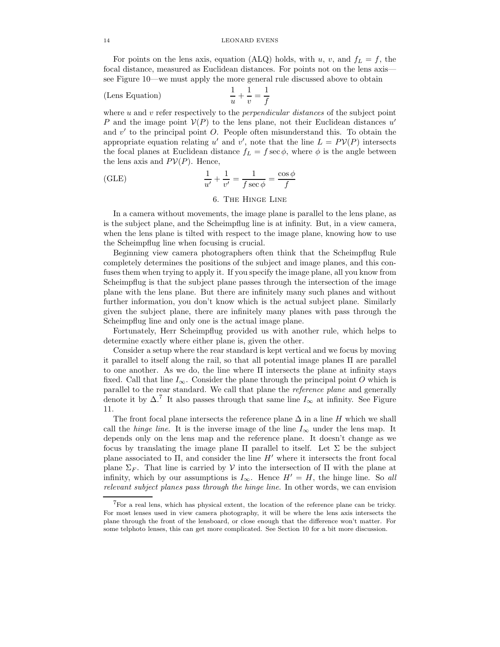For points on the lens axis, equation (ALQ) holds, with u, v, and  $f_L = f$ , the focal distance, measured as Euclidean distances. For points not on the lens axis see Figure 10—we must apply the more general rule discussed above to obtain

(Lens Equation) 
$$
\frac{1}{u} + \frac{1}{v} = \frac{1}{f}
$$

where  $u$  and  $v$  refer respectively to the *perpendicular distances* of the subject point P and the image point  $V(P)$  to the lens plane, not their Euclidean distances u' and  $v'$  to the principal point  $O$ . People often misunderstand this. To obtain the appropriate equation relating u' and v', note that the line  $L = PV(P)$  intersects the focal planes at Euclidean distance  $f_L = f \sec \phi$ , where  $\phi$  is the angle between the lens axis and  $PV(P)$ . Hence,

(GLE) 
$$
\frac{1}{u'} + \frac{1}{v'} = \frac{1}{f \sec \phi} = \frac{\cos \phi}{f}
$$

# 6. The Hinge Line

In a camera without movements, the image plane is parallel to the lens plane, as is the subject plane, and the Scheimpflug line is at infinity. But, in a view camera, when the lens plane is tilted with respect to the image plane, knowing how to use the Scheimpflug line when focusing is crucial.

Beginning view camera photographers often think that the Scheimpflug Rule completely determines the positions of the subject and image planes, and this confuses them when trying to apply it. If you specify the image plane, all you know from Scheimpflug is that the subject plane passes through the intersection of the image plane with the lens plane. But there are infinitely many such planes and without further information, you don't know which is the actual subject plane. Similarly given the subject plane, there are infinitely many planes with pass through the Scheimpflug line and only one is the actual image plane.

Fortunately, Herr Scheimpflug provided us with another rule, which helps to determine exactly where either plane is, given the other.

Consider a setup where the rear standard is kept vertical and we focus by moving it parallel to itself along the rail, so that all potential image planes Π are parallel to one another. As we do, the line where  $\Pi$  intersects the plane at infinity stays fixed. Call that line  $I_{\infty}$ . Consider the plane through the principal point O which is parallel to the rear standard. We call that plane the reference plane and generally denote it by  $\Delta$ .<sup>7</sup> It also passes through that same line  $I_{\infty}$  at infinity. See Figure 11.

The front focal plane intersects the reference plane  $\Delta$  in a line H which we shall call the *hinge line*. It is the inverse image of the line  $I_{\infty}$  under the lens map. It depends only on the lens map and the reference plane. It doesn't change as we focus by translating the image plane  $\Pi$  parallel to itself. Let  $\Sigma$  be the subject plane associated to  $\Pi$ , and consider the line  $H'$  where it intersects the front focal plane  $\Sigma_F$ . That line is carried by V into the intersection of  $\Pi$  with the plane at infinity, which by our assumptions is  $I_{\infty}$ . Hence  $H' = H$ , the hinge line. So all relevant subject planes pass through the hinge line. In other words, we can envision

<sup>7</sup>For a real lens, which has physical extent, the location of the reference plane can be tricky. For most lenses used in view camera photography, it will be where the lens axis intersects the plane through the front of the lensboard, or close enough that the difference won't matter. For some telphoto lenses, this can get more complicated. See Section 10 for a bit more discussion.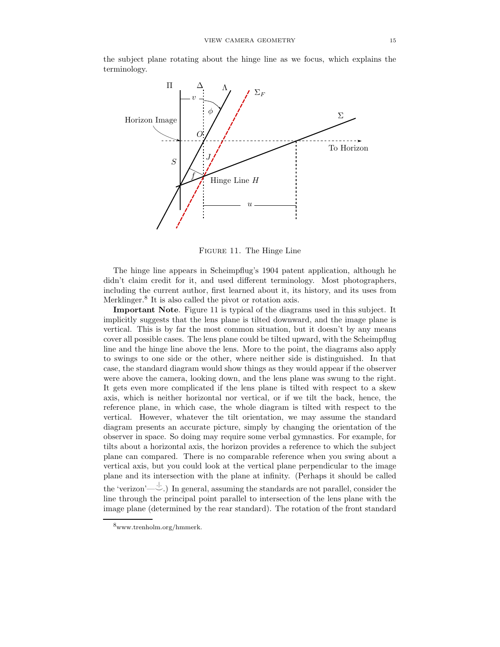the subject plane rotating about the hinge line as we focus, which explains the terminology.



Figure 11. The Hinge Line

The hinge line appears in Scheimpflug's 1904 patent application, although he didn't claim credit for it, and used different terminology. Most photographers, including the current author, first learned about it, its history, and its uses from Merklinger.<sup>8</sup> It is also called the pivot or rotation axis.

Important Note. Figure 11 is typical of the diagrams used in this subject. It implicitly suggests that the lens plane is tilted downward, and the image plane is vertical. This is by far the most common situation, but it doesn't by any means cover all possible cases. The lens plane could be tilted upward, with the Scheimpflug line and the hinge line above the lens. More to the point, the diagrams also apply to swings to one side or the other, where neither side is distinguished. In that case, the standard diagram would show things as they would appear if the observer were above the camera, looking down, and the lens plane was swung to the right. It gets even more complicated if the lens plane is tilted with respect to a skew axis, which is neither horizontal nor vertical, or if we tilt the back, hence, the reference plane, in which case, the whole diagram is tilted with respect to the vertical. However, whatever the tilt orientation, we may assume the standard diagram presents an accurate picture, simply by changing the orientation of the observer in space. So doing may require some verbal gymnastics. For example, for tilts about a horizontal axis, the horizon provides a reference to which the subject plane can compared. There is no comparable reference when you swing about a vertical axis, but you could look at the vertical plane perpendicular to the image plane and its intersection with the plane at infinity. (Perhaps it should be called the 'verizon'— $\downarrow$ .) In general, assuming the standards are not parallel, consider the

line through the principal point parallel to intersection of the lens plane with the image plane (determined by the rear standard). The rotation of the front standard

<sup>8</sup>www.trenholm.org/hmmerk.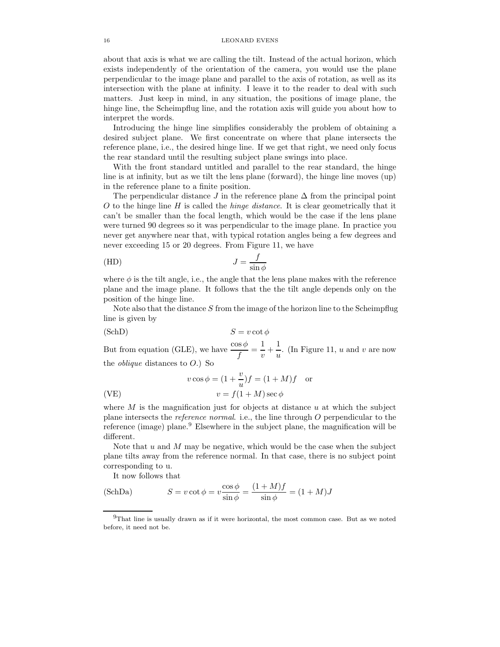about that axis is what we are calling the tilt. Instead of the actual horizon, which exists independently of the orientation of the camera, you would use the plane perpendicular to the image plane and parallel to the axis of rotation, as well as its intersection with the plane at infinity. I leave it to the reader to deal with such matters. Just keep in mind, in any situation, the positions of image plane, the hinge line, the Scheimpflug line, and the rotation axis will guide you about how to interpret the words.

Introducing the hinge line simplifies considerably the problem of obtaining a desired subject plane. We first concentrate on where that plane intersects the reference plane, i.e., the desired hinge line. If we get that right, we need only focus the rear standard until the resulting subject plane swings into place.

With the front standard untitled and parallel to the rear standard, the hinge line is at infinity, but as we tilt the lens plane (forward), the hinge line moves (up) in the reference plane to a finite position.

The perpendicular distance J in the reference plane  $\Delta$  from the principal point  $O$  to the hinge line  $H$  is called the *hinge distance*. It is clear geometrically that it can't be smaller than the focal length, which would be the case if the lens plane were turned 90 degrees so it was perpendicular to the image plane. In practice you never get anywhere near that, with typical rotation angles being a few degrees and never exceeding 15 or 20 degrees. From Figure 11, we have

(HD) 
$$
J = \frac{f}{\sin \phi}
$$

where  $\phi$  is the tilt angle, i.e., the angle that the lens plane makes with the reference plane and the image plane. It follows that the the tilt angle depends only on the position of the hinge line.

Note also that the distance  $S$  from the image of the horizon line to the Scheimpflug line is given by

(SchD) 
$$
S = v \cot \phi
$$

But from equation (GLE), we have  $\frac{\cos \phi}{f} = \frac{1}{v}$  $\frac{1}{v} + \frac{1}{u}$  $\frac{1}{u}$ . (In Figure 11, *u* and *v* are now the *oblique* distances to  $O$ .) So

(VE)  
\n
$$
v \cos \phi = (1 + \frac{v}{u})f = (1 + M)f \text{ or}
$$
\n
$$
v = f(1 + M) \sec \phi
$$

where  $M$  is the magnification just for objects at distance  $u$  at which the subject plane intersects the *reference normal*. i.e., the line through  $O$  perpendicular to the reference (image) plane.<sup>9</sup> Elsewhere in the subject plane, the magnification will be different.

Note that  $u$  and  $M$  may be negative, which would be the case when the subject plane tilts away from the reference normal. In that case, there is no subject point corresponding to u.

It now follows that

(SchDa) 
$$
S = v \cot \phi = v \frac{\cos \phi}{\sin \phi} = \frac{(1+M)f}{\sin \phi} = (1+M)J
$$

 $9$ That line is usually drawn as if it were horizontal, the most common case. But as we noted before, it need not be.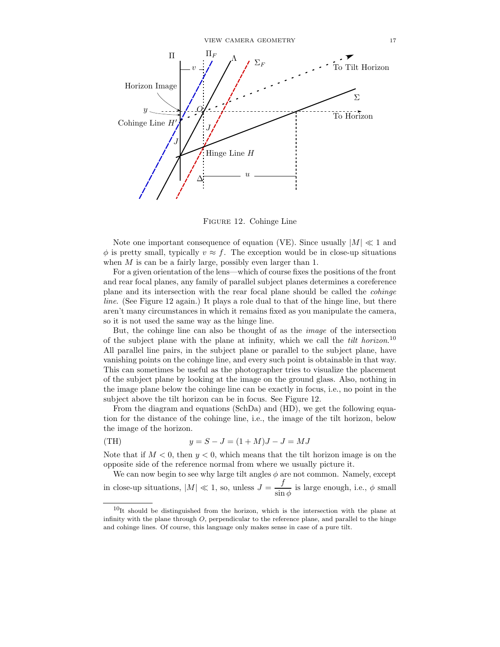

Figure 12. Cohinge Line

Note one important consequence of equation (VE). Since usually  $|M| \ll 1$  and  $\phi$  is pretty small, typically  $v \approx f$ . The exception would be in close-up situations when  $M$  is can be a fairly large, possibly even larger than 1.

For a given orientation of the lens—which of course fixes the positions of the front and rear focal planes, any family of parallel subject planes determines a coreference plane and its intersection with the rear focal plane should be called the cohinge line. (See Figure 12 again.) It plays a role dual to that of the hinge line, but there aren't many circumstances in which it remains fixed as you manipulate the camera, so it is not used the same way as the hinge line.

But, the cohinge line can also be thought of as the image of the intersection of the subject plane with the plane at infinity, which we call the *tilt horizon*.<sup>10</sup> All parallel line pairs, in the subject plane or parallel to the subject plane, have vanishing points on the cohinge line, and every such point is obtainable in that way. This can sometimes be useful as the photographer tries to visualize the placement of the subject plane by looking at the image on the ground glass. Also, nothing in the image plane below the cohinge line can be exactly in focus, i.e., no point in the subject above the tilt horizon can be in focus. See Figure 12.

From the diagram and equations (SchDa) and (HD), we get the following equation for the distance of the cohinge line, i.e., the image of the tilt horizon, below the image of the horizon.

(TH) 
$$
y = S - J = (1 + M)J - J = MJ
$$

Note that if  $M < 0$ , then  $y < 0$ , which means that the tilt horizon image is on the opposite side of the reference normal from where we usually picture it.

We can now begin to see why large tilt angles  $\phi$  are not common. Namely, except in close-up situations,  $|M| \ll 1$ , so, unless  $J = \frac{f}{\sin n}$  $\frac{J}{\sin \phi}$  is large enough, i.e.,  $\phi$  small

 $10$ It should be distinguished from the horizon, which is the intersection with the plane at infinity with the plane through  $O$ , perpendicular to the reference plane, and parallel to the hinge and cohinge lines. Of course, this language only makes sense in case of a pure tilt.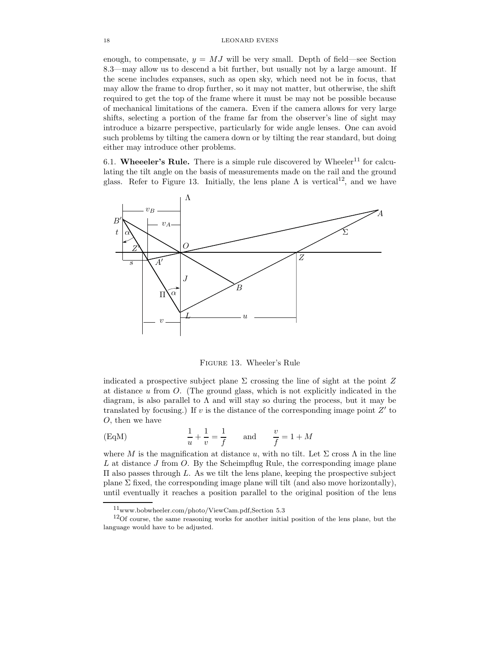enough, to compensate,  $y = MJ$  will be very small. Depth of field—see Section 8.3—may allow us to descend a bit further, but usually not by a large amount. If the scene includes expanses, such as open sky, which need not be in focus, that may allow the frame to drop further, so it may not matter, but otherwise, the shift required to get the top of the frame where it must be may not be possible because of mechanical limitations of the camera. Even if the camera allows for very large shifts, selecting a portion of the frame far from the observer's line of sight may introduce a bizarre perspective, particularly for wide angle lenses. One can avoid such problems by tilting the camera down or by tilting the rear standard, but doing either may introduce other problems.

6.1. Wheeeler's Rule. There is a simple rule discovered by Wheeler<sup>11</sup> for calculating the tilt angle on the basis of measurements made on the rail and the ground glass. Refer to Figure 13. Initially, the lens plane  $\Lambda$  is vertical<sup>12</sup>, and we have



Figure 13. Wheeler's Rule

indicated a prospective subject plane  $\Sigma$  crossing the line of sight at the point  $Z$ at distance u from O. (The ground glass, which is not explicitly indicated in the diagram, is also parallel to  $\Lambda$  and will stay so during the process, but it may be translated by focusing.) If  $v$  is the distance of the corresponding image point  $Z'$  to O, then we have

$$
\text{(EqM)} \qquad \qquad \frac{1}{u} + \frac{1}{v} = \frac{1}{f} \qquad \text{and} \qquad \frac{v}{f} = 1 + M
$$

where M is the magnification at distance u, with no tilt. Let  $\Sigma$  cross  $\Lambda$  in the line L at distance  $J$  from  $O$ . By the Scheimpflug Rule, the corresponding image plane Π also passes through L. As we tilt the lens plane, keeping the prospective subject plane  $\Sigma$  fixed, the corresponding image plane will tilt (and also move horizontally), until eventually it reaches a position parallel to the original position of the lens

 $11$ www.bobwheeler.com/photo/ViewCam.pdf,Section 5.3

<sup>&</sup>lt;sup>12</sup>Of course, the same reasoning works for another initial position of the lens plane, but the language would have to be adjusted.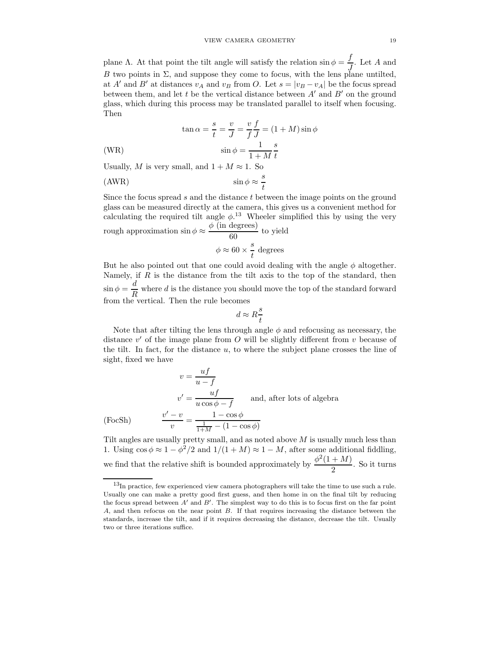plane Λ. At that point the tilt angle will satisfy the relation  $\sin \phi = \frac{f}{\sqrt{2}}$  $\frac{J}{J}$ . Let A and B two points in  $\Sigma$ , and suppose they come to focus, with the lens plane untilted, at A' and B' at distances  $v_A$  and  $v_B$  from O. Let  $s = |v_B - v_A|$  be the focus spread between them, and let t be the vertical distance between  $A'$  and  $B'$  on the ground glass, which during this process may be translated parallel to itself when focusing. Then

(4.11)

\n
$$
\tan \alpha = \frac{s}{t} = \frac{v}{J} = \frac{v}{f} \frac{f}{J} = (1 + M)\sin\phi
$$
\n
$$
\sin\phi = \frac{1}{1 + M} \frac{s}{t}
$$

Usually, M is very small, and  $1 + M \approx 1$ . So

 $\sqrt{ }$ 

$$
(AWR) \t\t sin \phi \approx \frac{s}{t}
$$

Since the focus spread  $s$  and the distance  $t$  between the image points on the ground glass can be measured directly at the camera, this gives us a convenient method for calculating the required tilt angle  $\phi$ <sup>13</sup>. Wheeler simplified this by using the very rough approximation  $\sin \phi \approx \frac{\phi \text{ (in degrees)}}{60}$  $\frac{10}{60}$  to yield s

$$
\phi \approx 60 \times \frac{s}{t} \text{ degrees}
$$

But he also pointed out that one could avoid dealing with the angle  $\phi$  altogether. Namely, if  $R$  is the distance from the tilt axis to the top of the standard, then  $\sin \phi = \frac{d}{dt}$  $\frac{\alpha}{R}$  where d is the distance you should move the top of the standard forward from the vertical. Then the rule becomes

$$
d \approx R \frac{s}{t}
$$

Note that after tilting the lens through angle  $\phi$  and refocusing as necessary, the distance  $v'$  of the image plane from  $O$  will be slightly different from  $v$  because of the tilt. In fact, for the distance  $u$ , to where the subject plane crosses the line of sight, fixed we have

$$
v = \frac{uf}{u - f}
$$
  

$$
v' = \frac{uf}{u \cos \phi - f}
$$
 and, after lots of algebra  
(FocSh) 
$$
\frac{v' - v}{v} = \frac{1 - \cos \phi}{\frac{1}{1 + M} - (1 - \cos \phi)}
$$

Tilt angles are usually pretty small, and as noted above M is usually much less than 1. Using  $\cos \phi \approx 1 - \phi^2/2$  and  $1/(1 + M) \approx 1 - M$ , after some additional fiddling, we find that the relative shift is bounded approximately by  $\frac{\phi^2(1+M)}{2}$  $\frac{1}{2}$ . So it turns

<sup>13</sup>In practice, few experienced view camera photographers will take the time to use such a rule. Usually one can make a pretty good first guess, and then home in on the final tilt by reducing the focus spread between  $A'$  and  $B'$ . The simplest way to do this is to focus first on the far point A, and then refocus on the near point B. If that requires increasing the distance between the standards, increase the tilt, and if it requires decreasing the distance, decrease the tilt. Usually two or three iterations suffice.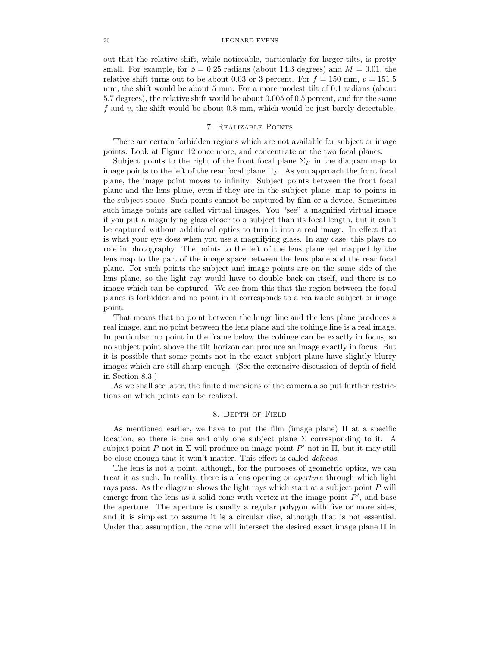#### 20 LEONARD EVENS

out that the relative shift, while noticeable, particularly for larger tilts, is pretty small. For example, for  $\phi = 0.25$  radians (about 14.3 degrees) and  $M = 0.01$ , the relative shift turns out to be about 0.03 or 3 percent. For  $f = 150$  mm,  $v = 151.5$ mm, the shift would be about 5 mm. For a more modest tilt of 0.1 radians (about 5.7 degrees), the relative shift would be about 0.005 of 0.5 percent, and for the same  $f$  and  $v$ , the shift would be about 0.8 mm, which would be just barely detectable.

## 7. Realizable Points

There are certain forbidden regions which are not available for subject or image points. Look at Figure 12 once more, and concentrate on the two focal planes.

Subject points to the right of the front focal plane  $\Sigma_F$  in the diagram map to image points to the left of the rear focal plane  $\Pi_F$ . As you approach the front focal plane, the image point moves to infinity. Subject points between the front focal plane and the lens plane, even if they are in the subject plane, map to points in the subject space. Such points cannot be captured by film or a device. Sometimes such image points are called virtual images. You "see" a magnified virtual image if you put a magnifying glass closer to a subject than its focal length, but it can't be captured without additional optics to turn it into a real image. In effect that is what your eye does when you use a magnifying glass. In any case, this plays no role in photography. The points to the left of the lens plane get mapped by the lens map to the part of the image space between the lens plane and the rear focal plane. For such points the subject and image points are on the same side of the lens plane, so the light ray would have to double back on itself, and there is no image which can be captured. We see from this that the region between the focal planes is forbidden and no point in it corresponds to a realizable subject or image point.

That means that no point between the hinge line and the lens plane produces a real image, and no point between the lens plane and the cohinge line is a real image. In particular, no point in the frame below the cohinge can be exactly in focus, so no subject point above the tilt horizon can produce an image exactly in focus. But it is possible that some points not in the exact subject plane have slightly blurry images which are still sharp enough. (See the extensive discussion of depth of field in Section 8.3.)

As we shall see later, the finite dimensions of the camera also put further restrictions on which points can be realized.

# 8. Depth of Field

As mentioned earlier, we have to put the film (image plane) Π at a specific location, so there is one and only one subject plane  $\Sigma$  corresponding to it. A subject point P not in  $\Sigma$  will produce an image point P' not in  $\Pi$ , but it may still be close enough that it won't matter. This effect is called defocus.

The lens is not a point, although, for the purposes of geometric optics, we can treat it as such. In reality, there is a lens opening or aperture through which light rays pass. As the diagram shows the light rays which start at a subject point P will emerge from the lens as a solid cone with vertex at the image point  $P'$ , and base the aperture. The aperture is usually a regular polygon with five or more sides, and it is simplest to assume it is a circular disc, although that is not essential. Under that assumption, the cone will intersect the desired exact image plane  $\Pi$  in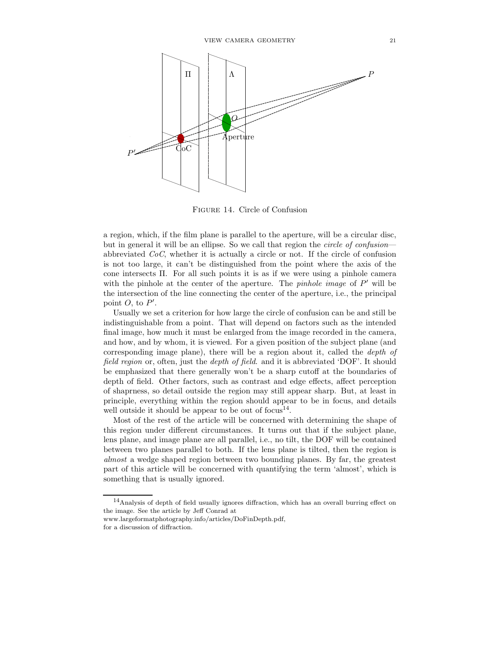

Figure 14. Circle of Confusion

a region, which, if the film plane is parallel to the aperture, will be a circular disc, but in general it will be an ellipse. So we call that region the *circle of confusion* abbreviated  $CoC$ , whether it is actually a circle or not. If the circle of confusion is not too large, it can't be distinguished from the point where the axis of the cone intersects  $\Pi$ . For all such points it is as if we were using a pinhole camera with the pinhole at the center of the aperture. The *pinhole image* of  $P'$  will be the intersection of the line connecting the center of the aperture, i.e., the principal point  $O$ , to  $P'$ .

Usually we set a criterion for how large the circle of confusion can be and still be indistinguishable from a point. That will depend on factors such as the intended final image, how much it must be enlarged from the image recorded in the camera, and how, and by whom, it is viewed. For a given position of the subject plane (and corresponding image plane), there will be a region about it, called the depth of field region or, often, just the *depth of field*. and it is abbreviated 'DOF'. It should be emphasized that there generally won't be a sharp cutoff at the boundaries of depth of field. Other factors, such as contrast and edge effects, affect perception of shaprness, so detail outside the region may still appear sharp. But, at least in principle, everything within the region should appear to be in focus, and details well outside it should be appear to be out of focus<sup>14</sup>.

Most of the rest of the article will be concerned with determining the shape of this region under different circumstances. It turns out that if the subject plane, lens plane, and image plane are all parallel, i.e., no tilt, the DOF will be contained between two planes parallel to both. If the lens plane is tilted, then the region is almost a wedge shaped region between two bounding planes. By far, the greatest part of this article will be concerned with quantifying the term 'almost', which is something that is usually ignored.

<sup>14</sup>Analysis of depth of field usually ignores diffraction, which has an overall burring effect on the image. See the article by Jeff Conrad at

www.largeformatphotography.info/articles/DoFinDepth.pdf,

for a discussion of diffraction.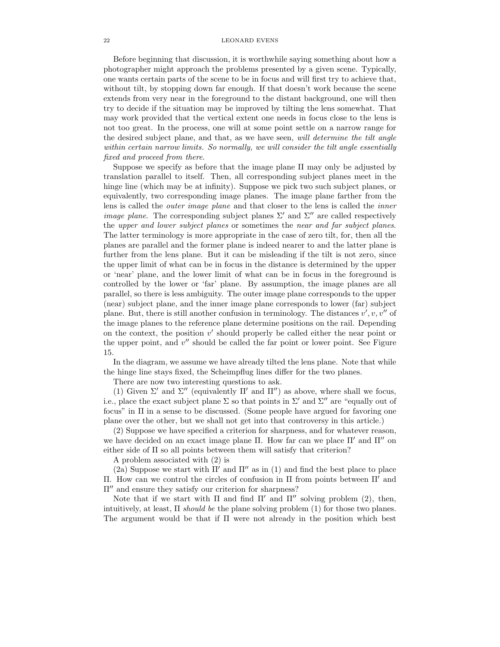### 22 LEONARD EVENS

Before beginning that discussion, it is worthwhile saying something about how a photographer might approach the problems presented by a given scene. Typically, one wants certain parts of the scene to be in focus and will first try to achieve that, without tilt, by stopping down far enough. If that doesn't work because the scene extends from very near in the foreground to the distant background, one will then try to decide if the situation may be improved by tilting the lens somewhat. That may work provided that the vertical extent one needs in focus close to the lens is not too great. In the process, one will at some point settle on a narrow range for the desired subject plane, and that, as we have seen, will determine the tilt angle within certain narrow limits. So normally, we will consider the tilt angle essentially fixed and proceed from there.

Suppose we specify as before that the image plane  $\Pi$  may only be adjusted by translation parallel to itself. Then, all corresponding subject planes meet in the hinge line (which may be at infinity). Suppose we pick two such subject planes, or equivalently, two corresponding image planes. The image plane farther from the lens is called the *outer image plane* and that closer to the lens is called the *inner image plane.* The corresponding subject planes  $\Sigma'$  and  $\Sigma''$  are called respectively the upper and lower subject planes or sometimes the near and far subject planes. The latter terminology is more appropriate in the case of zero tilt, for, then all the planes are parallel and the former plane is indeed nearer to and the latter plane is further from the lens plane. But it can be misleading if the tilt is not zero, since the upper limit of what can be in focus in the distance is determined by the upper or 'near' plane, and the lower limit of what can be in focus in the foreground is controlled by the lower or 'far' plane. By assumption, the image planes are all parallel, so there is less ambiguity. The outer image plane corresponds to the upper (near) subject plane, and the inner image plane corresponds to lower (far) subject plane. But, there is still another confusion in terminology. The distances  $v', v, v''$  of the image planes to the reference plane determine positions on the rail. Depending on the context, the position  $v'$  should properly be called either the near point or the upper point, and  $v''$  should be called the far point or lower point. See Figure 15.

In the diagram, we assume we have already tilted the lens plane. Note that while the hinge line stays fixed, the Scheimpflug lines differ for the two planes.

There are now two interesting questions to ask.

(1) Given  $\Sigma'$  and  $\Sigma''$  (equivalently  $\Pi'$  and  $\Pi''$ ) as above, where shall we focus, i.e., place the exact subject plane  $\Sigma$  so that points in  $\Sigma'$  and  $\Sigma''$  are "equally out of focus" in Π in a sense to be discussed. (Some people have argued for favoring one plane over the other, but we shall not get into that controversy in this article.)

(2) Suppose we have specified a criterion for sharpness, and for whatever reason, we have decided on an exact image plane Π. How far can we place  $\Pi'$  and  $\Pi''$  on either side of  $\Pi$  so all points between them will satisfy that criterion?

A problem associated with (2) is

(2a) Suppose we start with  $\Pi'$  and  $\Pi''$  as in (1) and find the best place to place Π. How can we control the circles of confusion in Π from points between Π′ and Π′′ and ensure they satisfy our criterion for sharpness?

Note that if we start with  $\Pi$  and find  $\Pi'$  and  $\Pi''$  solving problem (2), then, intuitively, at least,  $\Pi$  *should be the plane solving problem* (1) for those two planes. The argument would be that if Π were not already in the position which best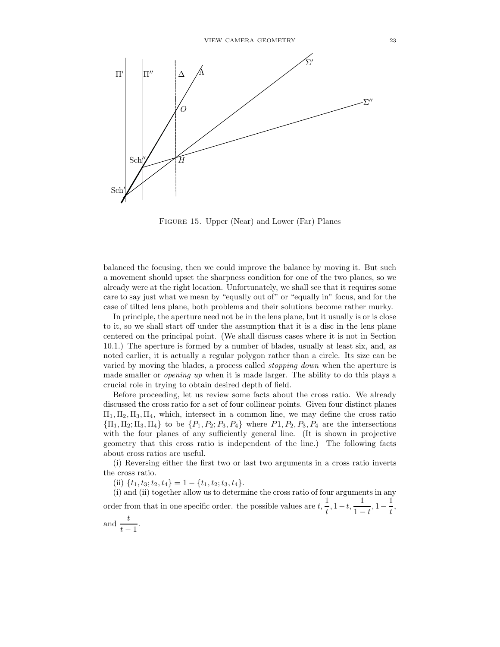

FIGURE 15. Upper (Near) and Lower (Far) Planes

balanced the focusing, then we could improve the balance by moving it. But such a movement should upset the sharpness condition for one of the two planes, so we already were at the right location. Unfortunately, we shall see that it requires some care to say just what we mean by "equally out of" or "equally in" focus, and for the case of tilted lens plane, both problems and their solutions become rather murky.

In principle, the aperture need not be in the lens plane, but it usually is or is close to it, so we shall start off under the assumption that it is a disc in the lens plane centered on the principal point. (We shall discuss cases where it is not in Section 10.1.) The aperture is formed by a number of blades, usually at least six, and, as noted earlier, it is actually a regular polygon rather than a circle. Its size can be varied by moving the blades, a process called stopping down when the aperture is made smaller or opening up when it is made larger. The ability to do this plays a crucial role in trying to obtain desired depth of field.

Before proceeding, let us review some facts about the cross ratio. We already discussed the cross ratio for a set of four collinear points. Given four distinct planes  $\Pi_1, \Pi_2, \Pi_3, \Pi_4$ , which, intersect in a common line, we may define the cross ratio  ${\Pi_1, \Pi_2; \Pi_3, \Pi_4}$  to be  ${P_1, P_2; P_3, P_4}$  where  $P_1, P_2, P_3, P_4$  are the intersections with the four planes of any sufficiently general line. (It is shown in projective geometry that this cross ratio is independent of the line.) The following facts about cross ratios are useful.

(i) Reversing either the first two or last two arguments in a cross ratio inverts the cross ratio.

(ii)  $\{t_1, t_3; t_2, t_4\} = 1 - \{t_1, t_2; t_3, t_4\}.$ 

(i) and (ii) together allow us to determine the cross ratio of four arguments in any order from that in one specific order. the possible values are  $t, \frac{1}{t}$  $\frac{1}{t}$ , 1 – t,  $\frac{1}{1-t}$  $\frac{1}{1-t}, 1-\frac{1}{t}$  $\frac{1}{t}$ , .

and 
$$
\frac{t}{t-1}
$$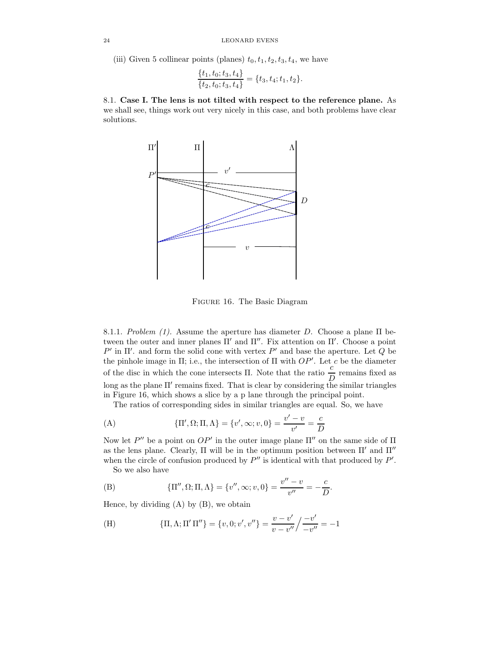(iii) Given 5 collinear points (planes)  $t_0, t_1, t_2, t_3, t_4$ , we have

$$
\frac{\{t_1, t_0; t_3, t_4\}}{\{t_2, t_0; t_3, t_4\}} = \{t_3, t_4; t_1, t_2\}.
$$

8.1. Case I. The lens is not tilted with respect to the reference plane. As we shall see, things work out very nicely in this case, and both problems have clear solutions.



Figure 16. The Basic Diagram

8.1.1. Problem (1). Assume the aperture has diameter D. Choose a plane  $\Pi$  between the outer and inner planes  $\Pi'$  and  $\Pi''$ . Fix attention on  $\Pi'$ . Choose a point  $P'$  in Π'. and form the solid cone with vertex  $P'$  and base the aperture. Let Q be the pinhole image in  $\Pi$ ; i.e., the intersection of  $\Pi$  with  $OP'$ . Let c be the diameter of the disc in which the cone intersects Π. Note that the ratio  $\frac{c}{D}$  remains fixed as long as the plane  $\Pi'$  remains fixed. That is clear by considering the similar triangles in Figure 16, which shows a slice by a p lane through the principal point.

The ratios of corresponding sides in similar triangles are equal. So, we have

(A) 
$$
\{\Pi', \Omega; \Pi, \Lambda\} = \{v', \infty; v, 0\} = \frac{v' - v}{v'} = \frac{c}{D}
$$

Now let  $P''$  be a point on  $OP'$  in the outer image plane  $\Pi''$  on the same side of  $\Pi$ as the lens plane. Clearly,  $\Pi$  will be in the optimum position between  $\Pi'$  and  $\Pi''$ when the circle of confusion produced by  $P''$  is identical with that produced by  $P'$ .

So we also have

(B) 
$$
\{\Pi'', \Omega; \Pi, \Lambda\} = \{v'', \infty; v, 0\} = \frac{v'' - v}{v''} = -\frac{c}{D}.
$$

Hence, by dividing  $(A)$  by  $(B)$ , we obtain

(H) 
$$
\{\Pi, \Lambda; \Pi' \Pi''\} = \{v, 0; v', v''\} = \frac{v - v'}{v - v''} / \frac{-v'}{-v''} = -1
$$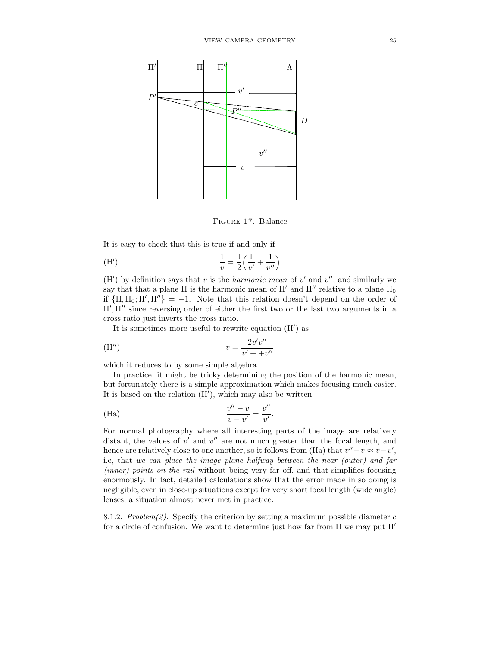

Figure 17. Balance

It is easy to check that this is true if and only if

(H') 
$$
\frac{1}{v} = \frac{1}{2} \left( \frac{1}{v'} + \frac{1}{v''} \right)
$$

(H') by definition says that v is the *harmonic mean* of v' and v'', and similarly we say that that a plane  $\Pi$  is the harmonic mean of  $\Pi'$  and  $\Pi''$  relative to a plane  $\Pi_0$ if  ${\Pi, \Pi_0; \Pi', \Pi''} = -1$ . Note that this relation doesn't depend on the order of Π′ , Π′′ since reversing order of either the first two or the last two arguments in a cross ratio just inverts the cross ratio.

It is sometimes more useful to rewrite equation (H′ ) as

$$
v = \frac{2v'v''}{v' + +v''}
$$

which it reduces to by some simple algebra.

In practice, it might be tricky determining the position of the harmonic mean, but fortunately there is a simple approximation which makes focusing much easier. It is based on the relation (H′ ), which may also be written

(Ha) 
$$
\frac{v'' - v}{v - v'} = \frac{v''}{v'}.
$$

For normal photography where all interesting parts of the image are relatively distant, the values of  $v'$  and  $v''$  are not much greater than the focal length, and hence are relatively close to one another, so it follows from (Ha) that  $v'' - v \approx v - v'$ , i.e, that we can place the image plane halfway between the near (outer) and far (inner) points on the rail without being very far off, and that simplifies focusing enormously. In fact, detailed calculations show that the error made in so doing is negligible, even in close-up situations except for very short focal length (wide angle) lenses, a situation almost never met in practice.

8.1.2. Problem(2). Specify the criterion by setting a maximum possible diameter  $c$ for a circle of confusion. We want to determine just how far from  $\Pi$  we may put  $\Pi'$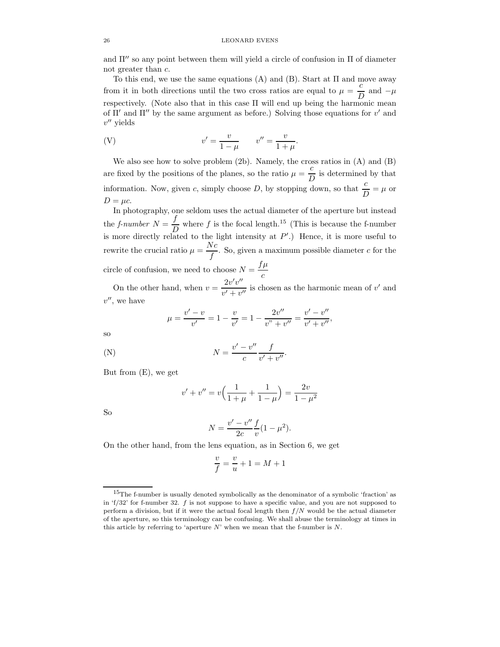and  $\Pi''$  so any point between them will yield a circle of confusion in  $\Pi$  of diameter not greater than c.

To this end, we use the same equations (A) and (B). Start at Π and move away from it in both directions until the two cross ratios are equal to  $\mu = \frac{c}{\tau}$  $\frac{c}{D}$  and  $-\mu$ respectively. (Note also that in this case  $\Pi$  will end up being the harmonic mean of  $\Pi'$  and  $\Pi''$  by the same argument as before.) Solving those equations for  $v'$  and  $v''$  yields

(V) 
$$
v' = \frac{v}{1 - \mu}
$$
  $v'' = \frac{v}{1 + \mu}$ .

We also see how to solve problem (2b). Namely, the cross ratios in (A) and (B) are fixed by the positions of the planes, so the ratio  $\mu = \frac{c}{\tau}$  $\frac{c}{D}$  is determined by that information. Now, given c, simply choose D, by stopping down, so that  $\frac{c}{D} = \mu$  or  $D = \mu c$ .

In photography, one seldom uses the actual diameter of the aperture but instead the *f*-number  $N = \frac{f}{L}$  $\frac{J}{D}$  where f is the focal length.<sup>15</sup> (This is because the f-number is more directly related to the light intensity at  $P'$ .) Hence, it is more useful to rewrite the crucial ratio  $\mu = \frac{Nc}{c}$  $\frac{1}{f}$ . So, given a maximum possible diameter c for the circle of confusion, we need to choose  $N = \frac{f\mu}{g}$ c

On the other hand, when  $v = \frac{2v'v''}{l}$  $\frac{2v}{v'+v''}$  is chosen as the harmonic mean of v' and  $v''$ , we have

$$
\mu = \frac{v' - v}{v'} = 1 - \frac{v}{v'} = 1 - \frac{2v''}{v'' + v''} = \frac{v' - v''}{v' + v''},
$$

so

(N) 
$$
N = \frac{v'-v''}{c} \frac{f}{v'+v''}.
$$

But from (E), we get

$$
v' + v'' = v\left(\frac{1}{1+\mu} + \frac{1}{1-\mu}\right) = \frac{2v}{1-\mu^2}
$$

So

$$
N = \frac{v' - v''}{2c} \frac{f}{v} (1 - \mu^2).
$$

On the other hand, from the lens equation, as in Section 6, we get

$$
\frac{v}{f} = \frac{v}{u} + 1 = M + 1
$$

<sup>15</sup>The f-number is usually denoted symbolically as the denominator of a symbolic 'fraction' as in 'f/32' for f-number 32. f is not suppose to have a specific value, and you are not supposed to perform a division, but if it were the actual focal length then  $f/N$  would be the actual diameter of the aperture, so this terminology can be confusing. We shall abuse the terminology at times in this article by referring to 'aperture  $N$ ' when we mean that the f-number is  $N$ .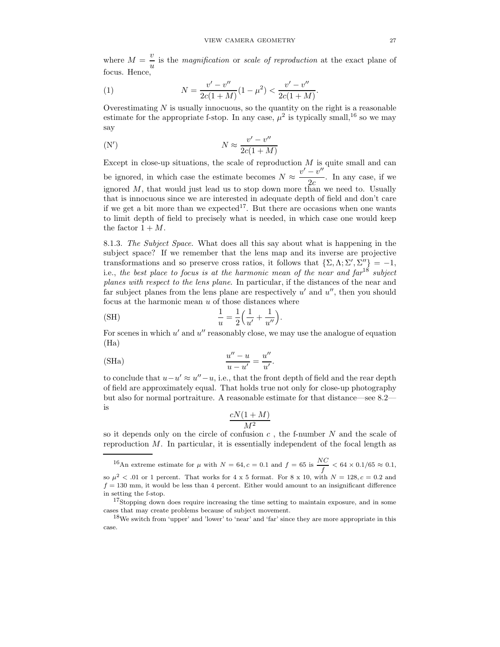where  $M = \frac{v}{c}$  $\frac{v}{u}$  is the *magnification* or *scale of reproduction* at the exact plane of focus. Hence,

(1) 
$$
N = \frac{v' - v''}{2c(1+M)}(1-\mu^2) < \frac{v' - v''}{2c(1+M)}.
$$

Overestimating  $N$  is usually innocuous, so the quantity on the right is a reasonable estimate for the appropriate f-stop. In any case,  $\mu^2$  is typically small,<sup>16</sup> so we may say

(N') 
$$
N \approx \frac{v' - v''}{2c(1+M)}
$$

Except in close-up situations, the scale of reproduction  $M$  is quite small and can be ignored, in which case the estimate becomes  $N \approx \frac{v' - v''}{2c}$  $\frac{c}{2c}$ . In any case, if we ignored  $M$ , that would just lead us to stop down more than we need to. Usually that is innocuous since we are interested in adequate depth of field and don't care if we get a bit more than we expected<sup>17</sup>. But there are occasions when one wants to limit depth of field to precisely what is needed, in which case one would keep the factor  $1 + M$ .

8.1.3. The Subject Space. What does all this say about what is happening in the subject space? If we remember that the lens map and its inverse are projective transformations and so preserve cross ratios, it follows that  $\{\Sigma, \Lambda, \Sigma', \Sigma''\} = -1$ , i.e., the best place to focus is at the harmonic mean of the near and  $\eta$ <sup>18</sup> subject planes with respect to the lens plane. In particular, if the distances of the near and far subject planes from the lens plane are respectively  $u'$  and  $u''$ , then you should focus at the harmonic mean u of those distances where

(SH) 
$$
\frac{1}{u} = \frac{1}{2} \left( \frac{1}{u'} + \frac{1}{u''} \right).
$$

For scenes in which  $u'$  and  $u''$  reasonably close, we may use the analogue of equation (Ha)

.

(SHa) 
$$
\frac{u'' - u}{u - u'} = \frac{u''}{u'}
$$

to conclude that  $u-u' \approx u''-u$ , i.e., that the front depth of field and the rear depth of field are approximately equal. That holds true not only for close-up photography but also for normal portraiture. A reasonable estimate for that distance—see 8.2 is

$$
\frac{cN(1+M)}{M^2}
$$

so it depends only on the circle of confusion  $c$ , the f-number  $N$  and the scale of reproduction  $M$ . In particular, it is essentially independent of the focal length as

<sup>&</sup>lt;sup>16</sup>An extreme estimate for  $\mu$  with  $N = 64$ ,  $c = 0.1$  and  $f = 65$  is  $\frac{NC}{a}$  $\frac{1}{f}$  < 64 × 0.1/65  $\approx$  0.1, so  $\mu^2$  < .01 or 1 percent. That works for 4 x 5 format. For 8 x 10, with  $N = 128$ ,  $c = 0.2$  and  $f = 130$  mm, it would be less than 4 percent. Either would amount to an insignificant difference in setting the f-stop.

<sup>&</sup>lt;sup>17</sup>Stopping down does require increasing the time setting to maintain exposure, and in some cases that may create problems because of subject movement.

<sup>&</sup>lt;sup>18</sup>We switch from 'upper' and 'lower' to 'near' and 'far' since they are more appropriate in this case.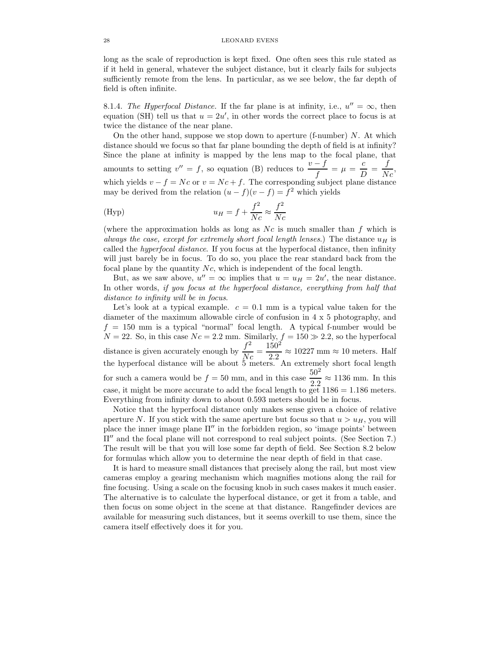long as the scale of reproduction is kept fixed. One often sees this rule stated as if it held in general, whatever the subject distance, but it clearly fails for subjects sufficiently remote from the lens. In particular, as we see below, the far depth of field is often infinite.

8.1.4. The Hyperfocal Distance. If the far plane is at infinity, i.e.,  $u'' = \infty$ , then equation (SH) tell us that  $u = 2u'$ , in other words the correct place to focus is at twice the distance of the near plane.

On the other hand, suppose we stop down to aperture (f-number)  $N$ . At which distance should we focus so that far plane bounding the depth of field is at infinity? Since the plane at infinity is mapped by the lens map to the focal plane, that amounts to setting  $v'' = f$ , so equation (B) reduces to  $\frac{v - f}{f} = \mu = \frac{c}{L}$  $\frac{c}{D} = \frac{f}{N}$  $\frac{J}{Nc}$ which yields  $v - f = Nc$  or  $v = Nc + f$ . The corresponding subject plane distance may be derived from the relation  $(u - f)(v - f) = f^2$  which yields

(Hyp) 
$$
u_H = f + \frac{f^2}{Nc} \approx \frac{f^2}{Nc}
$$

(where the approximation holds as long as  $Nc$  is much smaller than f which is always the case, except for extremely short focal length lenses.) The distance  $u_H$  is called the hyperfocal distance. If you focus at the hyperfocal distance, then infinity will just barely be in focus. To do so, you place the rear standard back from the focal plane by the quantity Nc, which is independent of the focal length.

But, as we saw above,  $u'' = \infty$  implies that  $u = u_H = 2u'$ , the near distance. In other words, if you focus at the hyperfocal distance, everything from half that distance to infinity will be in focus.

Let's look at a typical example.  $c = 0.1$  mm is a typical value taken for the diameter of the maximum allowable circle of confusion in 4 x 5 photography, and  $f = 150$  mm is a typical "normal" focal length. A typical f-number would be  $N = 22$ . So, in this case  $Nc = 2.2$  mm. Similarly,  $f = 150 \gg 2.2$ , so the hyperfocal distance is given accurately enough by  $\frac{f^2}{\lambda}$  $\frac{f^2}{Nc} = \frac{150^2}{2.2}$  $\frac{2.00}{2.2} \approx 10227$  mm  $\approx 10$  meters. Half the hyperfocal distance will be about 5 meters. An extremely short focal length for such a camera would be  $f = 50$  mm, and in this case  $\frac{50^2}{2.2} \approx 1136$  mm. In this case, it might be more accurate to add the focal length to get  $1186 = 1.186$  meters. Everything from infinity down to about 0.593 meters should be in focus.

Notice that the hyperfocal distance only makes sense given a choice of relative aperture N. If you stick with the same aperture but focus so that  $u > u_H$ , you will place the inner image plane  $\Pi''$  in the forbidden region, so 'image points' between Π′′ and the focal plane will not correspond to real subject points. (See Section 7.) The result will be that you will lose some far depth of field. See Section 8.2 below for formulas which allow you to determine the near depth of field in that case.

It is hard to measure small distances that precisely along the rail, but most view cameras employ a gearing mechanism which magnifies motions along the rail for fine focusing. Using a scale on the focusing knob in such cases makes it much easier. The alternative is to calculate the hyperfocal distance, or get it from a table, and then focus on some object in the scene at that distance. Rangefinder devices are available for measuring such distances, but it seems overkill to use them, since the camera itself effectively does it for you.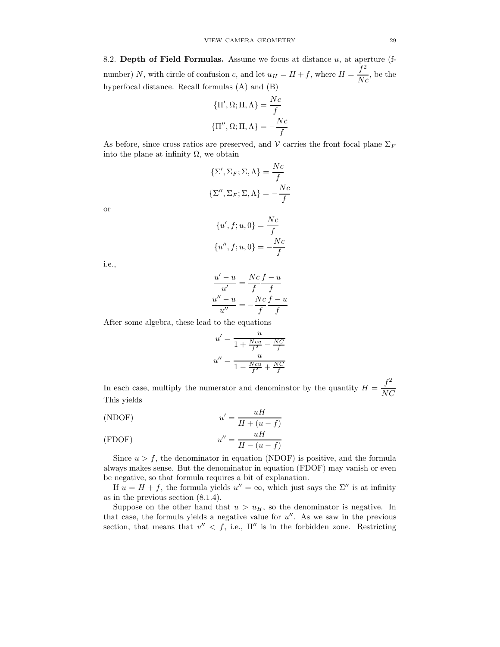8.2. Depth of Field Formulas. Assume we focus at distance  $u$ , at aperture (fnumber) N, with circle of confusion c, and let  $u_H = H + f$ , where  $H = \frac{f^2}{N}$  $\frac{J}{Nc}$ , be the hyperfocal distance. Recall formulas (A) and (B)

$$
\{\Pi', \Omega; \Pi, \Lambda\} = \frac{Nc}{f}
$$

$$
\{\Pi'', \Omega; \Pi, \Lambda\} = -\frac{Nc}{f}
$$

As before, since cross ratios are preserved, and  $\mathcal V$  carries the front focal plane  $\Sigma_F$ into the plane at infinity  $\Omega$ , we obtain

$$
\{\Sigma', \Sigma_F; \Sigma, \Lambda\} = \frac{Nc}{f}
$$

$$
\{\Sigma'', \Sigma_F; \Sigma, \Lambda\} = -\frac{Nc}{f}
$$

or

$$
\{u', f; u, 0\} = \frac{Nc}{f}
$$

$$
\{u'', f; u, 0\} = -\frac{Nc}{f}
$$

i.e.,

$$
\frac{u'-u}{u'} = \frac{Nc f - u}{f f}
$$

$$
\frac{u'' - u}{u''} = -\frac{Nc f - u}{f f}
$$

After some algebra, these lead to the equations

$$
u' = \frac{u}{1 + \frac{Ncu}{f^2} - \frac{NC}{f}}
$$

$$
u'' = \frac{u}{1 - \frac{Ncu}{f^2} + \frac{NC}{f}}
$$

In each case, multiply the numerator and denominator by the quantity  $H = \frac{f^2}{N}$ NC This yields

(NDOF) 
$$
u' = \frac{uH}{H + (u - f)}
$$

(FDOF) 
$$
u'' = \frac{uH}{H - (u - f)}
$$

Since  $u > f$ , the denominator in equation (NDOF) is positive, and the formula always makes sense. But the denominator in equation (FDOF) may vanish or even be negative, so that formula requires a bit of explanation.

If  $u = H + f$ , the formula yields  $u'' = \infty$ , which just says the  $\Sigma''$  is at infinity as in the previous section (8.1.4).

Suppose on the other hand that  $u > u_H$ , so the denominator is negative. In that case, the formula yields a negative value for  $u''$ . As we saw in the previous section, that means that  $v'' < f$ , i.e.,  $\Pi''$  is in the forbidden zone. Restricting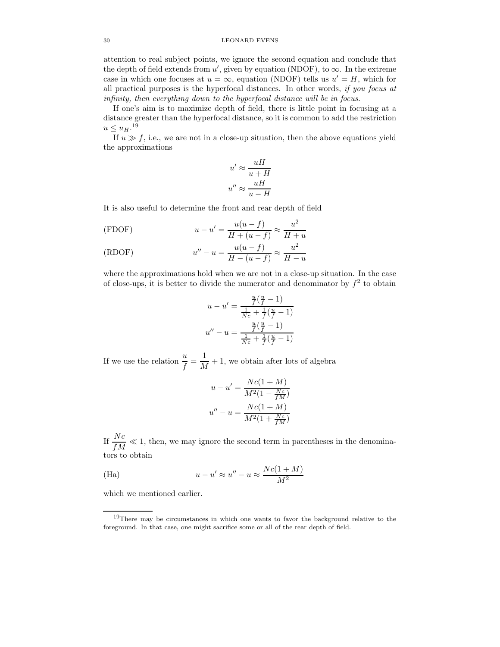attention to real subject points, we ignore the second equation and conclude that the depth of field extends from  $u'$ , given by equation (NDOF), to  $\infty$ . In the extreme case in which one focuses at  $u = \infty$ , equation (NDOF) tells us  $u' = H$ , which for all practical purposes is the hyperfocal distances. In other words, if you focus at infinity, then everything down to the hyperfocal distance will be in focus.

If one's aim is to maximize depth of field, there is little point in focusing at a distance greater than the hyperfocal distance, so it is common to add the restriction  $u \leq u_H$ .<sup>19</sup>

If  $u \gg f$ , i.e., we are not in a close-up situation, then the above equations yield the approximations

$$
u' \approx \frac{uH}{u+H}
$$

$$
u'' \approx \frac{uH}{u-H}
$$

It is also useful to determine the front and rear depth of field

(FDOF) 
$$
u - u' = \frac{u(u - f)}{H + (u - f)} \approx \frac{u^2}{H + u}
$$

(RDOF) 
$$
u'' - u = \frac{u(u - f)}{H - (u - f)} \approx \frac{u^2}{H - u}
$$

where the approximations hold when we are not in a close-up situation. In the case of close-ups, it is better to divide the numerator and denominator by  $f^2$  to obtain

$$
u - u' = \frac{\frac{u}{f}(\frac{u}{f} - 1)}{\frac{1}{Nc} + \frac{1}{f}(\frac{u}{f} - 1)}
$$

$$
u'' - u = \frac{\frac{u}{f}(\frac{u}{f} - 1)}{\frac{1}{Nc} + \frac{1}{f}(\frac{u}{f} - 1)}
$$

If we use the relation  $\frac{u}{f} = \frac{1}{M}$  $\frac{1}{M} + 1$ , we obtain after lots of algebra

$$
u - u' = \frac{Nc(1+M)}{M^2(1 - \frac{Nc}{fM})}
$$

$$
u'' - u = \frac{Nc(1+M)}{M^2(1 + \frac{Nc}{fM})}
$$

If  $\frac{Nc}{fM} \ll 1$ , then, we may ignore the second term in parentheses in the denominators to obtain

(Ha) 
$$
u - u' \approx u'' - u \approx \frac{Nc(1+M)}{M^2}
$$

which we mentioned earlier.

<sup>&</sup>lt;sup>19</sup>There may be circumstances in which one wants to favor the background relative to the foreground. In that case, one might sacrifice some or all of the rear depth of field.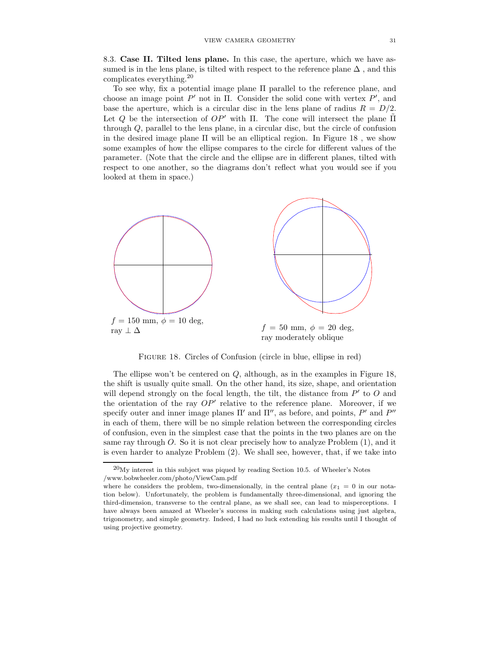8.3. Case II. Tilted lens plane. In this case, the aperture, which we have assumed is in the lens plane, is tilted with respect to the reference plane  $\Delta$ , and this complicates everything.<sup>20</sup>

To see why, fix a potential image plane Π parallel to the reference plane, and choose an image point  $P'$  not in  $\Pi$ . Consider the solid cone with vertex  $P'$ , and base the aperture, which is a circular disc in the lens plane of radius  $R = D/2$ . Let Q be the intersection of  $OP'$  with Π. The cone will intersect the plane Π through Q, parallel to the lens plane, in a circular disc, but the circle of confusion in the desired image plane  $\Pi$  will be an elliptical region. In Figure 18, we show some examples of how the ellipse compares to the circle for different values of the parameter. (Note that the circle and the ellipse are in different planes, tilted with respect to one another, so the diagrams don't reflect what you would see if you looked at them in space.)



FIGURE 18. Circles of Confusion (circle in blue, ellipse in red)

The ellipse won't be centered on Q, although, as in the examples in Figure 18, the shift is usually quite small. On the other hand, its size, shape, and orientation will depend strongly on the focal length, the tilt, the distance from  $P'$  to  $O$  and the orientation of the ray  $OP'$  relative to the reference plane. Moreover, if we specify outer and inner image planes  $\Pi'$  and  $\Pi''$ , as before, and points,  $P'$  and  $P''$ in each of them, there will be no simple relation between the corresponding circles of confusion, even in the simplest case that the points in the two planes are on the same ray through  $O$ . So it is not clear precisely how to analyze Problem  $(1)$ , and it is even harder to analyze Problem (2). We shall see, however, that, if we take into

 $^{20}$ My interest in this subject was piqued by reading Section 10.5. of Wheeler's Notes /www.bobwheeler.com/photo/ViewCam.pdf

where he considers the problem, two-dimensionally, in the central plane  $(x_1 = 0$  in our notation below). Unfortunately, the problem is fundamentally three-dimensional, and ignoring the third-dimension, transverse to the central plane, as we shall see, can lead to misperceptions. I have always been amazed at Wheeler's success in making such calculations using just algebra, trigonometry, and simple geometry. Indeed, I had no luck extending his results until I thought of using projective geometry.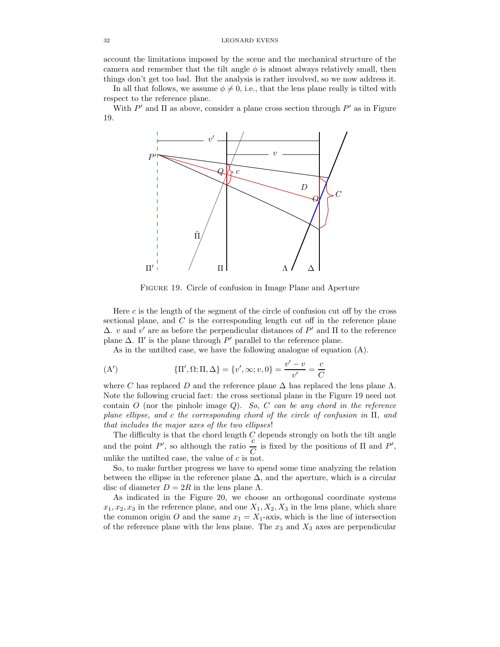account the limitations imposed by the scene and the mechanical structure of the camera and remember that the tilt angle  $\phi$  is almost always relatively small, then things don't get too bad. But the analysis is rather involved, so we now address it.

In all that follows, we assume  $\phi \neq 0$ , i.e., that the lens plane really is tilted with respect to the reference plane.

With  $P'$  and  $\Pi$  as above, consider a plane cross section through  $P'$  as in Figure 19.



Figure 19. Circle of confusion in Image Plane and Aperture

Here c is the length of the segment of the circle of confusion cut off by the cross sectional plane, and  $C$  is the corresponding length cut off in the reference plane  $Δ$ . *v* and *v'* are as before the perpendicular distances of P' and Π to the reference plane  $\Delta$ . II' is the plane through  $P'$  parallel to the reference plane.

As in the untilted case, we have the following analogue of equation (A).

(A') 
$$
\{\Pi', \Omega; \Pi, \Delta\} = \{v', \infty; v, 0\} = \frac{v' - v}{v'} = \frac{c}{C}
$$

where C has replaced D and the reference plane  $\Delta$  has replaced the lens plane  $\Lambda$ . Note the following crucial fact: the cross sectional plane in the Figure 19 need not contain  $O$  (nor the pinhole image  $Q$ ). So, C can be any chord in the reference plane ellipse, and c the corresponding chord of the circle of confusion in Π, and that includes the major axes of the two ellipses!

The difficulty is that the chord length  $C$  depends strongly on both the tilt angle and the point  $P'$ , so although the ratio  $\frac{c}{C}$  is fixed by the positions of  $\Pi$  and  $P'$ , unlike the untilted case, the value of  $c$  is not.

So, to make further progress we have to spend some time analyzing the relation between the ellipse in the reference plane  $\Delta$ , and the aperture, which is a circular disc of diameter  $D = 2R$  in the lens plane  $\Lambda$ .

As indicated in the Figure 20, we choose an orthogonal coordinate systems  $x_1, x_2, x_3$  in the reference plane, and one  $X_1, X_2, X_3$  in the lens plane, which share the common origin O and the same  $x_1 = X_1$ -axis, which is the line of intersection of the reference plane with the lens plane. The  $x_3$  and  $X_3$  axes are perpendicular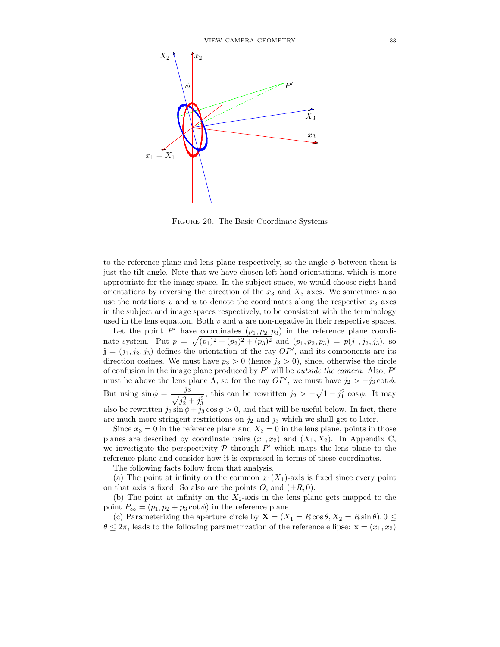

Figure 20. The Basic Coordinate Systems

to the reference plane and lens plane respectively, so the angle  $\phi$  between them is just the tilt angle. Note that we have chosen left hand orientations, which is more appropriate for the image space. In the subject space, we would choose right hand orientations by reversing the direction of the  $x_3$  and  $X_3$  axes. We sometimes also use the notations  $v$  and  $u$  to denote the coordinates along the respective  $x_3$  axes in the subject and image spaces respectively, to be consistent with the terminology used in the lens equation. Both  $v$  and  $u$  are non-negative in their respective spaces.

Let the point  $P'$  have coordinates  $(p_1, p_2, p_3)$  in the reference plane coordinate system. Put  $p = \sqrt{(p_1)^2 + (p_2)^2 + (p_3)^2}$  and  $(p_1, p_2, p_3) = p(j_1, j_2, j_3)$ , so  $\mathbf{j} = (j_1, j_2, j_3)$  defines the orientation of the ray  $OP'$ , and its components are its direction cosines. We must have  $p_3 > 0$  (hence  $j_3 > 0$ ), since, otherwise the circle of confusion in the image plane produced by  $P'$  will be *outside the camera*. Also,  $P'$ must be above the lens plane  $\Lambda$ , so for the ray  $OP'$ , we must have  $j_2 > -j_3 \cot \phi$ . But using  $\sin \phi = \frac{j_3}{\sqrt{3}}$  $\frac{J_3}{\sqrt{j_2^2 + j_3^2}}$ , this can be rewritten  $j_2 > -\sqrt{1 - j_1^2} \cos \phi$ . It may also be rewritten  $j_2 \sin \phi + j_3 \cos \phi > 0$ , and that will be useful below. In fact, there are much more stringent restrictions on  $j_2$  and  $j_3$  which we shall get to later.

Since  $x_3 = 0$  in the reference plane and  $X_3 = 0$  in the lens plane, points in those planes are described by coordinate pairs  $(x_1, x_2)$  and  $(X_1, X_2)$ . In Appendix C, we investigate the perspectivity  $P$  through  $P'$  which maps the lens plane to the reference plane and consider how it is expressed in terms of these coordinates.

The following facts follow from that analysis.

(a) The point at infinity on the common  $x_1(X_1)$ -axis is fixed since every point on that axis is fixed. So also are the points O, and  $(\pm R, 0)$ .

(b) The point at infinity on the  $X_2$ -axis in the lens plane gets mapped to the point  $P_{\infty} = (p_1, p_2 + p_3 \cot \phi)$  in the reference plane.

(c) Parameterizing the aperture circle by  $\mathbf{X} = (X_1 = R\cos\theta, X_2 = R\sin\theta), 0 \leq \theta$  $\theta \leq 2\pi$ , leads to the following parametrization of the reference ellipse:  $\mathbf{x} = (x_1, x_2)$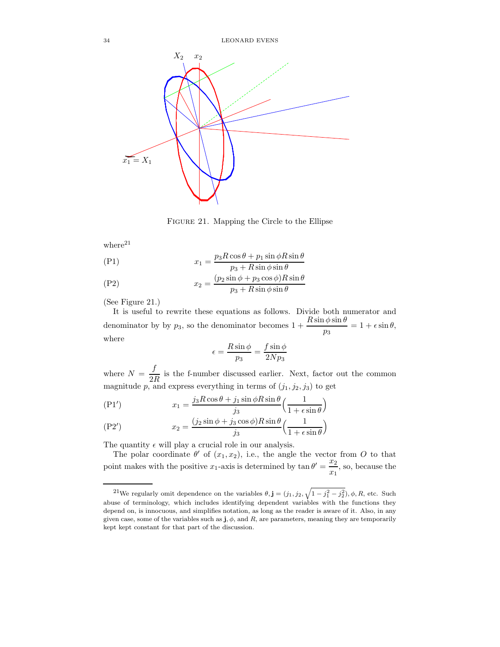34 LEONARD EVENS



Figure 21. Mapping the Circle to the Ellipse

where $^{21}$ 

$$
(P1) \t\t x_1 = \frac{p_3 R \cos \theta + p_1 \sin \phi R \sin \theta}{p_3 + R \sin \phi \sin \theta}
$$

(P2) 
$$
x_2 = \frac{(p_2 \sin \phi + p_3 \cos \phi)R \sin \theta}{p_3 + R \sin \phi \sin \theta}
$$

(See Figure 21.)

It is useful to rewrite these equations as follows. Divide both numerator and denominator by by  $p_3$ , so the denominator becomes  $1 + \frac{R \sin \phi \sin \theta}{p_3} = 1 + \epsilon \sin \theta$ , where

$$
\epsilon = \frac{R\sin\phi}{p_3} = \frac{f\sin\phi}{2Np_3}
$$

where  $N = \frac{f}{2}$  $\frac{J}{2R}$  is the f-number discussed earlier. Next, factor out the common magnitude p, and express everything in terms of  $(j_1, j_2, j_3)$  to get

$$
(P1') \t x_1 = \frac{j_3 R \cos \theta + j_1 \sin \phi R \sin \theta}{j_3} \left(\frac{1}{1 + \epsilon \sin \theta}\right)
$$

$$
(P2') \t x_2 = \frac{(j_2 \sin \phi + j_3 \cos \phi)R \sin \theta}{j_3} \left(\frac{1}{1 + \epsilon \sin \theta}\right)
$$

The quantity  $\epsilon$  will play a crucial role in our analysis.

The polar coordinate  $\theta'$  of  $(x_1, x_2)$ , i.e., the angle the vector from O to that point makes with the positive  $x_1$ -axis is determined by  $\tan \theta' = \frac{x_2}{x_1}$  $\frac{1}{x_1}$ , so, because the

<sup>&</sup>lt;sup>21</sup>We regularly omit dependence on the variables  $\theta, \mathbf{j} = (j_1, j_2, \sqrt{1 - j_1^2 - j_2^2}), \phi, R$ , etc. Such abuse of terminology, which includes identifying dependent variables with the functions they depend on, is innocuous, and simplifies notation, as long as the reader is aware of it. Also, in any given case, some of the variables such as  $\mathbf{j}, \phi$ , and R, are parameters, meaning they are temporarily kept kept constant for that part of the discussion.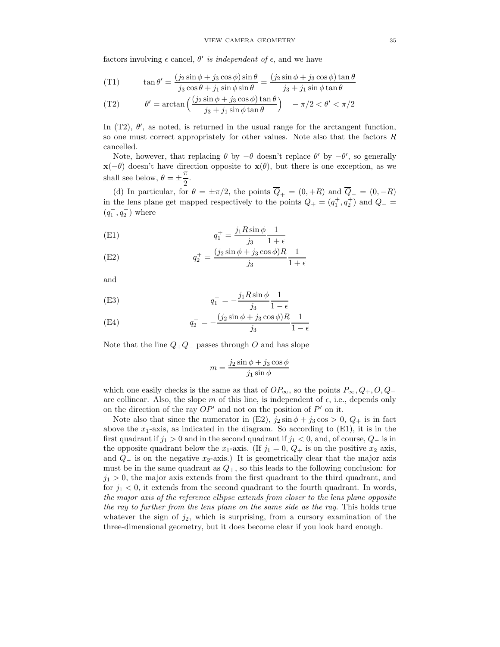factors involving  $\epsilon$  cancel,  $\theta'$  is independent of  $\epsilon$ , and we have

$$
(T1) \qquad \tan \theta' = \frac{(j_2 \sin \phi + j_3 \cos \phi) \sin \theta}{j_3 \cos \theta + j_1 \sin \phi \sin \theta} = \frac{(j_2 \sin \phi + j_3 \cos \phi) \tan \theta}{j_3 + j_1 \sin \phi \tan \theta}
$$

(T2) 
$$
\theta' = \arctan\left(\frac{(j_2 \sin \phi + j_3 \cos \phi) \tan \theta}{j_3 + j_1 \sin \phi \tan \theta}\right) \quad -\pi/2 < \theta' < \pi/2
$$

In  $(T2)$ ,  $\theta'$ , as noted, is returned in the usual range for the arctangent function, so one must correct appropriately for other values. Note also that the factors R cancelled.

Note, however, that replacing  $\theta$  by  $-\theta$  doesn't replace  $\theta'$  by  $-\theta'$ , so generally  $\mathbf{x}(-\theta)$  doesn't have direction opposite to  $\mathbf{x}(\theta)$ , but there is one exception, as we shall see below,  $\theta = \pm \frac{\pi}{2}$  $\frac{1}{2}$ .

(d) In particular, for  $\theta = \pm \pi/2$ , the points  $\overline{Q}_+ = (0, +R)$  and  $\overline{Q}_- = (0, -R)$ in the lens plane get mapped respectively to the points  $Q_{+} = (q_1^+, q_2^+)$  and  $Q_{-} =$  $\left(q_1^{-},q_2^{-}\right)$  where

(E1) 
$$
q_1^+ = \frac{j_1 R \sin \phi}{j_3} \frac{1}{1 + \epsilon}
$$

(E2) 
$$
q_2^+ = \frac{(j_2 \sin \phi + j_3 \cos \phi)R}{j_3} \frac{1}{1+\epsilon}
$$

and

(E3) 
$$
q_1^- = -\frac{j_1 R \sin \phi}{j_3} \frac{1}{1 - \epsilon}
$$

(E4) 
$$
q_2^- = -\frac{(j_2 \sin \phi + j_3 \cos \phi)R}{j_3} \frac{1}{1 - \epsilon}
$$

Note that the line  $Q_+Q_-$  passes through O and has slope

$$
m = \frac{j_2 \sin \phi + j_3 \cos \phi}{j_1 \sin \phi}
$$

which one easily checks is the same as that of  $OP_{\infty}$ , so the points  $P_{\infty}, Q_{+}, O, Q_{-}$ are collinear. Also, the slope m of this line, is independent of  $\epsilon$ , i.e., depends only on the direction of the ray  $OP'$  and not on the position of  $P'$  on it.

Note also that since the numerator in (E2),  $j_2 \sin \phi + j_3 \cos > 0$ ,  $Q_+$  is in fact above the  $x_1$ -axis, as indicated in the diagram. So according to  $(E1)$ , it is in the first quadrant if  $j_1 > 0$  and in the second quadrant if  $j_1 < 0$ , and, of course,  $Q_-\$  is in the opposite quadrant below the  $x_1$ -axis. (If  $j_1 = 0, Q_+$  is on the positive  $x_2$  axis, and  $Q_$  is on the negative  $x_2$ -axis.) It is geometrically clear that the major axis must be in the same quadrant as  $Q_{+}$ , so this leads to the following conclusion: for  $j_1 > 0$ , the major axis extends from the first quadrant to the third quadrant, and for  $j_1 < 0$ , it extends from the second quadrant to the fourth quadrant. In words, the major axis of the reference ellipse extends from closer to the lens plane opposite the ray to further from the lens plane on the same side as the ray. This holds true whatever the sign of  $j_2$ , which is surprising, from a cursory examination of the three-dimensional geometry, but it does become clear if you look hard enough.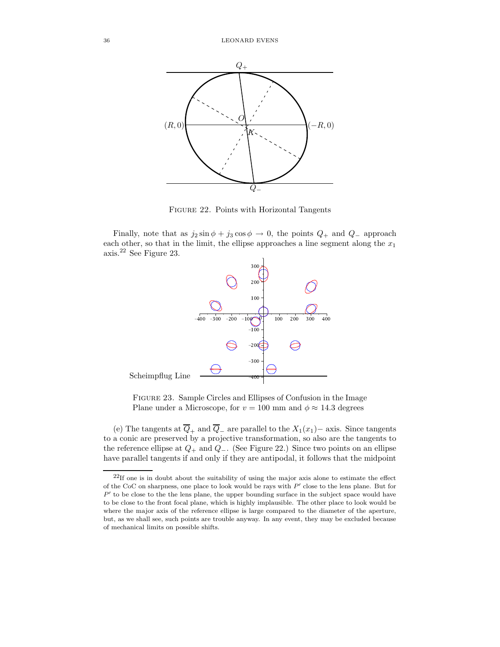

Figure 22. Points with Horizontal Tangents

Finally, note that as  $j_2 \sin \phi + j_3 \cos \phi \rightarrow 0$ , the points  $Q_+$  and  $Q_-$  approach each other, so that in the limit, the ellipse approaches a line segment along the  $x_1$ axis.<sup>22</sup> See Figure 23.



Figure 23. Sample Circles and Ellipses of Confusion in the Image Plane under a Microscope, for  $v = 100$  mm and  $\phi \approx 14.3$  degrees

(e) The tangents at  $\overline{Q}_+$  and  $\overline{Q}_-$  are parallel to the  $X_1(x_1)$ − axis. Since tangents to a conic are preserved by a projective transformation, so also are the tangents to the reference ellipse at  $Q_+$  and  $Q_-$ . (See Figure 22.) Since two points on an ellipse have parallel tangents if and only if they are antipodal, it follows that the midpoint

 $22$ If one is in doubt about the suitability of using the major axis alone to estimate the effect of the CoC on sharpness, one place to look would be rays with  $P'$  close to the lens plane. But for  $P'$  to be close to the the lens plane, the upper bounding surface in the subject space would have to be close to the front focal plane, which is highly implausible. The other place to look would be where the major axis of the reference ellipse is large compared to the diameter of the aperture, but, as we shall see, such points are trouble anyway. In any event, they may be excluded because of mechanical limits on possible shifts.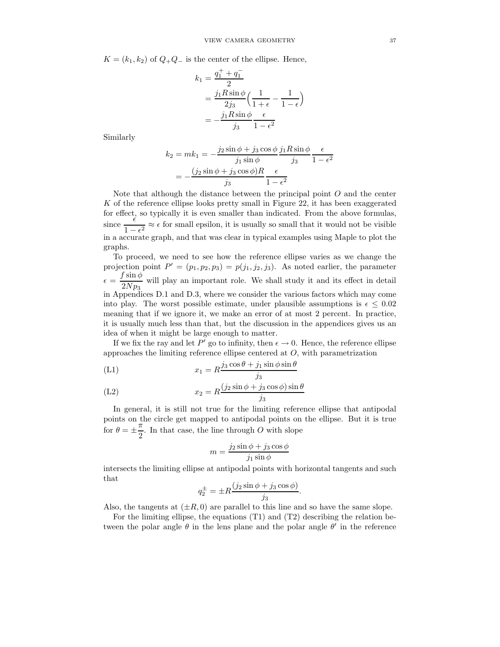$K = (k_1, k_2)$  of  $Q_{+}Q_{-}$  is the center of the ellipse. Hence,

$$
k_1 = \frac{q_1^+ + q_1^-}{2}
$$
  
= 
$$
\frac{j_1 R \sin \phi}{2j_3} \left( \frac{1}{1 + \epsilon} - \frac{1}{1 - \epsilon} \right)
$$
  
= 
$$
-\frac{j_1 R \sin \phi}{j_3} \frac{\epsilon}{1 - \epsilon^2}
$$

Similarly

$$
k_2 = mk_1 = -\frac{j_2 \sin \phi + j_3 \cos \phi}{j_1 \sin \phi} \frac{j_1 R \sin \phi}{j_3} \frac{\epsilon}{1 - \epsilon^2}
$$

$$
= -\frac{(j_2 \sin \phi + j_3 \cos \phi)R}{j_3} \frac{\epsilon}{1 - \epsilon^2}
$$

Note that although the distance between the principal point  $O$  and the center K of the reference ellipse looks pretty small in Figure 22, it has been exaggerated for effect, so typically it is even smaller than indicated. From the above formulas,  $\frac{\epsilon}{1}$  $\frac{1}{1 - \epsilon^2} \approx \epsilon$  for small epsilon, it is usually so small that it would not be visible<br>cause graph and that was clear in tunical grapples wing Maple to plot the in a accurate graph, and that was clear in typical examples using Maple to plot the graphs.

To proceed, we need to see how the reference ellipse varies as we change the projection point  $P' = (p_1, p_2, p_3) = p(j_1, j_2, j_3)$ . As noted earlier, the parameter  $\epsilon = \frac{f \sin \phi}{2N}$  $\frac{\sqrt{2Np_3}}{2Np_3}$  will play an important role. We shall study it and its effect in detail in Appendices D.1 and D.3, where we consider the various factors which may come into play. The worst possible estimate, under plausible assumptions is  $\epsilon \leq 0.02$ meaning that if we ignore it, we make an error of at most 2 percent. In practice, it is usually much less than that, but the discussion in the appendices gives us an idea of when it might be large enough to matter.

If we fix the ray and let P' go to infinity, then  $\epsilon \to 0$ . Hence, the reference ellipse approaches the limiting reference ellipse centered at  $O$ , with parametrization

$$
(L1) \t\t x_1 = R \frac{j_3 \cos \theta + j_1 \sin \phi \sin \theta}{j_3}
$$

$$
(L2) \t\t x_2 = R \frac{(j_2 \sin \phi + j_3 \cos \phi) \sin \theta}{j_3}
$$

In general, it is still not true for the limiting reference ellipse that antipodal points on the circle get mapped to antipodal points on the ellipse. But it is true for  $\theta = \pm \frac{\pi}{2}$  $\frac{\pi}{2}$ . In that case, the line through O with slope

$$
m=\frac{j_2\sin\phi+j_3\cos\phi}{j_1\sin\phi}
$$

intersects the limiting ellipse at antipodal points with horizontal tangents and such that

$$
q_2^{\pm} = \pm R \frac{(j_2 \sin \phi + j_3 \cos \phi)}{j_3}.
$$

Also, the tangents at  $(\pm R, 0)$  are parallel to this line and so have the same slope.

For the limiting ellipse, the equations (T1) and (T2) describing the relation between the polar angle  $\theta$  in the lens plane and the polar angle  $\theta'$  in the reference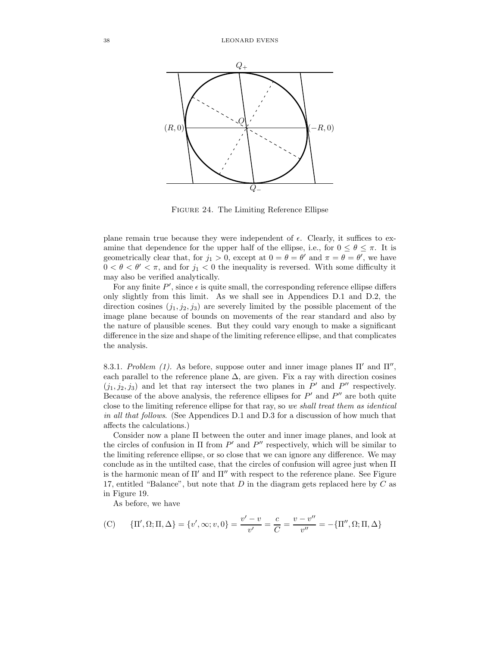

Figure 24. The Limiting Reference Ellipse

plane remain true because they were independent of  $\epsilon$ . Clearly, it suffices to examine that dependence for the upper half of the ellipse, i.e., for  $0 \le \theta \le \pi$ . It is geometrically clear that, for  $j_1 > 0$ , except at  $0 = \theta = \theta'$  and  $\pi = \theta = \theta'$ , we have  $0 < \theta < \theta' < \pi$ , and for  $j_1 < 0$  the inequality is reversed. With some difficulty it may also be verified analytically.

For any finite  $P'$ , since  $\epsilon$  is quite small, the corresponding reference ellipse differs only slightly from this limit. As we shall see in Appendices D.1 and D.2, the direction cosines  $(j_1, j_2, j_3)$  are severely limited by the possible placement of the image plane because of bounds on movements of the rear standard and also by the nature of plausible scenes. But they could vary enough to make a significant difference in the size and shape of the limiting reference ellipse, and that complicates the analysis.

8.3.1. Problem (1). As before, suppose outer and inner image planes  $\Pi'$  and  $\Pi''$ , each parallel to the reference plane  $\Delta$ , are given. Fix a ray with direction cosines  $(j_1, j_2, j_3)$  and let that ray intersect the two planes in  $P'$  and  $P''$  respectively. Because of the above analysis, the reference ellipses for  $P'$  and  $P''$  are both quite close to the limiting reference ellipse for that ray, so we shall treat them as identical in all that follows. (See Appendices D.1 and D.3 for a discussion of how much that affects the calculations.)

Consider now a plane Π between the outer and inner image planes, and look at the circles of confusion in  $\Pi$  from  $P'$  and  $P''$  respectively, which will be similar to the limiting reference ellipse, or so close that we can ignore any difference. We may conclude as in the untilted case, that the circles of confusion will agree just when Π is the harmonic mean of  $\Pi'$  and  $\Pi''$  with respect to the reference plane. See Figure 17, entitled "Balance", but note that  $D$  in the diagram gets replaced here by  $C$  as in Figure 19.

As before, we have

(C) {
$$
\Pi', \Omega; \Pi, \Delta
$$
} = { $v', \infty; v, 0$ } =  $\frac{v' - v}{v'} = \frac{c}{C} = \frac{v - v''}{v''} = -\{\Pi'', \Omega; \Pi, \Delta\}$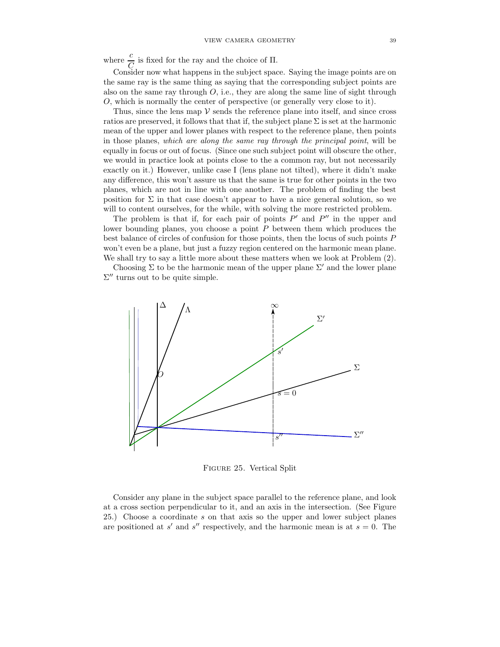where  $\frac{c}{C}$  is fixed for the ray and the choice of  $\Pi$ .

 $C \nvert C$  is meaned for the ray and the subject space. Saying the image points are on Consider now what happens in the subject space. Saying the image points are on the same ray is the same thing as saying that the corresponding subject points are also on the same ray through  $O$ , i.e., they are along the same line of sight through O, which is normally the center of perspective (or generally very close to it).

Thus, since the lens map  $V$  sends the reference plane into itself, and since cross ratios are preserved, it follows that that if, the subject plane  $\Sigma$  is set at the harmonic mean of the upper and lower planes with respect to the reference plane, then points in those planes, which are along the same ray through the principal point, will be equally in focus or out of focus. (Since one such subject point will obscure the other, we would in practice look at points close to the a common ray, but not necessarily exactly on it.) However, unlike case I (lens plane not tilted), where it didn't make any difference, this won't assure us that the same is true for other points in the two planes, which are not in line with one another. The problem of finding the best position for  $\Sigma$  in that case doesn't appear to have a nice general solution, so we will to content ourselves, for the while, with solving the more restricted problem.

The problem is that if, for each pair of points  $P'$  and  $P''$  in the upper and lower bounding planes, you choose a point  $P$  between them which produces the best balance of circles of confusion for those points, then the locus of such points P won't even be a plane, but just a fuzzy region centered on the harmonic mean plane. We shall try to say a little more about these matters when we look at Problem (2).

Choosing  $\Sigma$  to be the harmonic mean of the upper plane  $\Sigma'$  and the lower plane  $\Sigma''$  turns out to be quite simple.



Figure 25. Vertical Split

Consider any plane in the subject space parallel to the reference plane, and look at a cross section perpendicular to it, and an axis in the intersection. (See Figure 25.) Choose a coordinate s on that axis so the upper and lower subject planes are positioned at s' and s'' respectively, and the harmonic mean is at  $s = 0$ . The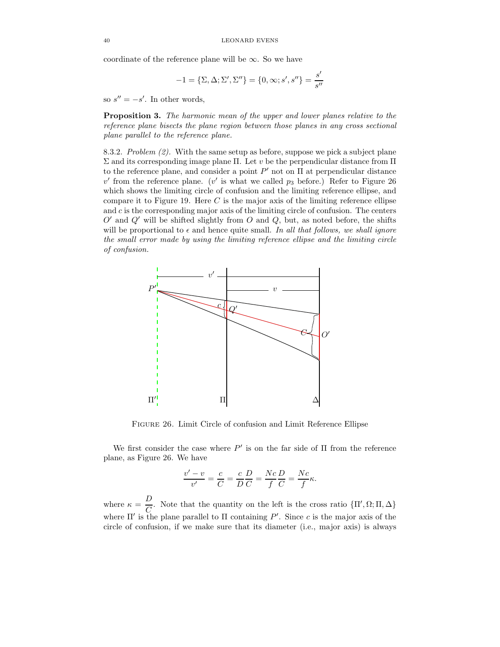coordinate of the reference plane will be  $\infty$ . So we have

$$
-1 = {\Sigma, \Delta; \Sigma', \Sigma''} = {0, \infty; s', s''} = \frac{s'}{s''}
$$

so  $s'' = -s'$ . In other words,

Proposition 3. The harmonic mean of the upper and lower planes relative to the reference plane bisects the plane region between those planes in any cross sectional plane parallel to the reference plane.

8.3.2. Problem  $(2)$ . With the same setup as before, suppose we pick a subject plane Σ and its corresponding image plane Π. Let v be the perpendicular distance from Π to the reference plane, and consider a point  $P'$  not on  $\Pi$  at perpendicular distance  $v'$  from the reference plane. (v' is what we called  $p_3$  before.) Refer to Figure 26 which shows the limiting circle of confusion and the limiting reference ellipse, and compare it to Figure 19. Here  $C$  is the major axis of the limiting reference ellipse and  $c$  is the corresponding major axis of the limiting circle of confusion. The centers  $O'$  and  $Q'$  will be shifted slightly from  $O$  and  $Q$ , but, as noted before, the shifts will be proportional to  $\epsilon$  and hence quite small. In all that follows, we shall ignore the small error made by using the limiting reference ellipse and the limiting circle of confusion.



Figure 26. Limit Circle of confusion and Limit Reference Ellipse

We first consider the case where  $P'$  is on the far side of  $\Pi$  from the reference plane, as Figure 26. We have

$$
\frac{v'-v}{v'} = \frac{c}{C} = \frac{c}{D}\frac{D}{C} = \frac{Nc}{f}\frac{D}{C} = \frac{Nc}{f}\kappa.
$$

where  $\kappa = \frac{D}{Q}$  $\frac{D}{C}$ . Note that the quantity on the left is the cross ratio  ${\{\Pi', \Omega, \Pi, \Delta\}}$ where  $\Pi'$  is the plane parallel to  $\Pi$  containing  $P'$ . Since c is the major axis of the circle of confusion, if we make sure that its diameter (i.e., major axis) is always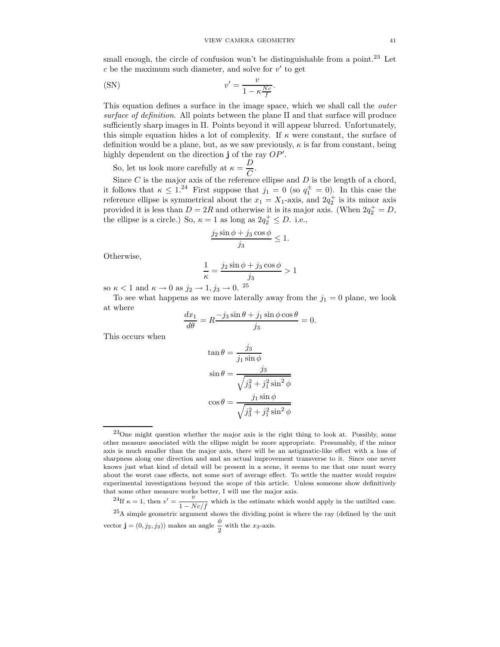small enough, the circle of confusion won't be distinguishable from a point.<sup>23</sup> Let  $c$  be the maximum such diameter, and solve for  $v'$  to get

(SN) 
$$
v' = \frac{v}{1 - \kappa \frac{Nc}{f}}.
$$

This equation defines a surface in the image space, which we shall call the *outer* surface of definition. All points between the plane  $\Pi$  and that surface will produce sufficiently sharp images in Π. Points beyond it will appear blurred. Unfortunately, this simple equation hides a lot of complexity. If  $\kappa$  were constant, the surface of definition would be a plane, but, as we saw previously,  $\kappa$  is far from constant, being highly dependent on the direction  $\mathbf{j}$  of the ray  $OP'$ .

So, let us look more carefully at  $\kappa = \frac{D}{C}$ .

Since C is the major axis of the reference ellipse and D is the length of a chord, it follows that  $\kappa \leq 1^{24}$  First suppose that  $j_1 = 0$  (so  $q_1^{\pm} = 0$ ). In this case the reference ellipse is symmetrical about the  $x_1 = X_1$ -axis, and  $2q_2^+$  is its minor axis provided it is less than  $D = 2R$  and otherwise it is its major axis. (When  $2q_2^+ = D$ , the ellipse is a circle.) So,  $\kappa = 1$  as long as  $2q_2^+ \leq D$ . i.e.,

$$
\frac{j_2 \sin \phi + j_3 \cos \phi}{j_3} \le 1.
$$

Otherwise,

$$
\frac{1}{\kappa} = \frac{j_2 \sin \phi + j_3 \cos \phi}{j_3} > 1
$$

so  $\kappa < 1$  and  $\kappa \to 0$  as  $j_2 \to 1, j_3 \to 0$ . <sup>25</sup>

To see what happens as we move laterally away from the  $j_1 = 0$  plane, we look at where

$$
\frac{dx_1}{d\theta} = R \frac{-j_3 \sin \theta + j_1 \sin \phi \cos \theta}{j_3} = 0.
$$

This occurs when

$$
\tan \theta = \frac{j_3}{j_1 \sin \phi}
$$

$$
\sin \theta = \frac{j_3}{\sqrt{j_3^2 + j_1^2 \sin^2 \phi}}
$$

$$
\cos \theta = \frac{j_1 \sin \phi}{\sqrt{j_3^2 + j_1^2 \sin^2 \phi}}
$$

 $^{23}$ One might question whether the major axis is the right thing to look at. Possibly, some other measure associated with the ellipse might be more appropriate. Presumably, if the minor axis is much smaller than the major axis, there will be an astigmatic-like effect with a loss of sharpness along one direction and and an actual improvement transverse to it. Since one never knows just what kind of detail will be present in a scene, it seems to me that one must worry about the worst case effects, not some sort of average effect. To settle the matter would require experimental investigations beyond the scope of this article. Unless someone show definitively that some other measure works better, I will use the major axis.

<sup>&</sup>lt;sup>24</sup>If  $\kappa = 1$ , then  $v' = \frac{v}{1-v}$  $\frac{1 - N}{1 - Nc/f}$  which is the estimate which would apply in the untilted case. <sup>25</sup>A simple geometric argument shows the dividing point is where the ray (defined by the unit vector **j** =  $(0, j_2, j_3)$ ) makes an angle  $\frac{\phi}{2}$  with the *x*<sub>3</sub>-axis.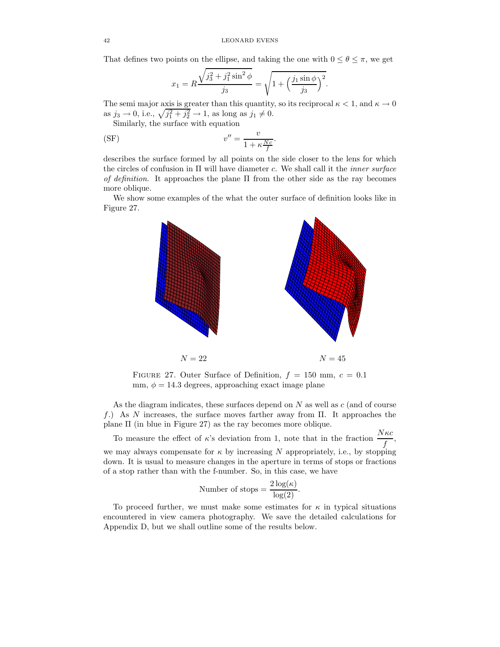That defines two points on the ellipse, and taking the one with  $0 \le \theta \le \pi$ , we get

$$
x_1 = R \frac{\sqrt{j_3^2 + j_1^2 \sin^2 \phi}}{j_3} = \sqrt{1 + \left(\frac{j_1 \sin \phi}{j_3}\right)^2}.
$$

The semi major axis is greater than this quantity, so its reciprocal  $\kappa < 1$ , and  $\kappa \to 0$ as  $j_3 \to 0$ , i.e.,  $\sqrt{j_1^2 + j_2^2} \to 1$ , as long as  $j_1 \neq 0$ .

Similarly, the surface with equation

$$
v'' = \frac{v}{1 + \kappa \frac{Nc}{f}}.
$$

describes the surface formed by all points on the side closer to the lens for which the circles of confusion in  $\Pi$  will have diameter c. We shall call it the *inner surface* of definition. It approaches the plane  $\Pi$  from the other side as the ray becomes more oblique.

We show some examples of the what the outer surface of definition looks like in Figure 27.



FIGURE 27. Outer Surface of Definition,  $f = 150$  mm,  $c = 0.1$ mm,  $\phi = 14.3$  degrees, approaching exact image plane

As the diagram indicates, these surfaces depend on  $N$  as well as  $c$  (and of course f.) As N increases, the surface moves farther away from  $\Pi$ . It approaches the plane Π (in blue in Figure 27) as the ray becomes more oblique.

To measure the effect of  $\kappa$ 's deviation from 1, note that in the fraction  $\frac{N\kappa c}{f}$ , we may always compensate for  $\kappa$  by increasing N appropriately, i.e., by stopping down. It is usual to measure changes in the aperture in terms of stops or fractions of a stop rather than with the f-number. So, in this case, we have

Number of stops = 
$$
\frac{2 \log(\kappa)}{\log(2)}.
$$

To proceed further, we must make some estimates for  $\kappa$  in typical situations encountered in view camera photography. We save the detailed calculations for Appendix D, but we shall outline some of the results below.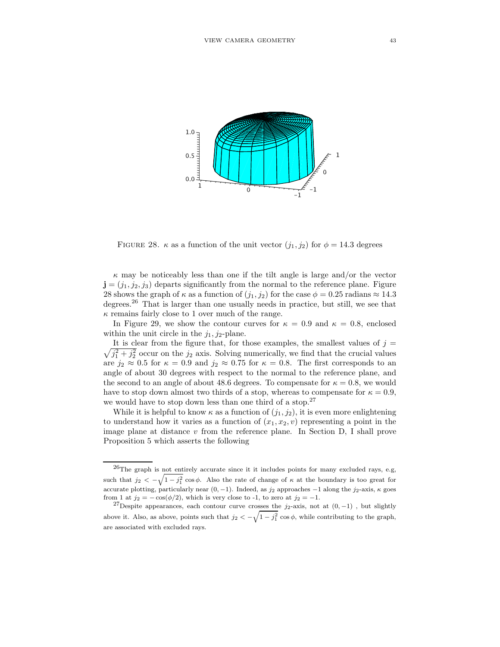

FIGURE 28.  $\kappa$  as a function of the unit vector  $(j_1, j_2)$  for  $\phi = 14.3$  degrees

 $\kappa$  may be noticeably less than one if the tilt angle is large and/or the vector  $\mathbf{j} = (j_1, j_2, j_3)$  departs significantly from the normal to the reference plane. Figure 28 shows the graph of  $\kappa$  as a function of  $(j_1, j_2)$  for the case  $\phi = 0.25$  radians  $\approx 14.3$ degrees.<sup>26</sup> That is larger than one usually needs in practice, but still, we see that  $\kappa$  remains fairly close to 1 over much of the range.

In Figure 29, we show the contour curves for  $\kappa = 0.9$  and  $\kappa = 0.8$ , enclosed within the unit circle in the  $j_1$ ,  $j_2$ -plane.

 $\sqrt{j_1^2 + j_2^2}$  occur on the  $j_2$  axis. Solving numerically, we find that the crucial values It is clear from the figure that, for those examples, the smallest values of  $j =$ are  $j_2 \approx 0.5$  for  $\kappa = 0.9$  and  $j_2 \approx 0.75$  for  $\kappa = 0.8$ . The first corresponds to an angle of about 30 degrees with respect to the normal to the reference plane, and the second to an angle of about 48.6 degrees. To compensate for  $\kappa = 0.8$ , we would have to stop down almost two thirds of a stop, whereas to compensate for  $\kappa = 0.9$ , we would have to stop down less than one third of a stop.<sup>27</sup>

While it is helpful to know  $\kappa$  as a function of  $(j_1, j_2)$ , it is even more enlightening to understand how it varies as a function of  $(x_1, x_2, v)$  representing a point in the image plane at distance  $v$  from the reference plane. In Section D, I shall prove Proposition 5 which asserts the following

<sup>26</sup>The graph is not entirely accurate since it it includes points for many excluded rays, e.g, such that  $j_2 < -\sqrt{1-j_1^2} \cos \phi$ . Also the rate of change of  $\kappa$  at the boundary is too great for accurate plotting, particularly near  $(0, -1)$ . Indeed, as j<sub>2</sub> approaches  $-1$  along the j<sub>2</sub>-axis,  $\kappa$  goes from 1 at  $j_2 = -\cos(\phi/2)$ , which is very close to -1, to zero at  $j_2 = -1$ .

<sup>&</sup>lt;sup>27</sup>Despite appearances, each contour curve crosses the  $j_2$ -axis, not at  $(0, -1)$ , but slightly above it. Also, as above, points such that  $j_2 < -\sqrt{1-j_1^2} \cos \phi$ , while contributing to the graph, are associated with excluded rays.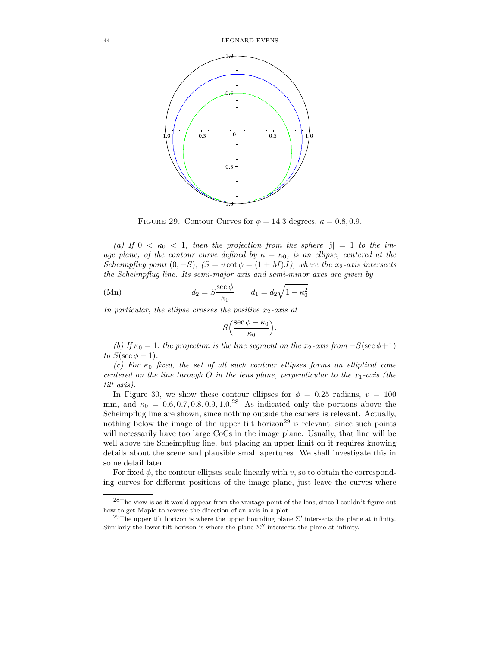

FIGURE 29. Contour Curves for  $\phi = 14.3$  degrees,  $\kappa = 0.8, 0.9$ .

(a) If  $0 < \kappa_0 < 1$ , then the projection from the sphere  $|\mathbf{j}| = 1$  to the image plane, of the contour curve defined by  $\kappa = \kappa_0$ , is an ellipse, centered at the Scheimpflug point  $(0, -S)$ ,  $(S = v \cot \phi = (1 + M)J)$ , where the x<sub>2</sub>-axis intersects the Scheimpflug line. Its semi-major axis and semi-minor axes are given by

(Mn) 
$$
d_2 = S \frac{\sec \phi}{\kappa_0} \qquad d_1 = d_2 \sqrt{1 - \kappa_0^2}
$$

In particular, the ellipse crosses the positive  $x_2$ -axis at

$$
S\left(\frac{\sec\phi-\kappa_0}{\kappa_0}\right).
$$

(b) If  $\kappa_0 = 1$ , the projection is the line segment on the x<sub>2</sub>-axis from  $-S(\sec \phi + 1)$ to  $S(\sec \phi - 1)$ .

(c) For  $\kappa_0$  fixed, the set of all such contour ellipses forms an elliptical cone centered on the line through O in the lens plane, perpendicular to the  $x_1$ -axis (the tilt axis).

In Figure 30, we show these contour ellipses for  $\phi = 0.25$  radians,  $v = 100$ mm, and  $\kappa_0 = 0.6, 0.7, 0.8, 0.9, 1.0^{28}$  As indicated only the portions above the Scheimpflug line are shown, since nothing outside the camera is relevant. Actually, nothing below the image of the upper tilt horizon<sup>29</sup> is relevant, since such points will necessarily have too large CoCs in the image plane. Usually, that line will be well above the Scheimpflug line, but placing an upper limit on it requires knowing details about the scene and plausible small apertures. We shall investigate this in some detail later.

For fixed  $\phi$ , the contour ellipses scale linearly with v, so to obtain the corresponding curves for different positions of the image plane, just leave the curves where

 $^{28}$ The view is as it would appear from the vantage point of the lens, since I couldn't figure out how to get Maple to reverse the direction of an axis in a plot.

<sup>&</sup>lt;sup>29</sup>The upper tilt horizon is where the upper bounding plane  $\Sigma'$  intersects the plane at infinity. Similarly the lower tilt horizon is where the plane  $\Sigma''$  intersects the plane at infinity.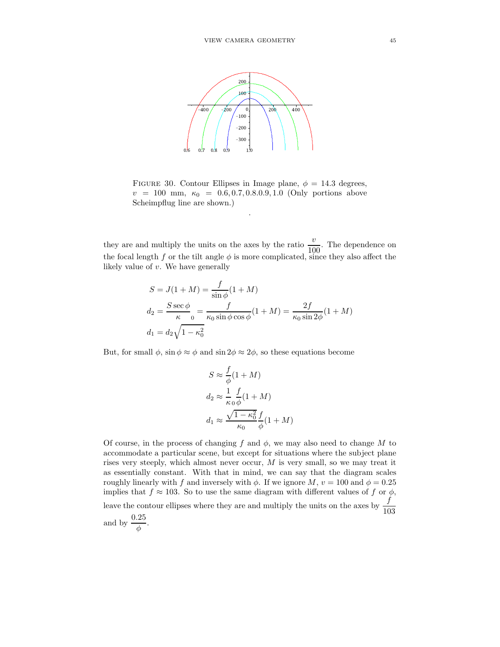

FIGURE 30. Contour Ellipses in Image plane,  $\phi = 14.3$  degrees,  $v = 100$  mm,  $\kappa_0 = 0.6, 0.7, 0.8, 0.9, 1.0$  (Only portions above Scheimpflug line are shown.)

.

they are and multiply the units on the axes by the ratio  $\frac{v}{100}$ . The dependence on the focal length f or the tilt angle  $\phi$  is more complicated, since they also affect the likely value of  $v$ . We have generally

$$
S = J(1 + M) = \frac{f}{\sin \phi}(1 + M)
$$
  
\n
$$
d_2 = \frac{S \sec \phi}{\kappa_0} = \frac{f}{\kappa_0 \sin \phi \cos \phi}(1 + M) = \frac{2f}{\kappa_0 \sin 2\phi}(1 + M)
$$
  
\n
$$
d_1 = d_2 \sqrt{1 - \kappa_0^2}
$$

But, for small  $\phi$ , sin  $\phi \approx \phi$  and sin  $2\phi \approx 2\phi$ , so these equations become

$$
S \approx \frac{f}{\phi}(1+M)
$$
  
\n
$$
d_2 \approx \frac{1}{\kappa_0} \frac{f}{\phi}(1+M)
$$
  
\n
$$
d_1 \approx \frac{\sqrt{1-\kappa_0^2}}{\kappa_0} \frac{f}{\phi}(1+M)
$$

Of course, in the process of changing f and  $\phi$ , we may also need to change M to accommodate a particular scene, but except for situations where the subject plane rises very steeply, which almost never occur,  $M$  is very small, so we may treat it as essentially constant. With that in mind, we can say that the diagram scales roughly linearly with f and inversely with  $\phi$ . If we ignore M,  $v = 100$  and  $\phi = 0.25$ implies that  $f \approx 103$ . So to use the same diagram with different values of f or  $\phi$ , leave the contour ellipses where they are and multiply the units on the axes by  $\frac{f}{103}$ and by  $\frac{0.25}{\phi}$ .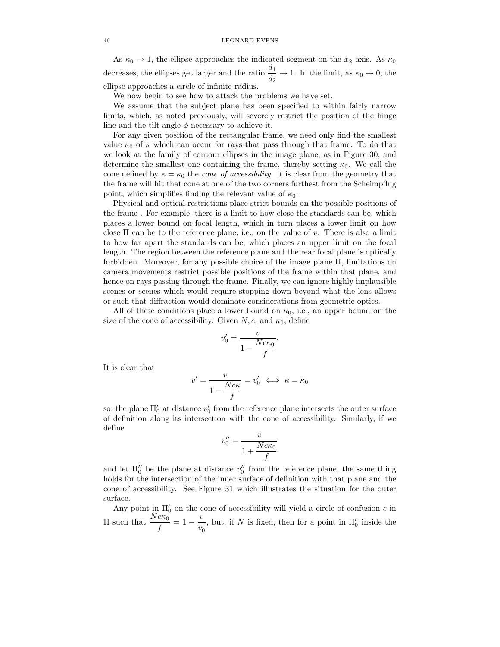### 46 LEONARD EVENS

As  $\kappa_0 \rightarrow 1$ , the ellipse approaches the indicated segment on the  $x_2$  axis. As  $\kappa_0$ decreases, the ellipses get larger and the ratio  $\frac{d_1}{d_2} \to 1$ . In the limit, as  $\kappa_0 \to 0$ , the ellipse approaches a circle of infinite radius.

We now begin to see how to attack the problems we have set.

We assume that the subject plane has been specified to within fairly narrow limits, which, as noted previously, will severely restrict the position of the hinge line and the tilt angle  $\phi$  necessary to achieve it.

For any given position of the rectangular frame, we need only find the smallest value  $\kappa_0$  of  $\kappa$  which can occur for rays that pass through that frame. To do that we look at the family of contour ellipses in the image plane, as in Figure 30, and determine the smallest one containing the frame, thereby setting  $\kappa_0$ . We call the cone defined by  $\kappa = \kappa_0$  the *cone of accessibility*. It is clear from the geometry that the frame will hit that cone at one of the two corners furthest from the Scheimpflug point, which simplifies finding the relevant value of  $\kappa_0$ .

Physical and optical restrictions place strict bounds on the possible positions of the frame . For example, there is a limit to how close the standards can be, which places a lower bound on focal length, which in turn places a lower limit on how close  $\Pi$  can be to the reference plane, i.e., on the value of v. There is also a limit to how far apart the standards can be, which places an upper limit on the focal length. The region between the reference plane and the rear focal plane is optically forbidden. Moreover, for any possible choice of the image plane Π, limitations on camera movements restrict possible positions of the frame within that plane, and hence on rays passing through the frame. Finally, we can ignore highly implausible scenes or scenes which would require stopping down beyond what the lens allows or such that diffraction would dominate considerations from geometric optics.

All of these conditions place a lower bound on  $\kappa_0$ , i.e., an upper bound on the size of the cone of accessibility. Given  $N, c$ , and  $\kappa_0$ , define

$$
v_0' = \frac{v}{1 - \frac{Nc\kappa_0}{f}}.
$$

It is clear that

$$
v' = \frac{v}{1 - \frac{Nc\kappa}{f}} = v'_0 \iff \kappa = \kappa_0
$$

so, the plane  $\Pi_0'$  at distance  $v_0'$  from the reference plane intersects the outer surface of definition along its intersection with the cone of accessibility. Similarly, if we define

$$
v_0'' = \frac{v}{1 + \frac{Nc\kappa_0}{f}}
$$

and let  $\Pi_0''$  be the plane at distance  $v_0''$  from the reference plane, the same thing holds for the intersection of the inner surface of definition with that plane and the cone of accessibility. See Figure 31 which illustrates the situation for the outer surface.

Any point in  $\Pi'_0$  on the cone of accessibility will yield a circle of confusion c in  $\Pi$  such that  $\frac{Nc\kappa_0}{f} = 1 - \frac{v}{v_0'}$  $v'_0$ , but, if  $N$  is fixed, then for a point in  $\Pi_0'$  inside the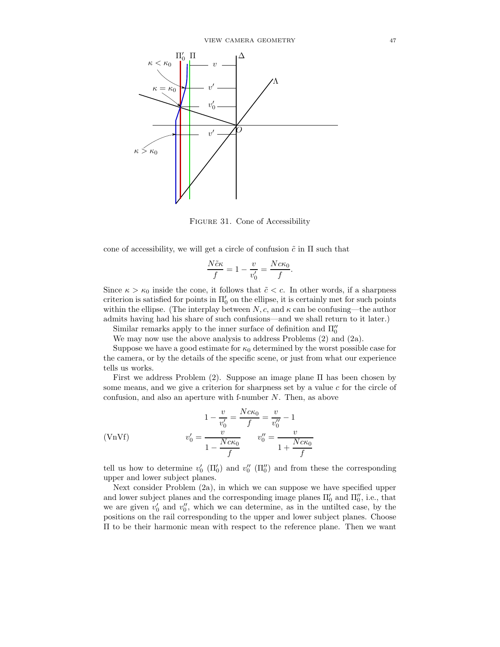

Figure 31. Cone of Accessibility

cone of accessibility, we will get a circle of confusion  $\tilde{c}$  in  $\Pi$  such that

$$
\frac{N\tilde{c}\kappa}{f} = 1 - \frac{v}{v_0'} = \frac{Nc\kappa_0}{f}.
$$

Since  $\kappa > \kappa_0$  inside the cone, it follows that  $\tilde{c} < c$ . In other words, if a sharpness criterion is satisfied for points in  $\Pi_0'$  on the ellipse, it is certainly met for such points within the ellipse. (The interplay between  $N, c$ , and  $\kappa$  can be confusing—the author admits having had his share of such confusions—and we shall return to it later.)

Similar remarks apply to the inner surface of definition and  $\Pi_0^{\prime\prime}$ 

We may now use the above analysis to address Problems (2) and (2a).

Suppose we have a good estimate for  $\kappa_0$  determined by the worst possible case for the camera, or by the details of the specific scene, or just from what our experience tells us works.

First we address Problem (2). Suppose an image plane Π has been chosen by some means, and we give a criterion for sharpness set by a value c for the circle of confusion, and also an aperture with f-number N. Then, as above

(VMVf) 
$$
1 - \frac{v}{v'_0} = \frac{Nc\kappa_0}{f} = \frac{v}{v''_0} - 1
$$

$$
v'_0 = \frac{v}{1 - \frac{Nc\kappa_0}{f}} \qquad v''_0 = \frac{v}{1 + \frac{Nc\kappa_0}{f}}
$$

tell us how to determine  $v'_0$  ( $\Pi_0'$ ) and  $v''_0$  ( $\Pi_0''$ ) and from these the corresponding upper and lower subject planes.

Next consider Problem (2a), in which we can suppose we have specified upper and lower subject planes and the corresponding image planes  $\Pi_0'$  and  $\Pi_0'',$  i.e., that we are given  $v'_0$  and  $v''_0$ , which we can determine, as in the untilted case, by the positions on the rail corresponding to the upper and lower subject planes. Choose Π to be their harmonic mean with respect to the reference plane. Then we want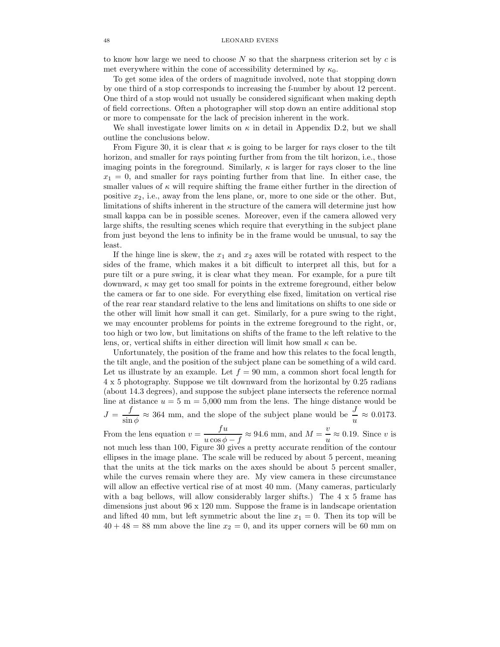### 48 LEONARD EVENS

to know how large we need to choose  $N$  so that the sharpness criterion set by  $c$  is met everywhere within the cone of accessibility determined by  $\kappa_0$ .

To get some idea of the orders of magnitude involved, note that stopping down by one third of a stop corresponds to increasing the f-number by about 12 percent. One third of a stop would not usually be considered significant when making depth of field corrections. Often a photographer will stop down an entire additional stop or more to compensate for the lack of precision inherent in the work.

We shall investigate lower limits on  $\kappa$  in detail in Appendix D.2, but we shall outline the conclusions below.

From Figure 30, it is clear that  $\kappa$  is going to be larger for rays closer to the tilt horizon, and smaller for rays pointing further from from the tilt horizon, i.e., those imaging points in the foreground. Similarly,  $\kappa$  is larger for rays closer to the line  $x_1 = 0$ , and smaller for rays pointing further from that line. In either case, the smaller values of  $\kappa$  will require shifting the frame either further in the direction of positive  $x_2$ , i.e., away from the lens plane, or, more to one side or the other. But, limitations of shifts inherent in the structure of the camera will determine just how small kappa can be in possible scenes. Moreover, even if the camera allowed very large shifts, the resulting scenes which require that everything in the subject plane from just beyond the lens to infinity be in the frame would be unusual, to say the least.

If the hinge line is skew, the  $x_1$  and  $x_2$  axes will be rotated with respect to the sides of the frame, which makes it a bit difficult to interpret all this, but for a pure tilt or a pure swing, it is clear what they mean. For example, for a pure tilt downward,  $\kappa$  may get too small for points in the extreme foreground, either below the camera or far to one side. For everything else fixed, limitation on vertical rise of the rear rear standard relative to the lens and limitations on shifts to one side or the other will limit how small it can get. Similarly, for a pure swing to the right, we may encounter problems for points in the extreme foreground to the right, or, too high or two low, but limitations on shifts of the frame to the left relative to the lens, or, vertical shifts in either direction will limit how small  $\kappa$  can be.

Unfortunately, the position of the frame and how this relates to the focal length, the tilt angle, and the position of the subject plane can be something of a wild card. Let us illustrate by an example. Let  $f = 90$  mm, a common short focal length for 4 x 5 photography. Suppose we tilt downward from the horizontal by 0.25 radians (about 14.3 degrees), and suppose the subject plane intersects the reference normal line at distance  $u = 5$  m = 5,000 mm from the lens. The hinge distance would be  $J = \frac{f}{\cdot}$  $\frac{f}{\sin \phi} \approx 364$  mm, and the slope of the subject plane would be  $\frac{J}{u} \approx 0.0173$ . From the lens equation  $v = \frac{fu}{\sqrt{2\pi}}$  $\frac{fu}{u\cos\phi - f} \approx 94.6$  mm, and  $M = \frac{v}{u}$ 

 $\frac{v}{u} \approx 0.19$ . Since v is not much less than 100, Figure 30 gives a pretty accurate rendition of the contour ellipses in the image plane. The scale will be reduced by about 5 percent, meaning that the units at the tick marks on the axes should be about 5 percent smaller, while the curves remain where they are. My view camera in these circumstance will allow an effective vertical rise of at most 40 mm. (Many cameras, particularly with a bag bellows, will allow considerably larger shifts.) The 4 x 5 frame has dimensions just about 96 x 120 mm. Suppose the frame is in landscape orientation and lifted 40 mm, but left symmetric about the line  $x_1 = 0$ . Then its top will be  $40 + 48 = 88$  mm above the line  $x_2 = 0$ , and its upper corners will be 60 mm on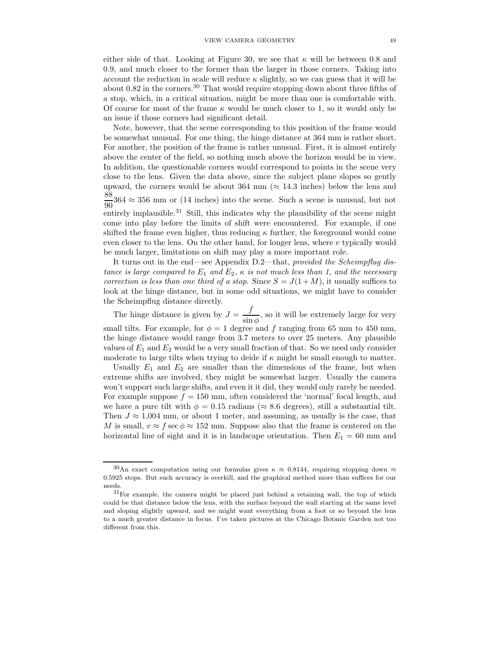either side of that. Looking at Figure 30, we see that  $\kappa$  will be between 0.8 and 0.9, and much closer to the former than the larger in those corners. Taking into account the reduction in scale will reduce  $\kappa$  slightly, so we can guess that it will be about 0.82 in the corners.<sup>30</sup> That would require stopping down about three fifths of a stop, which, in a critical situation, might be more than one is comfortable with. Of course for most of the frame  $\kappa$  would be much closer to 1, so it would only be an issue if those corners had significant detail.

Note, however, that the scene corresponding to this position of the frame would be somewhat unusual. For one thing, the hinge distance at 364 mm is rather short. For another, the position of the frame is rather unusual. First, it is almost entirely above the center of the field, so nothing much above the horizon would be in view. In addition, the questionable corners would correspond to points in the scene very close to the lens. Given the data above, since the subject plane slopes so gently upward, the corners would be about 364 mm ( $\approx 14.3$  inches) below the lens and 88  $\frac{60}{90}$ 364  $\approx$  356 mm or (14 inches) into the scene. Such a scene is unusual, but not entirely implausible.<sup>31</sup> Still, this indicates why the plausibility of the scene might come into play before the limits of shift were encountered. For example, if one shifted the frame even higher, thus reducing  $\kappa$  further, the foreground would come even closer to the lens. On the other hand, for longer lens, where  $v$  typically would be much larger, limitations on shift may play a more important role.

It turns out in the end—see Appendix D.2—that, provided the Scheimpflug distance is large compared to  $E_1$  and  $E_2$ ,  $\kappa$  is not much less than 1, and the necessary correction is less than one third of a stop. Since  $S = J(1+M)$ , it usually suffices to look at the hinge distance, but in some odd situations, we might have to consider the Scheimpflug distance directly.

The hinge distance is given by  $J = \frac{f}{f}$  $\frac{J}{\sin \phi}$ , so it will be extremely large for very small tilts. For example, for  $\phi = 1$  degree and f ranging from 65 mm to 450 mm, the hinge distance would range from 3.7 meters to over 25 meters. Any plausible values of  $E_1$  and  $E_2$  would be a very small fraction of that. So we need only consider moderate to large tilts when trying to deide if  $\kappa$  might be small enough to matter.

Usually  $E_1$  and  $E_2$  are smaller than the dimensions of the frame, but when extreme shifts are involved, they might be somewhat larger. Usually the camera won't support such large shifts, and even it it did, they would only rarely be needed. For example suppose  $f = 150$  mm, often considered the 'normal' focal length, and we have a pure tilt with  $\phi = 0.15$  radians ( $\approx 8.6$  degrees), still a substantial tilt. Then  $J \approx 1,004$  mm, or about 1 meter, and assuming, as usually is the case, that M is small,  $v \approx f \sec \phi \approx 152$  mm. Suppose also that the frame is centered on the horizontal line of sight and it is in landscape orientation. Then  $E_1 = 60$  mm and

 $30$ An exact computation using our formulas gives  $\kappa \approx 0.8144$ , requiring stopping down  $\approx$ 0.5925 stops. But such accuracy is overkill, and the graphical method more than suffices for our needs.

 $31$ For example, the camera might be placed just behind a retaining wall, the top of which could be that distance below the lens, with the surface beyond the wall starting at the same level and sloping slightly upward, and we might want everything from a foot or so beyond the lens to a much greater distance in focus. I've taken pictures at the Chicago Botanic Garden not too different from this.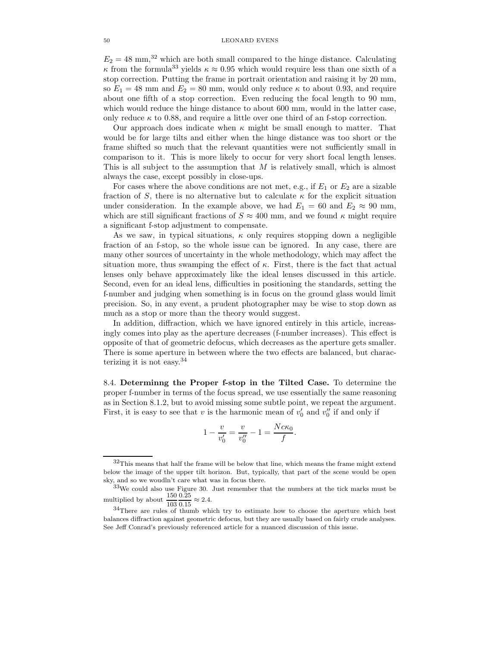$E_2 = 48$  mm,<sup>32</sup> which are both small compared to the hinge distance. Calculating <sup>κ</sup> from the formula<sup>33</sup> yields <sup>κ</sup> <sup>≈</sup> <sup>0</sup>.95 which would require less than one sixth of a stop correction. Putting the frame in portrait orientation and raising it by 20 mm, so  $E_1 = 48$  mm and  $E_2 = 80$  mm, would only reduce  $\kappa$  to about 0.93, and require about one fifth of a stop correction. Even reducing the focal length to 90 mm, which would reduce the hinge distance to about 600 mm, would in the latter case, only reduce  $\kappa$  to 0.88, and require a little over one third of an f-stop correction.

Our approach does indicate when  $\kappa$  might be small enough to matter. That would be for large tilts and either when the hinge distance was too short or the frame shifted so much that the relevant quantities were not sufficiently small in comparison to it. This is more likely to occur for very short focal length lenses. This is all subject to the assumption that M is relatively small, which is almost always the case, except possibly in close-ups.

For cases where the above conditions are not met, e.g., if  $E_1$  or  $E_2$  are a sizable fraction of S, there is no alternative but to calculate  $\kappa$  for the explicit situation under consideration. In the example above, we had  $E_1 = 60$  and  $E_2 \approx 90$  mm, which are still significant fractions of  $S \approx 400$  mm, and we found  $\kappa$  might require a significant f-stop adjustment to compensate.

As we saw, in typical situations,  $\kappa$  only requires stopping down a negligible fraction of an f-stop, so the whole issue can be ignored. In any case, there are many other sources of uncertainty in the whole methodology, which may affect the situation more, thus swamping the effect of  $\kappa$ . First, there is the fact that actual lenses only behave approximately like the ideal lenses discussed in this article. Second, even for an ideal lens, difficulties in positioning the standards, setting the f-number and judging when something is in focus on the ground glass would limit precision. So, in any event, a prudent photographer may be wise to stop down as much as a stop or more than the theory would suggest.

In addition, diffraction, which we have ignored entirely in this article, increasingly comes into play as the aperture decreases (f-number increases). This effect is opposite of that of geometric defocus, which decreases as the aperture gets smaller. There is some aperture in between where the two effects are balanced, but characterizing it is not easy.<sup>34</sup>

8.4. Determinng the Proper f-stop in the Tilted Case. To determine the proper f-number in terms of the focus spread, we use essentially the same reasoning as in Section 8.1.2, but to avoid missing some subtle point, we repeat the argument. First, it is easy to see that v is the harmonic mean of  $v'_0$  and  $v''_0$  if and only if

$$
1 - \frac{v}{v'_0} = \frac{v}{v''_0} - 1 = \frac{Nc\kappa_0}{f}.
$$

 $32$ This means that half the frame will be below that line, which means the frame might extend below the image of the upper tilt horizon. But, typically, that part of the scene would be open sky, and so we woudln't care what was in focus there.

<sup>33</sup>We could also use Figure 30. Just remember that the numbers at the tick marks must be multiplied by about  $\frac{150}{100}$ 0.25  $\frac{0.25}{0.15} \approx 2.4.$ 

<sup>103</sup> <sup>34</sup>There are rules of thumb which try to estimate how to choose the aperture which best balances diffraction against geometric defocus, but they are usually based on fairly crude analyses. See Jeff Conrad's previously referenced article for a nuanced discussion of this issue.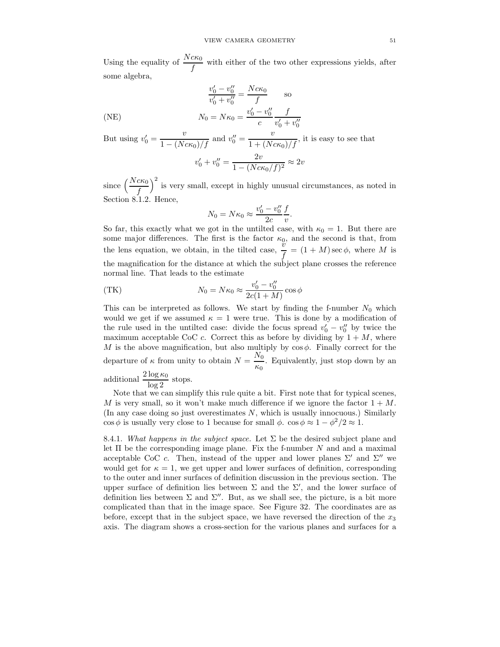Using the equality of  $\frac{Nc\kappa_0}{f}$  with either of the two other expressions yields, after some algebra,

$$
\frac{v'_0 - v''_0}{v'_0 + v''_0} = \frac{Nc\kappa_0}{f}
$$
 so  
(NE)  

$$
N_0 = N\kappa_0 = \frac{v'_0 - v''_0}{c} \frac{f}{v'_0 + v''_0}
$$

But using  $v'_0 = \frac{v}{1 - (Nc\kappa_0)/f}$  and  $v''_0 = \frac{v}{1 + (Nc\kappa_0)/f}$ , it is easy to see that

$$
v_0' + v_0'' = \frac{2v}{1 - (Nc\kappa_0/f)^2} \approx 2v
$$

since  $\left(\frac{Nc\kappa_0}{f}\right)$ 2 is very small, except in highly unusual circumstances, as noted in Section 8.1.2. Hence,

$$
N_0 = N\kappa_0 \approx \frac{v'_0 - v''_0}{2c} \frac{f}{v}.
$$

So far, this exactly what we got in the untilted case, with  $\kappa_0 = 1$ . But there are some major differences. The first is the factor  $\kappa_0$ , and the second is that, from the lens equation, we obtain, in the tilted case,  $\frac{v}{f} = (1 + M) \sec \phi$ , where M is the magnification for the distance at which the subject plane crosses the reference normal line. That leads to the estimate

(TK) 
$$
N_0 = N\kappa_0 \approx \frac{v'_0 - v''_0}{2c(1+M)} \cos \phi
$$

This can be interpreted as follows. We start by finding the f-number  $N_0$  which would we get if we assumed  $\kappa = 1$  were true. This is done by a modification of the rule used in the untilted case: divide the focus spread  $v'_0 - v''_0$  by twice the maximum acceptable CoC c. Correct this as before by dividing by  $1 + M$ , where M is the above magnification, but also multiply by  $\cos \phi$ . Finally correct for the departure of  $\kappa$  from unity to obtain  $N = \frac{N_0}{N}$  $\frac{10}{60}$ . Equivalently, just stop down by an

additional  $\frac{2 \log \kappa_0}{\log 2}$  stops.

Note that we can simplify this rule quite a bit. First note that for typical scenes, M is very small, so it won't make much difference if we ignore the factor  $1 + M$ . (In any case doing so just overestimates  $N$ , which is usually innocuous.) Similarly  $\cos \phi$  is usually very close to 1 because for small  $\phi$ .  $\cos \phi \approx 1 - \phi^2/2 \approx 1$ .

8.4.1. What happens in the subject space. Let  $\Sigma$  be the desired subject plane and let  $\Pi$  be the corresponding image plane. Fix the f-number N and and a maximal acceptable CoC c. Then, instead of the upper and lower planes  $\Sigma'$  and  $\Sigma''$  we would get for  $\kappa = 1$ , we get upper and lower surfaces of definition, corresponding to the outer and inner surfaces of definition discussion in the previous section. The upper surface of definition lies between  $\Sigma$  and the  $\Sigma'$ , and the lower surface of definition lies between  $\Sigma$  and  $\Sigma''$ . But, as we shall see, the picture, is a bit more complicated than that in the image space. See Figure 32. The coordinates are as before, except that in the subject space, we have reversed the direction of the  $x_3$ axis. The diagram shows a cross-section for the various planes and surfaces for a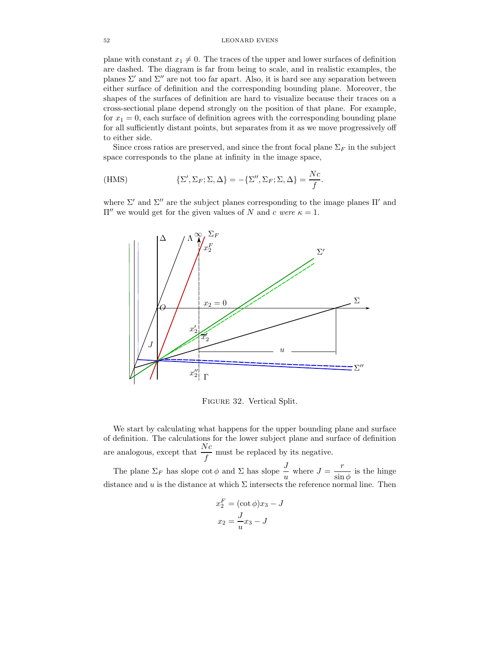plane with constant  $x_1 \neq 0$ . The traces of the upper and lower surfaces of definition are dashed. The diagram is far from being to scale, and in realistic examples, the planes  $\Sigma'$  and  $\Sigma''$  are not too far apart. Also, it is hard see any separation between either surface of definition and the corresponding bounding plane. Moreover, the shapes of the surfaces of definition are hard to visualize because their traces on a cross-sectional plane depend strongly on the position of that plane. For example, for  $x_1 = 0$ , each surface of definition agrees with the corresponding bounding plane for all sufficiently distant points, but separates from it as we move progressively off to either side.

Since cross ratios are preserved, and since the front focal plane  $\Sigma_F$  in the subject space corresponds to the plane at infinity in the image space,

(HMS) 
$$
\{\Sigma', \Sigma_F; \Sigma, \Delta\} = -\{\Sigma'', \Sigma_F; \Sigma, \Delta\} = \frac{Nc}{f}.
$$

where  $\Sigma'$  and  $\Sigma''$  are the subject planes corresponding to the image planes  $\Pi'$  and  $\Pi''$  we would get for the given values of N and c were  $κ = 1$ .



Figure 32. Vertical Split.

We start by calculating what happens for the upper bounding plane and surface of definition. The calculations for the lower subject plane and surface of definition are analogous, except that  $\frac{Nc}{f}$  must be replaced by its negative.

The plane  $\Sigma_F$  has slope  $\cot \phi$  and  $\Sigma$  has slope  $\frac{J}{u}$  where  $J = \frac{r}{\sin \theta}$  $\frac{1}{\sin \phi}$  is the hinge distance and u is the distance at which  $\Sigma$  intersects the reference normal line. Then

$$
x_2^F = (\cot \phi)x_3 - J
$$

$$
x_2 = \frac{J}{u}x_3 - J
$$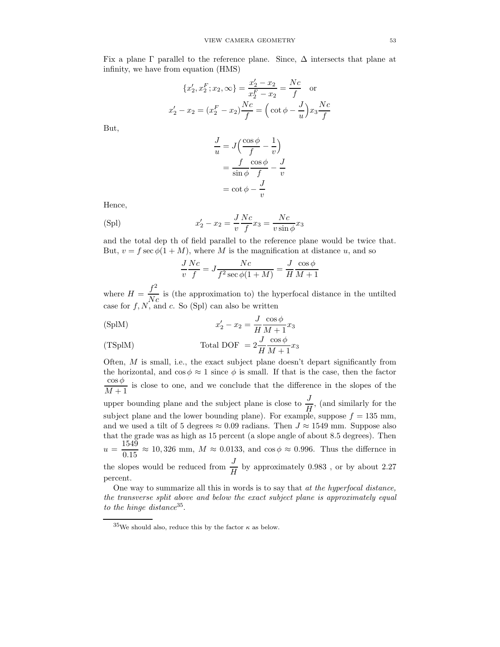Fix a plane  $\Gamma$  parallel to the reference plane. Since,  $\Delta$  intersects that plane at infinity, we have from equation (HMS)

$$
\{x'_2, x_2^F; x_2, \infty\} = \frac{x'_2 - x_2}{x_2^F - x_2} = \frac{Nc}{f} \quad \text{or}
$$

$$
x'_2 - x_2 = (x_2^F - x_2)\frac{Nc}{f} = \left(\cot\phi - \frac{J}{u}\right)x_3\frac{Nc}{f}
$$

But,

$$
\frac{J}{u} = J\left(\frac{\cos\phi}{f} - \frac{1}{v}\right)
$$

$$
= \frac{f}{\sin\phi} \frac{\cos\phi}{f} - \frac{J}{v}
$$

$$
= \cot\phi - \frac{J}{v}
$$

Hence,

(Spl) 
$$
x'_2 - x_2 = \frac{J}{v} \frac{Nc}{f} x_3 = \frac{Nc}{v \sin \phi} x_3
$$

and the total dep th of field parallel to the reference plane would be twice that. But,  $v = f \sec \phi (1 + M)$ , where M is the magnification at distance u, and so

$$
\frac{J}{v}\frac{Nc}{f} = J\frac{Nc}{f^2 \sec \phi(1+M)} = \frac{J}{H}\frac{\cos \phi}{M+1}
$$

where  $H = \frac{f^2}{N}$  $\frac{J}{Nc}$  is (the approximation to) the hyperfocal distance in the untilted case for  $f, N$ , and c. So (Spl) can also be written

(SplM) 
$$
x'_2 - x_2 = \frac{J}{H} \frac{\cos \phi}{M+1} x_3
$$

(TSplM) Total DOF = 
$$
2\frac{J}{H}\frac{\cos\phi}{M+1}x_3
$$

Often,  $M$  is small, i.e., the exact subject plane doesn't depart significantly from the horizontal, and  $\cos \phi \approx 1$  since  $\phi$  is small. If that is the case, then the factor  $\cos\phi$  $\frac{1}{M+1}$  is close to one, and we conclude that the difference in the slopes of the upper bounding plane and the subject plane is close to  $\frac{J}{H}$ , (and similarly for the subject plane and the lower bounding plane). For example, suppose  $f = 135$  mm, and we used a tilt of 5 degrees  $\approx 0.09$  radians. Then  $J \approx 1549$  mm. Suppose also that the grade was as high as 15 percent (a slope angle of about 8.5 degrees). Then  $u = \frac{1549}{0.15}$  $\frac{1000}{0.15} \approx 10,326$  mm,  $M \approx 0.0133$ , and cos  $\phi \approx 0.996$ . Thus the differnce in the slopes would be reduced from  $\frac{J}{H}$  by approximately 0.983, or by about 2.27 percent.

One way to summarize all this in words is to say that at the hyperfocal distance, the transverse split above and below the exact subject plane is approximately equal to the hinge distance  $35$ .

 $35$ We should also, reduce this by the factor  $\kappa$  as below.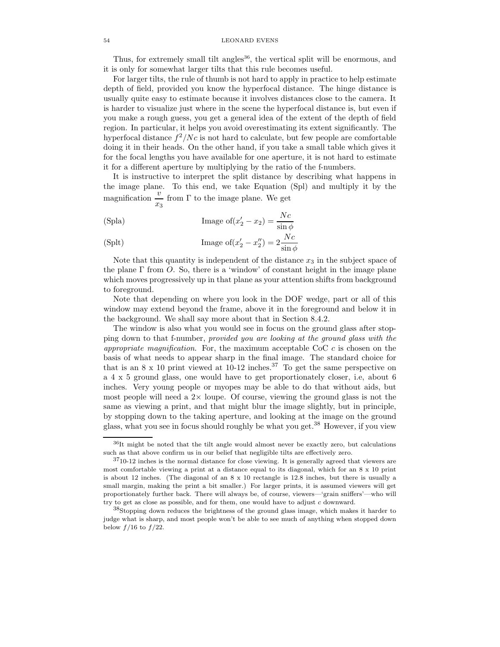Thus, for extremely small tilt angles<sup>36</sup>, the vertical split will be enormous, and it is only for somewhat larger tilts that this rule becomes useful.

For larger tilts, the rule of thumb is not hard to apply in practice to help estimate depth of field, provided you know the hyperfocal distance. The hinge distance is usually quite easy to estimate because it involves distances close to the camera. It is harder to visualize just where in the scene the hyperfocal distance is, but even if you make a rough guess, you get a general idea of the extent of the depth of field region. In particular, it helps you avoid overestimating its extent significantly. The hyperfocal distance  $f^2/Nc$  is not hard to calculate, but few people are comfortable doing it in their heads. On the other hand, if you take a small table which gives it for the focal lengths you have available for one aperture, it is not hard to estimate it for a different aperture by multiplying by the ratio of the f-numbers.

It is instructive to interpret the split distance by describing what happens in the image plane. To this end, we take Equation (Spl) and multiply it by the magnification  $\frac{v}{x_3}$  from Γ to the image plane. We get

(Spla) Image of 
$$
(x'_2 - x_2) = \frac{Nc}{\sin \phi}
$$

(Splt) Image of 
$$
(x'_2 - x''_2) = 2 \frac{Nc}{\sin \phi}
$$

Note that this quantity is independent of the distance  $x_3$  in the subject space of the plane Γ from O. So, there is a 'window' of constant height in the image plane which moves progressively up in that plane as your attention shifts from background to foreground.

Note that depending on where you look in the DOF wedge, part or all of this window may extend beyond the frame, above it in the foreground and below it in the background. We shall say more about that in Section 8.4.2.

The window is also what you would see in focus on the ground glass after stopping down to that f-number, provided you are looking at the ground glass with the appropriate magnification. For, the maximum acceptable CoC  $c$  is chosen on the basis of what needs to appear sharp in the final image. The standard choice for that is an  $8 \times 10$  print viewed at  $10{\text -}12$  inches.<sup>37</sup> To get the same perspective on a 4 x 5 ground glass, one would have to get proportionately closer, i.e, about 6 inches. Very young people or myopes may be able to do that without aids, but most people will need a  $2\times$  loupe. Of course, viewing the ground glass is not the same as viewing a print, and that might blur the image slightly, but in principle, by stopping down to the taking aperture, and looking at the image on the ground glass, what you see in focus should roughly be what you get.<sup>38</sup> However, if you view

 $36$ It might be noted that the tilt angle would almost never be exactly zero, but calculations such as that above confirm us in our belief that negligible tilts are effectively zero.

 $3710-12$  inches is the normal distance for close viewing. It is generally agreed that viewers are most comfortable viewing a print at a distance equal to its diagonal, which for an  $8 \times 10$  print is about 12 inches. (The diagonal of an 8 x 10 rectangle is 12.8 inches, but there is usually a small margin, making the print a bit smaller.) For larger prints, it is assumed viewers will get proportionately further back. There will always be, of course, viewers—'grain sniffers'—who will try to get as close as possible, and for them, one would have to adjust c downward.

<sup>&</sup>lt;sup>38</sup>Stopping down reduces the brightness of the ground glass image, which makes it harder to judge what is sharp, and most people won't be able to see much of anything when stopped down below  $f/16$  to  $f/22$ .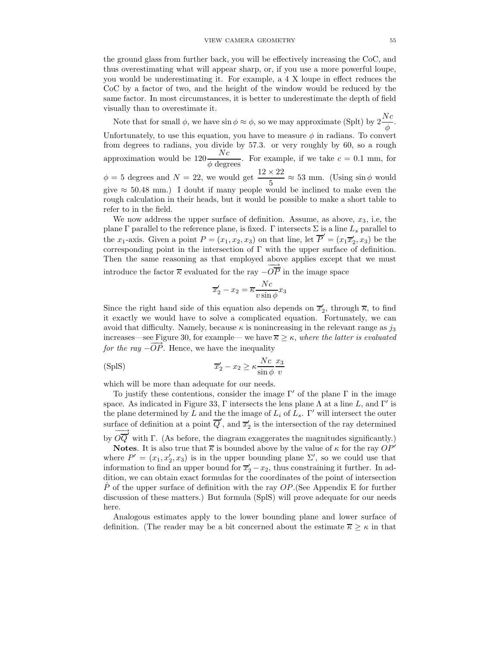the ground glass from further back, you will be effectively increasing the CoC, and thus overestimating what will appear sharp, or, if you use a more powerful loupe, you would be underestimating it. For example, a 4 X loupe in effect reduces the CoC by a factor of two, and the height of the window would be reduced by the same factor. In most circumstances, it is better to underestimate the depth of field visually than to overestimate it.

Note that for small  $\phi$ , we have  $\sin \phi \approx \phi$ , so we may approximate (Splt) by  $2\frac{Nc}{\phi}$ . Unfortunately, to use this equation, you have to measure  $\phi$  in radians. To convert from degrees to radians, you divide by 57.3. or very roughly by 60, so a rough approximation would be  $120 \frac{Nc}{\phi \text{ degrees}}$ . For example, if we take  $c = 0.1$  mm, for  $\phi = 5$  degrees and  $N = 22$ , we would get  $\frac{12 \times 22}{5} \approx 53$  mm. (Using sin  $\phi$  would give  $\approx 50.48$  mm.) I doubt if many people would be inclined to make even the rough calculation in their heads, but it would be possible to make a short table to refer to in the field.

We now address the upper surface of definition. Assume, as above,  $x_3$ , i.e, the plane Γ parallel to the reference plane, is fixed. Γ intersects Σ is a line  $L_s$  parallel to the  $x_1$ -axis. Given a point  $P = (x_1, x_2, x_3)$  on that line, let  $\overline{P}' = (x_1 \overline{x}'_2, x_3)$  be the corresponding point in the intersection of  $\Gamma$  with the upper surface of definition. Then the same reasoning as that employed above applies except that we must introduce the factor  $\overline{\kappa}$  evaluated for the ray  $-\overrightarrow{OP}$  in the image space

$$
\overline{x}_2' - x_2 = \overline{\kappa} \frac{Nc}{v \sin \phi} x_3
$$

Since the right hand side of this equation also depends on  $\overline{x}'_2$ , through  $\overline{\kappa}$ , to find it exactly we would have to solve a complicated equation. Fortunately, we can avoid that difficulty. Namely, because  $\kappa$  is nonincreasing in the relevant range as  $j_3$ increases—see Figure 30, for example— we have  $\overline{\kappa} \geq \kappa$ , where the latter is evaluated for the ray  $-\overrightarrow{OP}$ . Hence, we have the inequality

(SpIS) 
$$
\overline{x}_2' - x_2 \ge \kappa \frac{Nc}{\sin \phi} \frac{x_3}{v}
$$

which will be more than adequate for our needs.

To justify these contentions, consider the image  $\Gamma'$  of the plane  $\Gamma$  in the image space. As indicated in Figure 33,  $\Gamma$  intersects the lens plane  $\Lambda$  at a line L, and  $\Gamma'$  is the plane determined by L and the the image of  $L_i$  of  $L_s$ . Γ' will intersect the outer surface of definition at a point  $\overline{Q}'$ , and  $\overline{x}'_2$  is the intersection of the ray determined by  $\overrightarrow{OQ}$  with  $\Gamma$ . (As before, the diagram exaggerates the magnitudes significantly.)

**Notes.** It is also true that  $\overline{\kappa}$  is bounded above by the value of  $\kappa$  for the ray  $OP'$ where  $P' = (x_1, x_2', x_3)$  is in the upper bounding plane  $\Sigma'$ , so we could use that information to find an upper bound for  $\overline{x}_2' - x_2$ , thus constraining it further. In addition, we can obtain exact formulas for the coordinates of the point of intersection P of the upper surface of definition with the ray  $OP$ . (See Appendix E for further discussion of these matters.) But formula (SplS) will prove adequate for our needs here.

Analogous estimates apply to the lower bounding plane and lower surface of definition. (The reader may be a bit concerned about the estimate  $\overline{\kappa} \geq \kappa$  in that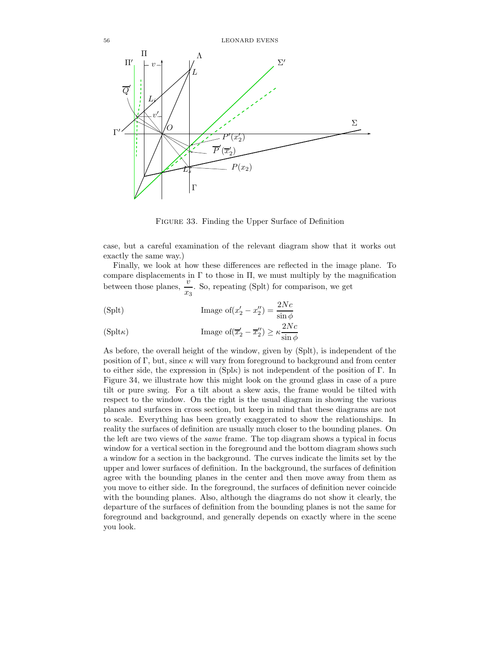

Figure 33. Finding the Upper Surface of Definition

case, but a careful examination of the relevant diagram show that it works out exactly the same way.)

Finally, we look at how these differences are reflected in the image plane. To compare displacements in  $\Gamma$  to those in  $\Pi$ , we must multiply by the magnification between those planes,  $\frac{v}{x_3}$ . So, repeating (Splt) for comparison, we get

(Splt) Image of 
$$
(x'_2 - x''_2)
$$
 =  $\frac{2Nc}{\sin \phi}$ 

Γ

(Splt
$$
\kappa
$$
) Image of( $\overline{x}_2' - \overline{x}_2''$ )  $\ge \kappa \frac{2Nc}{\sin \phi}$ 

As before, the overall height of the window, given by (Splt), is independent of the position of Γ, but, since  $\kappa$  will vary from foreground to background and from center to either side, the expression in  $(Spl\kappa)$  is not independent of the position of Γ. In Figure 34, we illustrate how this might look on the ground glass in case of a pure tilt or pure swing. For a tilt about a skew axis, the frame would be tilted with respect to the window. On the right is the usual diagram in showing the various planes and surfaces in cross section, but keep in mind that these diagrams are not to scale. Everything has been greatly exaggerated to show the relationships. In reality the surfaces of definition are usually much closer to the bounding planes. On the left are two views of the same frame. The top diagram shows a typical in focus window for a vertical section in the foreground and the bottom diagram shows such a window for a section in the background. The curves indicate the limits set by the upper and lower surfaces of definition. In the background, the surfaces of definition agree with the bounding planes in the center and then move away from them as you move to either side. In the foreground, the surfaces of definition never coincide with the bounding planes. Also, although the diagrams do not show it clearly, the departure of the surfaces of definition from the bounding planes is not the same for foreground and background, and generally depends on exactly where in the scene you look.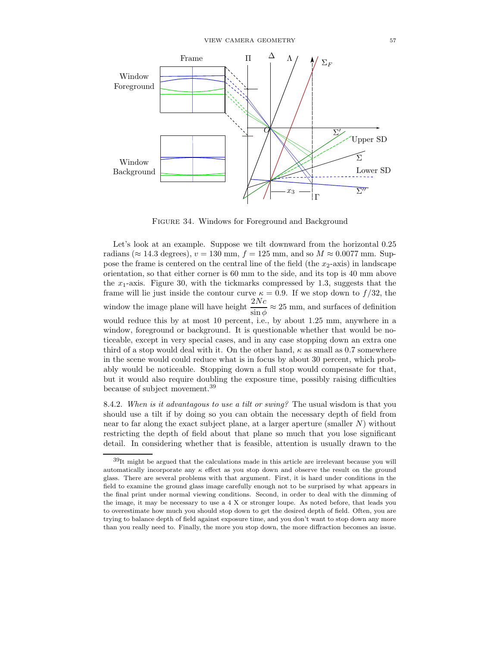

Figure 34. Windows for Foreground and Background

Let's look at an example. Suppose we tilt downward from the horizontal 0.25 radians ( $\approx 14.3$  degrees),  $v = 130$  mm,  $f = 125$  mm, and so  $M \approx 0.0077$  mm. Suppose the frame is centered on the central line of the field (the  $x_2$ -axis) in landscape orientation, so that either corner is 60 mm to the side, and its top is 40 mm above the  $x_1$ -axis. Figure 30, with the tickmarks compressed by 1.3, suggests that the frame will lie just inside the contour curve  $\kappa = 0.9$ . If we stop down to  $f/32$ , the window the image plane will have height  $\frac{2Nc}{\sin \phi} \approx 25$  mm, and surfaces of definition would reduce this by at most 10 percent, i.e., by about 1.25 mm, anywhere in a window, foreground or background. It is questionable whether that would be noticeable, except in very special cases, and in any case stopping down an extra one third of a stop would deal with it. On the other hand,  $\kappa$  as small as 0.7 somewhere in the scene would could reduce what is in focus by about 30 percent, which probably would be noticeable. Stopping down a full stop would compensate for that, but it would also require doubling the exposure time, possibly raising difficulties because of subject movement.<sup>39</sup>

8.4.2. When is it advantagous to use a tilt or swing? The usual wisdom is that you should use a tilt if by doing so you can obtain the necessary depth of field from near to far along the exact subject plane, at a larger aperture (smaller  $N$ ) without restricting the depth of field about that plane so much that you lose significant detail. In considering whether that is feasible, attention is usually drawn to the

 $39$ It might be argued that the calculations made in this article are irrelevant because you will automatically incorporate any  $\kappa$  effect as you stop down and observe the result on the ground glass. There are several problems with that argument. First, it is hard under conditions in the field to examine the ground glass image carefully enough not to be surprised by what appears in the final print under normal viewing conditions. Second, in order to deal with the dimming of the image, it may be necessary to use a 4 X or stronger loupe. As noted before, that leads you to overestimate how much you should stop down to get the desired depth of field. Often, you are trying to balance depth of field against exposure time, and you don't want to stop down any more than you really need to. Finally, the more you stop down, the more diffraction becomes an issue.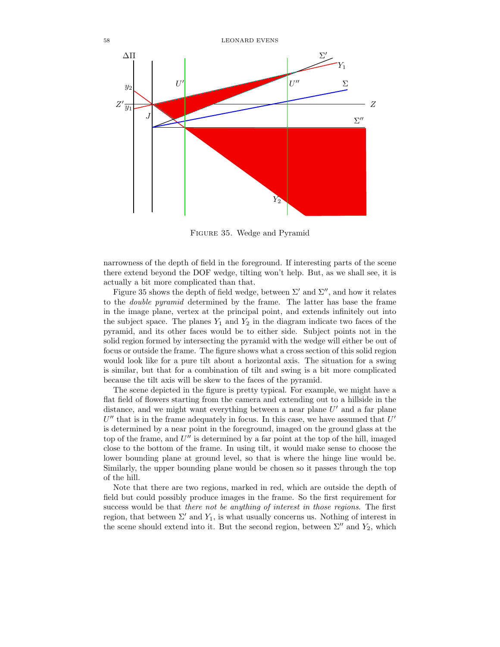

Figure 35. Wedge and Pyramid

narrowness of the depth of field in the foreground. If interesting parts of the scene there extend beyond the DOF wedge, tilting won't help. But, as we shall see, it is actually a bit more complicated than that.

Figure 35 shows the depth of field wedge, between  $\Sigma'$  and  $\Sigma''$ , and how it relates to the double pyramid determined by the frame. The latter has base the frame in the image plane, vertex at the principal point, and extends infinitely out into the subject space. The planes  $Y_1$  and  $Y_2$  in the diagram indicate two faces of the pyramid, and its other faces would be to either side. Subject points not in the solid region formed by intersecting the pyramid with the wedge will either be out of focus or outside the frame. The figure shows what a cross section of this solid region would look like for a pure tilt about a horizontal axis. The situation for a swing is similar, but that for a combination of tilt and swing is a bit more complicated because the tilt axis will be skew to the faces of the pyramid.

The scene depicted in the figure is pretty typical. For example, we might have a flat field of flowers starting from the camera and extending out to a hillside in the distance, and we might want everything between a near plane  $U'$  and a far plane  $U''$  that is in the frame adequately in focus. In this case, we have assumed that  $U'$ is determined by a near point in the foreground, imaged on the ground glass at the top of the frame, and  $U''$  is determined by a far point at the top of the hill, imaged close to the bottom of the frame. In using tilt, it would make sense to choose the lower bounding plane at ground level, so that is where the hinge line would be. Similarly, the upper bounding plane would be chosen so it passes through the top of the hill.

Note that there are two regions, marked in red, which are outside the depth of field but could possibly produce images in the frame. So the first requirement for success would be that there not be anything of interest in those regions. The first region, that between  $\Sigma'$  and  $Y_1$ , is what usually concerns us. Nothing of interest in the scene should extend into it. But the second region, between  $\Sigma''$  and  $Y_2$ , which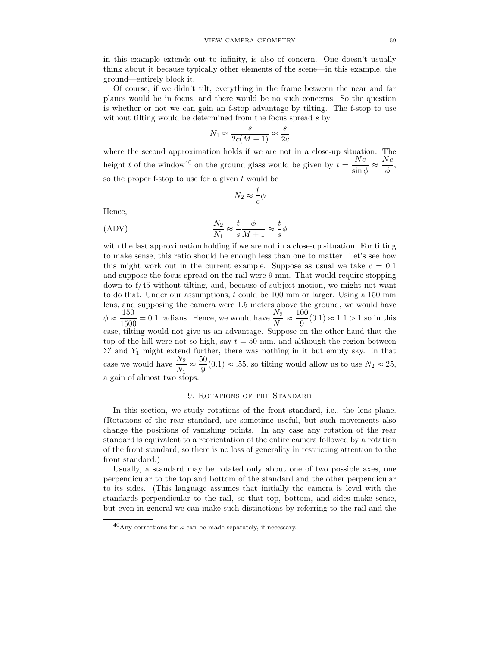in this example extends out to infinity, is also of concern. One doesn't usually think about it because typically other elements of the scene—in this example, the ground—entirely block it.

Of course, if we didn't tilt, everything in the frame between the near and far planes would be in focus, and there would be no such concerns. So the question is whether or not we can gain an f-stop advantage by tilting. The f-stop to use without tilting would be determined from the focus spread s by

$$
N_1 \approx \frac{s}{2c(M+1)} \approx \frac{s}{2c}
$$

where the second approximation holds if we are not in a close-up situation. The height t of the window<sup>40</sup> on the ground glass would be given by  $t = \frac{Nc}{N}$  $\overline{\sin\phi}$   $\approx$  $Nc$  $\frac{\cdot}{\phi}$ , so the proper f-stop to use for a given  $t$  would be

$$
N_2\approx \frac{t}{c}\phi
$$

Hence,

$$
\frac{N_2}{N_1} \approx \frac{t}{s} \frac{\phi}{M+1} \approx \frac{t}{s} \phi
$$

with the last approximation holding if we are not in a close-up situation. For tilting to make sense, this ratio should be enough less than one to matter. Let's see how this might work out in the current example. Suppose as usual we take  $c = 0.1$ and suppose the focus spread on the rail were 9 mm. That would require stopping down to f/45 without tilting, and, because of subject motion, we might not want to do that. Under our assumptions, t could be 100 mm or larger. Using a 150 mm lens, and supposing the camera were 1.5 meters above the ground, we would have  $\phi \approx \frac{150}{1500}$  $\frac{150}{1500} = 0.1$  radians. Hence, we would have  $\frac{N_2}{N_1} \approx$ 100  $\frac{60}{9}(0.1) \approx 1.1 > 1$  so in this case, tilting would not give us an advantage. Suppose on the other hand that the top of the hill were not so high, say  $t = 50$  mm, and although the region between  $\Sigma'$  and  $Y_1$  might extend further, there was nothing in it but empty sky. In that case we would have  $\frac{N_2}{N_1} \approx$ 50  $\frac{\infty}{9}(0.1) \approx .55$ . so tilting would allow us to use  $N_2 \approx 25$ , a gain of almost two stops.

## 9. Rotations of the Standard

In this section, we study rotations of the front standard, i.e., the lens plane. (Rotations of the rear standard, are sometime useful, but such movements also change the positions of vanishing points. In any case any rotation of the rear standard is equivalent to a reorientation of the entire camera followed by a rotation of the front standard, so there is no loss of generality in restricting attention to the front standard.)

Usually, a standard may be rotated only about one of two possible axes, one perpendicular to the top and bottom of the standard and the other perpendicular to its sides. (This language assumes that initially the camera is level with the standards perpendicular to the rail, so that top, bottom, and sides make sense, but even in general we can make such distinctions by referring to the rail and the

 $^{40}$ Any corrections for  $\kappa$  can be made separately, if necessary.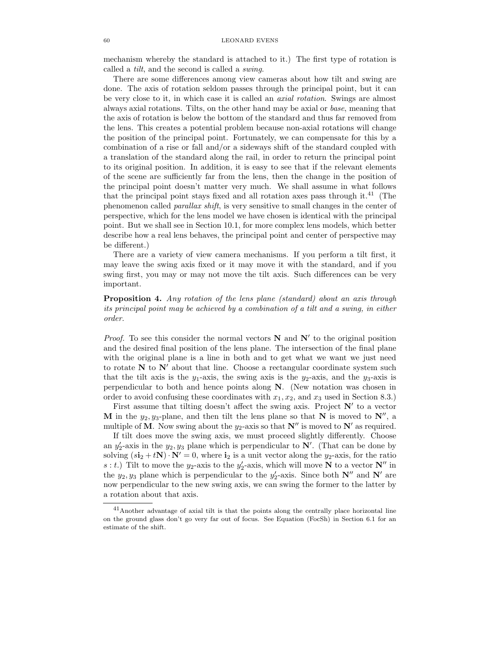mechanism whereby the standard is attached to it.) The first type of rotation is called a tilt, and the second is called a swing.

There are some differences among view cameras about how tilt and swing are done. The axis of rotation seldom passes through the principal point, but it can be very close to it, in which case it is called an axial rotation. Swings are almost always axial rotations. Tilts, on the other hand may be axial or base, meaning that the axis of rotation is below the bottom of the standard and thus far removed from the lens. This creates a potential problem because non-axial rotations will change the position of the principal point. Fortunately, we can compensate for this by a combination of a rise or fall and/or a sideways shift of the standard coupled with a translation of the standard along the rail, in order to return the principal point to its original position. In addition, it is easy to see that if the relevant elements of the scene are sufficiently far from the lens, then the change in the position of the principal point doesn't matter very much. We shall assume in what follows that the principal point stays fixed and all rotation axes pass through it.<sup>41</sup> (The phenomenon called parallax shift, is very sensitive to small changes in the center of perspective, which for the lens model we have chosen is identical with the principal point. But we shall see in Section 10.1, for more complex lens models, which better describe how a real lens behaves, the principal point and center of perspective may be different.)

There are a variety of view camera mechanisms. If you perform a tilt first, it may leave the swing axis fixed or it may move it with the standard, and if you swing first, you may or may not move the tilt axis. Such differences can be very important.

# **Proposition 4.** Any rotation of the lens plane (standard) about an axis through its principal point may be achieved by a combination of a tilt and a swing, in either order.

*Proof.* To see this consider the normal vectors  $N$  and  $N'$  to the original position and the desired final position of the lens plane. The intersection of the final plane with the original plane is a line in both and to get what we want we just need to rotate  $N$  to  $N'$  about that line. Choose a rectangular coordinate system such that the tilt axis is the  $y_1$ -axis, the swing axis is the  $y_2$ -axis, and the  $y_3$ -axis is perpendicular to both and hence points along N. (New notation was chosen in order to avoid confusing these coordinates with  $x_1, x_2$ , and  $x_3$  used in Section 8.3.)

First assume that tilting doesn't affect the swing axis. Project  $N'$  to a vector M in the  $y_2, y_3$ -plane, and then tilt the lens plane so that N is moved to  $N''$ , a multiple of M. Now swing about the  $y_2$ -axis so that  $N''$  is moved to  $N'$  as required.

If tilt does move the swing axis, we must proceed slightly differently. Choose an  $y_2'$ -axis in the  $y_2, y_3$  plane which is perpendicular to  $\mathbb{N}'$ . (That can be done by solving  $(s\mathbf{i}_2 + t\mathbf{N})\cdot \mathbf{N'} = 0$ , where  $\mathbf{i}_2$  is a unit vector along the  $y_2$ -axis, for the ratio s : t.) Tilt to move the  $y_2$ -axis to the  $y_2'$ -axis, which will move N to a vector N'' in the  $y_2, y_3$  plane which is perpendicular to the  $y'_2$ -axis. Since both  $N''$  and  $N'$  are now perpendicular to the new swing axis, we can swing the former to the latter by a rotation about that axis.

 $41$ Another advantage of axial tilt is that the points along the centrally place horizontal line on the ground glass don't go very far out of focus. See Equation (FocSh) in Section 6.1 for an estimate of the shift.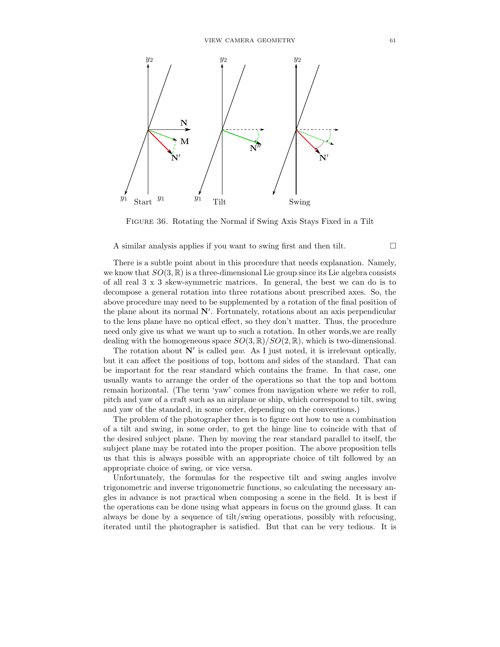

Figure 36. Rotating the Normal if Swing Axis Stays Fixed in a Tilt

A similar analysis applies if you want to swing first and then tilt.

There is a subtle point about in this procedure that needs explanation. Namely, we know that  $SO(3,\mathbb{R})$  is a three-dimensional Lie group since its Lie algebra consists of all real 3 x 3 skew-symmetric matrices. In general, the best we can do is to decompose a general rotation into three rotations about prescribed axes. So, the above procedure may need to be supplemented by a rotation of the final position of the plane about its normal N′ . Fortunately, rotations about an axis perpendicular to the lens plane have no optical effect, so they don't matter. Thus, the procedure need only give us what we want up to such a rotation. In other words,we are really dealing with the homogeneous space  $SO(3,\mathbb{R})/SO(2,\mathbb{R})$ , which is two-dimensional.

The rotation about  $\mathbb{N}'$  is called *yaw*. As I just noted, it is irrelevant optically, but it can affect the positions of top, bottom and sides of the standard. That can be important for the rear standard which contains the frame. In that case, one usually wants to arrange the order of the operations so that the top and bottom remain horizontal. (The term 'yaw' comes from navigation where we refer to roll, pitch and yaw of a craft such as an airplane or ship, which correspond to tilt, swing and yaw of the standard, in some order, depending on the conventions.)

The problem of the photographer then is to figure out how to use a combination of a tilt and swing, in some order, to get the hinge line to coincide with that of the desired subject plane. Then by moving the rear standard parallel to itself, the subject plane may be rotated into the proper position. The above proposition tells us that this is always possible with an appropriate choice of tilt followed by an appropriate choice of swing, or vice versa.

Unfortunately, the formulas for the respective tilt and swing angles involve trigonometric and inverse trigonometric functions, so calculating the necessary angles in advance is not practical when composing a scene in the field. It is best if the operations can be done using what appears in focus on the ground glass. It can always be done by a sequence of tilt/swing operations, possibly with refocusing, iterated until the photographer is satisfied. But that can be very tedious. It is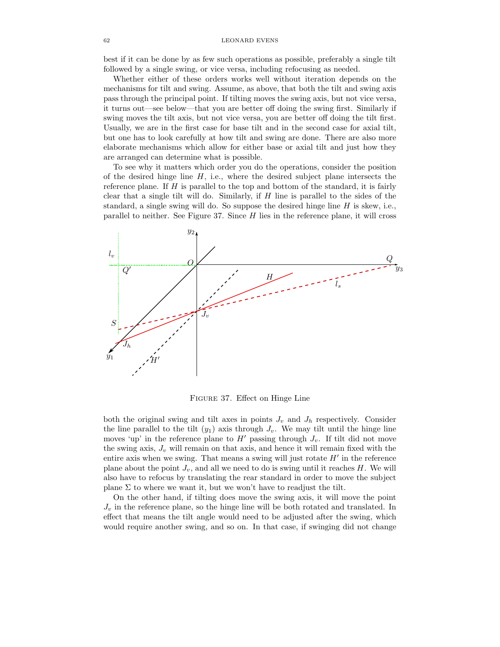best if it can be done by as few such operations as possible, preferably a single tilt followed by a single swing, or vice versa, including refocusing as needed.

Whether either of these orders works well without iteration depends on the mechanisms for tilt and swing. Assume, as above, that both the tilt and swing axis pass through the principal point. If tilting moves the swing axis, but not vice versa, it turns out—see below—that you are better off doing the swing first. Similarly if swing moves the tilt axis, but not vice versa, you are better off doing the tilt first. Usually, we are in the first case for base tilt and in the second case for axial tilt, but one has to look carefully at how tilt and swing are done. There are also more elaborate mechanisms which allow for either base or axial tilt and just how they are arranged can determine what is possible.

To see why it matters which order you do the operations, consider the position of the desired hinge line  $H$ , i.e., where the desired subject plane intersects the reference plane. If  $H$  is parallel to the top and bottom of the standard, it is fairly clear that a single tilt will do. Similarly, if  $H$  line is parallel to the sides of the standard, a single swing will do. So suppose the desired hinge line  $H$  is skew, i.e., parallel to neither. See Figure 37. Since H lies in the reference plane, it will cross



Figure 37. Effect on Hinge Line

both the original swing and tilt axes in points  $J_v$  and  $J_h$  respectively. Consider the line parallel to the tilt  $(y_1)$  axis through  $J_v$ . We may tilt until the hinge line moves 'up' in the reference plane to  $H'$  passing through  $J_v$ . If tilt did not move the swing axis,  $J_v$  will remain on that axis, and hence it will remain fixed with the entire axis when we swing. That means a swing will just rotate  $H'$  in the reference plane about the point  $J_v$ , and all we need to do is swing until it reaches H. We will also have to refocus by translating the rear standard in order to move the subject plane  $\Sigma$  to where we want it, but we won't have to readjust the tilt.

On the other hand, if tilting does move the swing axis, it will move the point  $J_v$  in the reference plane, so the hinge line will be both rotated and translated. In effect that means the tilt angle would need to be adjusted after the swing, which would require another swing, and so on. In that case, if swinging did not change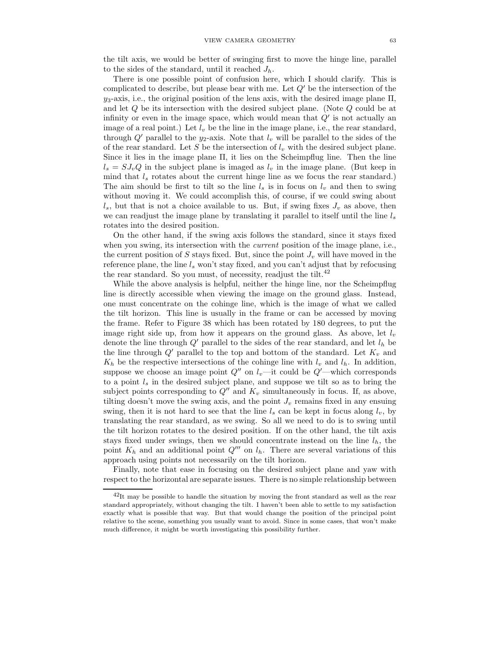the tilt axis, we would be better of swinging first to move the hinge line, parallel to the sides of the standard, until it reached  $J<sub>h</sub>$ .

There is one possible point of confusion here, which I should clarify. This is complicated to describe, but please bear with me. Let  $Q'$  be the intersection of the  $y_3$ -axis, i.e., the original position of the lens axis, with the desired image plane  $\Pi$ , and let Q be its intersection with the desired subject plane. (Note Q could be at infinity or even in the image space, which would mean that  $Q'$  is not actually an image of a real point.) Let  $l_v$  be the line in the image plane, i.e., the rear standard, through  $Q'$  parallel to the  $y_2$ -axis. Note that  $l_v$  will be parallel to the sides of the of the rear standard. Let S be the intersection of  $l_v$  with the desired subject plane. Since it lies in the image plane Π, it lies on the Scheimpflug line. Then the line  $l_s = S J_v Q$  in the subject plane is imaged as  $l_v$  in the image plane. (But keep in mind that  $l_s$  rotates about the current hinge line as we focus the rear standard.) The aim should be first to tilt so the line  $l_s$  is in focus on  $l_v$  and then to swing without moving it. We could accomplish this, of course, if we could swing about  $l_s$ , but that is not a choice available to us. But, if swing fixes  $J_v$  as above, then we can readjust the image plane by translating it parallel to itself until the line  $l_s$ rotates into the desired position.

On the other hand, if the swing axis follows the standard, since it stays fixed when you swing, its intersection with the *current* position of the image plane, i.e., the current position of S stays fixed. But, since the point  $J_v$  will have moved in the reference plane, the line  $l_s$  won't stay fixed, and you can't adjust that by refocusing the rear standard. So you must, of necessity, readjust the tilt.<sup>42</sup>

While the above analysis is helpful, neither the hinge line, nor the Scheimpflug line is directly accessible when viewing the image on the ground glass. Instead, one must concentrate on the cohinge line, which is the image of what we called the tilt horizon. This line is usually in the frame or can be accessed by moving the frame. Refer to Figure 38 which has been rotated by 180 degrees, to put the image right side up, from how it appears on the ground glass. As above, let  $l_v$ denote the line through  $Q'$  parallel to the sides of the rear standard, and let  $l_h$  be the line through  $Q'$  parallel to the top and bottom of the standard. Let  $K_v$  and  $K_h$  be the respective intersections of the cohinge line with  $l_v$  and  $l_h$ . In addition, suppose we choose an image point  $Q''$  on  $l_v$ —it could be  $Q'$ —which corresponds to a point  $l_s$  in the desired subject plane, and suppose we tilt so as to bring the subject points corresponding to  $Q''$  and  $K_v$  simultaneously in focus. If, as above, tilting doesn't move the swing axis, and the point  $J_v$  remains fixed in any ensuing swing, then it is not hard to see that the line  $l_s$  can be kept in focus along  $l_v$ , by translating the rear standard, as we swing. So all we need to do is to swing until the tilt horizon rotates to the desired position. If on the other hand, the tilt axis stays fixed under swings, then we should concentrate instead on the line  $l_h$ , the point  $K_h$  and an additional point  $Q^{\prime\prime\prime}$  on  $l_h$ . There are several variations of this approach using points not necessarily on the tilt horizon.

Finally, note that ease in focusing on the desired subject plane and yaw with respect to the horizontal are separate issues. There is no simple relationship between

 $^{42}$ It may be possible to handle the situation by moving the front standard as well as the rear standard appropriately, without changing the tilt. I haven't been able to settle to my satisfaction exactly what is possible that way. But that would change the position of the principal point relative to the scene, something you usually want to avoid. Since in some cases, that won't make much difference, it might be worth investigating this possibility further.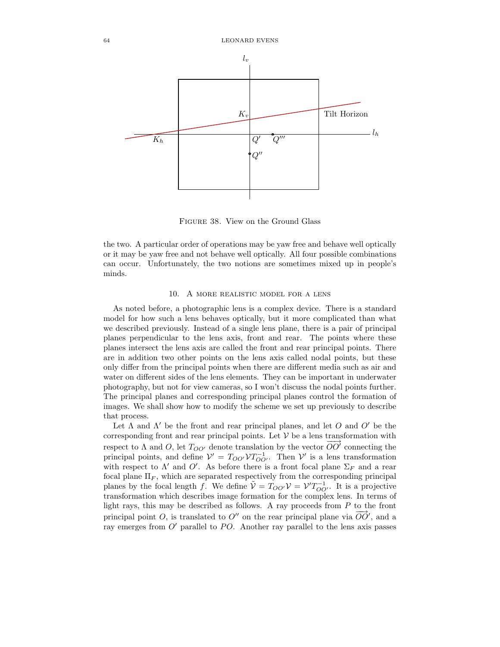

Figure 38. View on the Ground Glass

the two. A particular order of operations may be yaw free and behave well optically or it may be yaw free and not behave well optically. All four possible combinations can occur. Unfortunately, the two notions are sometimes mixed up in people's minds.

## 10. A more realistic model for a lens

As noted before, a photographic lens is a complex device. There is a standard model for how such a lens behaves optically, but it more complicated than what we described previously. Instead of a single lens plane, there is a pair of principal planes perpendicular to the lens axis, front and rear. The points where these planes intersect the lens axis are called the front and rear principal points. There are in addition two other points on the lens axis called nodal points, but these only differ from the principal points when there are different media such as air and water on different sides of the lens elements. They can be important in underwater photography, but not for view cameras, so I won't discuss the nodal points further. The principal planes and corresponding principal planes control the formation of images. We shall show how to modify the scheme we set up previously to describe that process.

Let  $\Lambda$  and  $\Lambda'$  be the front and rear principal planes, and let O and O' be the corresponding front and rear principal points. Let  $V$  be a lens transformation with respect to  $\Lambda$  and  $O$ , let  $T_{OO'}$  denote translation by the vector  $\overrightarrow{OO'}$  connecting the principal points, and define  $V' = T_{OO'} V T_{OO'}^{-1}$ . Then V' is a lens transformation with respect to  $\Lambda'$  and  $O'$ . As before there is a front focal plane  $\Sigma_F$  and a rear focal plane  $\Pi_F$ , which are separated respectively from the corresponding principal planes by the focal length f. We define  $\tilde{\mathcal{V}} = T_{OO'} \mathcal{V} = \mathcal{V}' T_{OO'}^{-1}$ . It is a projective transformation which describes image formation for the complex lens. In terms of light rays, this may be described as follows. A ray proceeds from  $P$  to the front principal point O, is translated to  $O''$  on the rear principal plane via  $\overrightarrow{OO}'$ , and a ray emerges from  $O'$  parallel to PO. Another ray parallel to the lens axis passes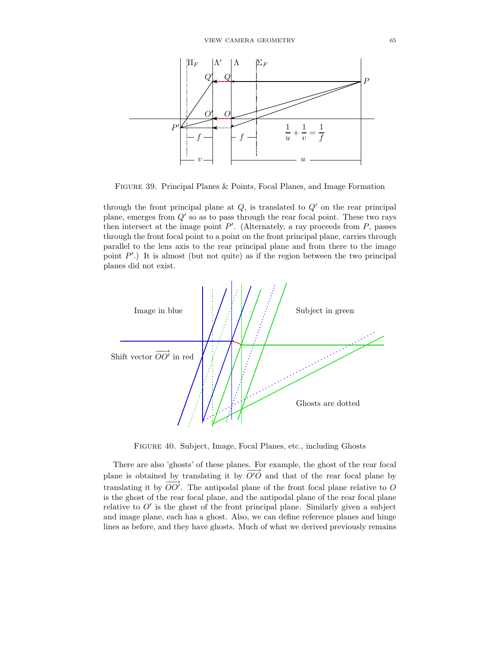

Figure 39. Principal Planes & Points, Focal Planes, and Image Formation

through the front principal plane at  $Q$ , is translated to  $Q'$  on the rear principal plane, emerges from  $Q'$  so as to pass through the rear focal point. These two rays then intersect at the image point  $P'$ . (Alternately, a ray proceeds from  $P$ , passes through the front focal point to a point on the front principal plane, carries through parallel to the lens axis to the rear principal plane and from there to the image point  $P'$ .) It is almost (but not quite) as if the region between the two principal planes did not exist.



Figure 40. Subject, Image, Focal Planes, etc., including Ghosts

There are also 'ghosts' of these planes. For example, the ghost of the rear focal plane is obtained by translating it by  $\overrightarrow{O'O}$  and that of the rear focal plane by translating it by  $\overrightarrow{OO'}$ . The antipodal plane of the front focal plane relative to O is the ghost of the rear focal plane, and the antipodal plane of the rear focal plane relative to  $O'$  is the ghost of the front principal plane. Similarly given a subject and image plane, each has a ghost. Also, we can define reference planes and hinge lines as before, and they have ghosts. Much of what we derived previously remains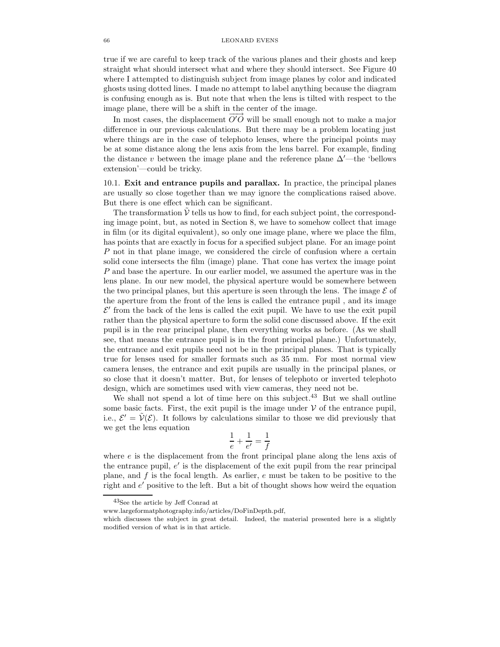true if we are careful to keep track of the various planes and their ghosts and keep straight what should intersect what and where they should intersect. See Figure 40 where I attempted to distinguish subject from image planes by color and indicated ghosts using dotted lines. I made no attempt to label anything because the diagram is confusing enough as is. But note that when the lens is tilted with respect to the image plane, there will be a shift in the center of the image.

In most cases, the displacement  $\overrightarrow{O'O}$  will be small enough not to make a major difference in our previous calculations. But there may be a problem locating just where things are in the case of telephoto lenses, where the principal points may be at some distance along the lens axis from the lens barrel. For example, finding the distance v between the image plane and the reference plane  $\Delta'$ —the 'bellows' extension'—could be tricky.

10.1. Exit and entrance pupils and parallax. In practice, the principal planes are usually so close together than we may ignore the complications raised above. But there is one effect which can be significant.

The transformation  $\mathcal V$  tells us how to find, for each subject point, the corresponding image point, but, as noted in Section 8, we have to somehow collect that image in film (or its digital equivalent), so only one image plane, where we place the film, has points that are exactly in focus for a specified subject plane. For an image point P not in that plane image, we considered the circle of confusion where a certain solid cone intersects the film (image) plane. That cone has vertex the image point P and base the aperture. In our earlier model, we assumed the aperture was in the lens plane. In our new model, the physical aperture would be somewhere between the two principal planes, but this aperture is seen through the lens. The image  $\mathcal E$  of the aperture from the front of the lens is called the entrance pupil , and its image  $\mathcal{E}'$  from the back of the lens is called the exit pupil. We have to use the exit pupil rather than the physical aperture to form the solid cone discussed above. If the exit pupil is in the rear principal plane, then everything works as before. (As we shall see, that means the entrance pupil is in the front principal plane.) Unfortunately, the entrance and exit pupils need not be in the principal planes. That is typically true for lenses used for smaller formats such as 35 mm. For most normal view camera lenses, the entrance and exit pupils are usually in the principal planes, or so close that it doesn't matter. But, for lenses of telephoto or inverted telephoto design, which are sometimes used with view cameras, they need not be.

We shall not spend a lot of time here on this subject.<sup>43</sup> But we shall outline some basic facts. First, the exit pupil is the image under  $V$  of the entrance pupil, i.e.,  $\mathcal{E}' = \tilde{\mathcal{V}}(\mathcal{E})$ . It follows by calculations similar to those we did previously that we get the lens equation

$$
\frac{1}{e} + \frac{1}{e'} = \frac{1}{f}
$$

where  $e$  is the displacement from the front principal plane along the lens axis of the entrance pupil, e ′ is the displacement of the exit pupil from the rear principal plane, and  $f$  is the focal length. As earlier,  $e$  must be taken to be positive to the right and e ′ positive to the left. But a bit of thought shows how weird the equation

<sup>43</sup>See the article by Jeff Conrad at

www.largeformatphotography.info/articles/DoFinDepth.pdf,

which discusses the subject in great detail. Indeed, the material presented here is a slightly modified version of what is in that article.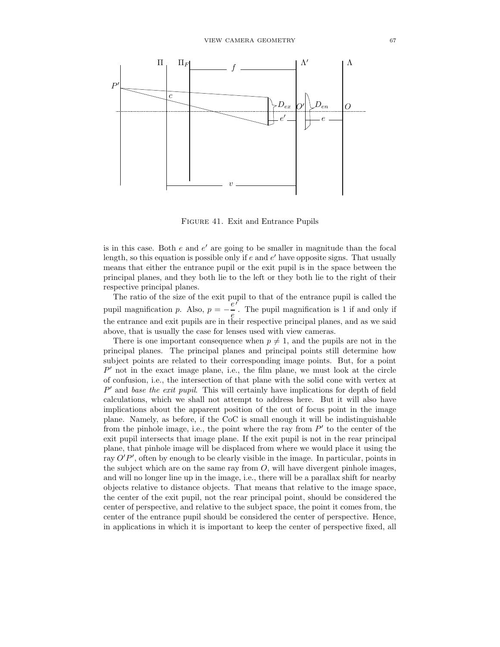

Figure 41. Exit and Entrance Pupils

is in this case. Both  $e$  and  $e'$  are going to be smaller in magnitude than the focal length, so this equation is possible only if  $e$  and  $e'$  have opposite signs. That usually means that either the entrance pupil or the exit pupil is in the space between the principal planes, and they both lie to the left or they both lie to the right of their respective principal planes.

The ratio of the size of the exit pupil to that of the entrance pupil is called the pupil magnification p. Also,  $p = -\frac{e^f}{e}$ . The pupil magnification is 1 if and only if  $e^{i \cdot \ln \theta}$  rance and exit pupils are in their respective principal planes, and as we said above, that is usually the case for lenses used with view cameras.

There is one important consequence when  $p \neq 1$ , and the pupils are not in the principal planes. The principal planes and principal points still determine how subject points are related to their corresponding image points. But, for a point  $P'$  not in the exact image plane, i.e., the film plane, we must look at the circle of confusion, i.e., the intersection of that plane with the solid cone with vertex at P' and base the exit pupil. This will certainly have implications for depth of field calculations, which we shall not attempt to address here. But it will also have implications about the apparent position of the out of focus point in the image plane. Namely, as before, if the CoC is small enough it will be indistinguishable from the pinhole image, i.e., the point where the ray from  $P'$  to the center of the exit pupil intersects that image plane. If the exit pupil is not in the rear principal plane, that pinhole image will be displaced from where we would place it using the ray  $O'P'$ , often by enough to be clearly visible in the image. In particular, points in the subject which are on the same ray from  $O$ , will have divergent pinhole images, and will no longer line up in the image, i.e., there will be a parallax shift for nearby objects relative to distance objects. That means that relative to the image space, the center of the exit pupil, not the rear principal point, should be considered the center of perspective, and relative to the subject space, the point it comes from, the center of the entrance pupil should be considered the center of perspective. Hence, in applications in which it is important to keep the center of perspective fixed, all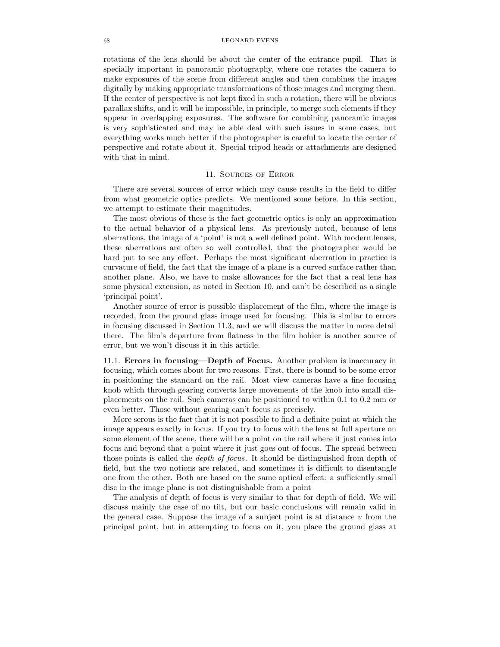### 68 LEONARD EVENS

rotations of the lens should be about the center of the entrance pupil. That is specially important in panoramic photography, where one rotates the camera to make exposures of the scene from different angles and then combines the images digitally by making appropriate transformations of those images and merging them. If the center of perspective is not kept fixed in such a rotation, there will be obvious parallax shifts, and it will be impossible, in principle, to merge such elements if they appear in overlapping exposures. The software for combining panoramic images is very sophisticated and may be able deal with such issues in some cases, but everything works much better if the photographer is careful to locate the center of perspective and rotate about it. Special tripod heads or attachments are designed with that in mind.

## 11. Sources of Error

There are several sources of error which may cause results in the field to differ from what geometric optics predicts. We mentioned some before. In this section, we attempt to estimate their magnitudes.

The most obvious of these is the fact geometric optics is only an approximation to the actual behavior of a physical lens. As previously noted, because of lens aberrations, the image of a 'point' is not a well defined point. With modern lenses, these aberrations are often so well controlled, that the photographer would be hard put to see any effect. Perhaps the most significant aberration in practice is curvature of field, the fact that the image of a plane is a curved surface rather than another plane. Also, we have to make allowances for the fact that a real lens has some physical extension, as noted in Section 10, and can't be described as a single 'principal point'.

Another source of error is possible displacement of the film, where the image is recorded, from the ground glass image used for focusing. This is similar to errors in focusing discussed in Section 11.3, and we will discuss the matter in more detail there. The film's departure from flatness in the film holder is another source of error, but we won't discuss it in this article.

11.1. Errors in focusing—Depth of Focus. Another problem is inaccuracy in focusing, which comes about for two reasons. First, there is bound to be some error in positioning the standard on the rail. Most view cameras have a fine focusing knob which through gearing converts large movements of the knob into small displacements on the rail. Such cameras can be positioned to within 0.1 to 0.2 mm or even better. Those without gearing can't focus as precisely.

More serous is the fact that it is not possible to find a definite point at which the image appears exactly in focus. If you try to focus with the lens at full aperture on some element of the scene, there will be a point on the rail where it just comes into focus and beyond that a point where it just goes out of focus. The spread between those points is called the depth of focus. It should be distinguished from depth of field, but the two notions are related, and sometimes it is difficult to disentangle one from the other. Both are based on the same optical effect: a sufficiently small disc in the image plane is not distinguishable from a point

The analysis of depth of focus is very similar to that for depth of field. We will discuss mainly the case of no tilt, but our basic conclusions will remain valid in the general case. Suppose the image of a subject point is at distance  $v$  from the principal point, but in attempting to focus on it, you place the ground glass at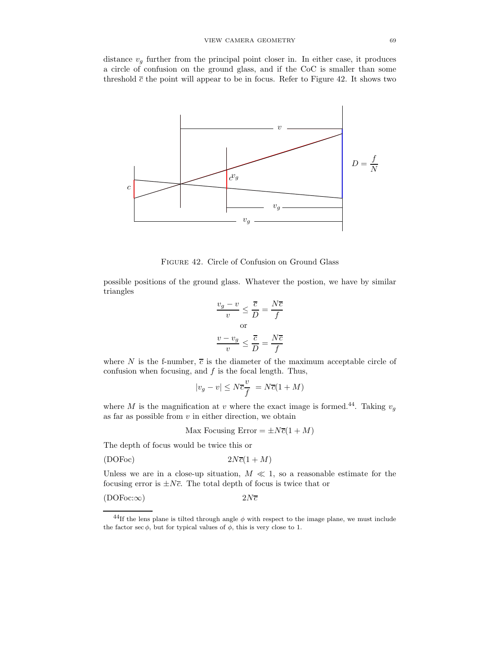distance  $v_q$  further from the principal point closer in. In either case, it produces a circle of confusion on the ground glass, and if the CoC is smaller than some threshold  $\bar{c}$  the point will appear to be in focus. Refer to Figure 42. It shows two



Figure 42. Circle of Confusion on Ground Glass

possible positions of the ground glass. Whatever the postion, we have by similar triangles

$$
\frac{v_g - v}{v} \le \frac{\overline{c}}{D} = \frac{N\overline{c}}{f}
$$
\nor

\n
$$
\frac{v - v_g}{v} \le \frac{\overline{c}}{D} = \frac{N\overline{c}}{f}
$$

where N is the f-number,  $\bar{c}$  is the diameter of the maximum acceptable circle of confusion when focusing, and  $f$  is the focal length. Thus,

$$
|v_g - v| \le N \overline{c} \frac{v}{f} = N \overline{c} (1 + M)
$$

where M is the magnification at v where the exact image is formed.<sup>44</sup>. Taking  $v<sub>q</sub>$ as far as possible from  $v$  in either direction, we obtain

Max Focusing Error  $= \pm N\overline{c}(1+M)$ 

The depth of focus would be twice this or

$$
(DOFoc) \t\t 2N\overline{c}(1+M)
$$

Unless we are in a close-up situation,  $M \ll 1$ , so a reasonable estimate for the focusing error is  $\pm N\bar{c}$ . The total depth of focus is twice that or

 $(DOFoc:\infty)$  2Nc

 $^{44}\mathrm{If}$  the lens plane is tilted through angle  $\phi$  with respect to the image plane, we must include the factor sec  $\phi$ , but for typical values of  $\phi$ , this is very close to 1.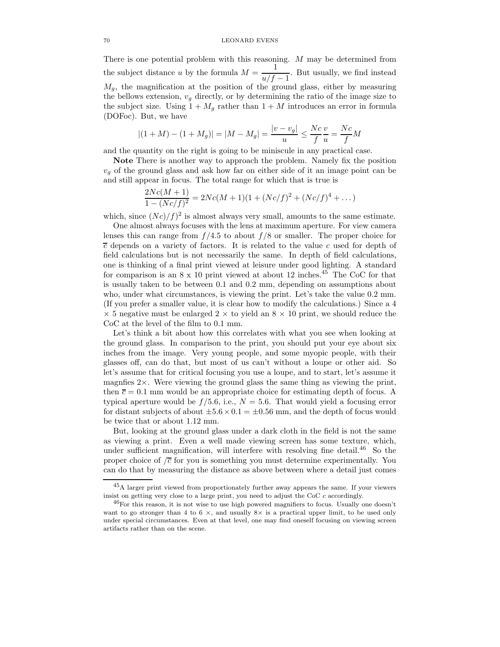There is one potential problem with this reasoning. M may be determined from the subject distance u by the formula  $M = \frac{1}{\sqrt{6}}$  $\frac{1}{u/f-1}$ . But usually, we find instead  $M_g$ , the magnification at the position of the ground glass, either by measuring the bellows extension,  $v_g$  directly, or by determining the ratio of the image size to the subject size. Using  $1 + M_g$  rather than  $1 + M$  introduces an error in formula (DOFoc). But, we have

$$
|(1+M)-(1+M_g)| = |M-M_g| = \frac{|v-v_g|}{u} \le \frac{Nc}{f} \frac{v}{u} = \frac{Nc}{f}M
$$

and the quantity on the right is going to be miniscule in any practical case.

Note There is another way to approach the problem. Namely fix the position  $v_q$  of the ground glass and ask how far on either side of it an image point can be and still appear in focus. The total range for which that is true is

$$
\frac{2Nc(M+1)}{1-(Nc/f)^2} = 2Nc(M+1)(1+(Nc/f)^2+(Nc/f)^4+\dots)
$$

which, since  $(Nc)/f$ <sup>2</sup> is almost always very small, amounts to the same estimate.

One almost always focuses with the lens at maximum aperture. For view camera lenses this can range from  $f/4.5$  to about  $f/8$  or smaller. The proper choice for  $\overline{c}$  depends on a variety of factors. It is related to the value c used for depth of field calculations but is not necessarily the same. In depth of field calculations, one is thinking of a final print viewed at leisure under good lighting. A standard for comparison is an  $8 \times 10$  print viewed at about 12 inches.<sup>45</sup> The CoC for that is usually taken to be between 0.1 and 0.2 mm, depending on assumptions about who, under what circumstances, is viewing the print. Let's take the value  $0.2 \text{ mm}$ . (If you prefer a smaller value, it is clear how to modify the calculations.) Since a 4  $\times$  5 negative must be enlarged 2  $\times$  to yield an 8  $\times$  10 print, we should reduce the CoC at the level of the film to 0.1 mm.

Let's think a bit about how this correlates with what you see when looking at the ground glass. In comparison to the print, you should put your eye about six inches from the image. Very young people, and some myopic people, with their glasses off, can do that, but most of us can't without a loupe or other aid. So let's assume that for critical focusing you use a loupe, and to start, let's assume it magnfies 2×. Were viewing the ground glass the same thing as viewing the print, then  $\bar{c} = 0.1$  mm would be an appropriate choice for estimating depth of focus. A typical aperture would be  $f/5.6$ , i.e.,  $N = 5.6$ . That would yield a focusing error for distant subjects of about  $\pm 5.6 \times 0.1 = \pm 0.56$  mm, and the depth of focus would be twice that or about 1.12 mm.

But, looking at the ground glass under a dark cloth in the field is not the same as viewing a print. Even a well made viewing screen has some texture, which, under sufficient magnification, will interfere with resolving fine detail.<sup>46</sup> So the proper choice of  $\sqrt{\overline{c}}$  for you is something you must determine experimentally. You can do that by measuring the distance as above between where a detail just comes

<sup>45</sup>A larger print viewed from proportionately further away appears the same. If your viewers insist on getting very close to a large print, you need to adjust the CoC  $c$  accordingly.

 $^{46}$  For this reason, it is not wise to use high powered magnifiers to focus. Usually one doesn't want to go stronger than 4 to 6  $\times$ , and usually 8 $\times$  is a practical upper limit, to be used only under special circumstances. Even at that level, one may find oneself focusing on viewing screen artifacts rather than on the scene.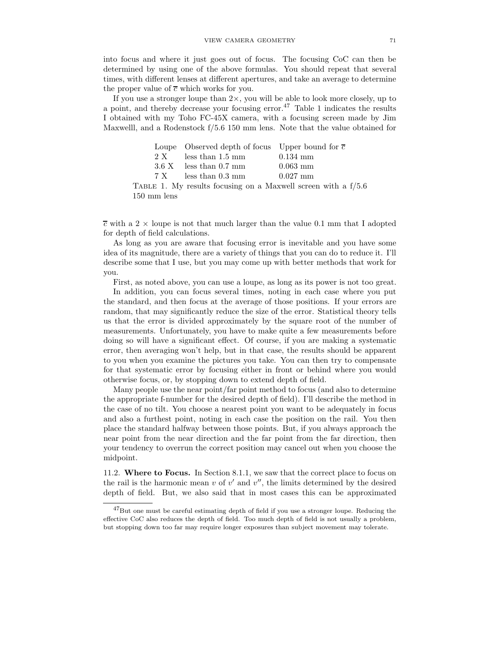into focus and where it just goes out of focus. The focusing CoC can then be determined by using one of the above formulas. You should repeat that several times, with different lenses at different apertures, and take an average to determine the proper value of  $\overline{c}$  which works for you.

If you use a stronger loupe than  $2 \times$ , you will be able to look more closely, up to a point, and thereby decrease your focusing error.<sup>47</sup> Table 1 indicates the results I obtained with my Toho FC-45X camera, with a focusing screen made by Jim Maxwelll, and a Rodenstock f/5.6 150 mm lens. Note that the value obtained for

| Loupe Observed depth of focus Upper bound for $\overline{c}$ |                                                                 |
|--------------------------------------------------------------|-----------------------------------------------------------------|
| $2 X$ less than 1.5 mm                                       | $0.134 \; \mathrm{mm}$                                          |
| $3.6 \text{ X}$ less than 0.7 mm                             | $0.063$ mm                                                      |
| $7 X$ less than 0.3 mm                                       | $0.027$ mm                                                      |
|                                                              | TABLE 1. My results focusing on a Maxwell screen with a $f/5.6$ |

<sup>150</sup> mm lens

 $\overline{c}$  with a 2  $\times$  loupe is not that much larger than the value 0.1 mm that I adopted for depth of field calculations.

As long as you are aware that focusing error is inevitable and you have some idea of its magnitude, there are a variety of things that you can do to reduce it. I'll describe some that I use, but you may come up with better methods that work for you.

First, as noted above, you can use a loupe, as long as its power is not too great.

In addition, you can focus several times, noting in each case where you put the standard, and then focus at the average of those positions. If your errors are random, that may significantly reduce the size of the error. Statistical theory tells us that the error is divided approximately by the square root of the number of measurements. Unfortunately, you have to make quite a few measurements before doing so will have a significant effect. Of course, if you are making a systematic error, then averaging won't help, but in that case, the results should be apparent to you when you examine the pictures you take. You can then try to compensate for that systematic error by focusing either in front or behind where you would otherwise focus, or, by stopping down to extend depth of field.

Many people use the near point/far point method to focus (and also to determine the appropriate f-number for the desired depth of field). I'll describe the method in the case of no tilt. You choose a nearest point you want to be adequately in focus and also a furthest point, noting in each case the position on the rail. You then place the standard halfway between those points. But, if you always approach the near point from the near direction and the far point from the far direction, then your tendency to overrun the correct position may cancel out when you choose the midpoint.

11.2. Where to Focus. In Section 8.1.1, we saw that the correct place to focus on the rail is the harmonic mean  $v$  of  $v'$  and  $v''$ , the limits determined by the desired depth of field. But, we also said that in most cases this can be approximated

 $^{47}$ But one must be careful estimating depth of field if you use a stronger loupe. Reducing the effective CoC also reduces the depth of field. Too much depth of field is not usually a problem, but stopping down too far may require longer exposures than subject movement may tolerate.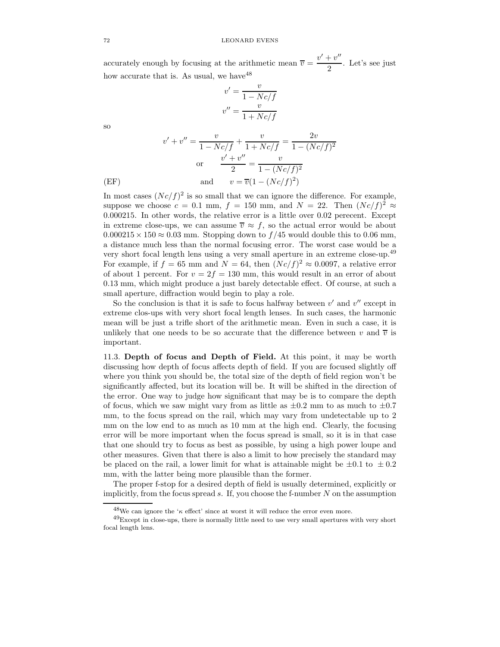accurately enough by focusing at the arithmetic mean  $\overline{v} = \frac{v' + v''}{2}$  $\frac{1}{2}$ . Let's see just how accurate that is. As usual, we have  $48$ 

$$
v' = \frac{v}{1 - Nc/f}
$$

$$
v'' = \frac{v}{1 + Nc/f}
$$

so

$$
v' + v'' = \frac{v}{1 - Nc/f} + \frac{v}{1 + Nc/f} = \frac{2v}{1 - (Nc/f)^2}
$$
  
or 
$$
\frac{v' + v''}{2} = \frac{v}{1 - (Nc/f)^2}
$$
  
(EF) and 
$$
v = \overline{v}(1 - (Nc/f)^2)
$$

In most cases  $(Nc/f)^2$  is so small that we can ignore the difference. For example, suppose we choose  $c = 0.1$  mm,  $f = 150$  mm, and  $N = 22$ . Then  $(Nc/f)^2 \approx$ 0.000215. In other words, the relative error is a little over 0.02 perecent. Except in extreme close-ups, we can assume  $\overline{v} \approx f$ , so the actual error would be about  $0.000215 \times 150 \approx 0.03$  mm. Stopping down to  $f/45$  would double this to 0.06 mm, a distance much less than the normal focusing error. The worst case would be a very short focal length lens using a very small aperture in an extreme close-up.<sup>49</sup> For example, if  $f = 65$  mm and  $N = 64$ , then  $(Nc/f)^2 \approx 0.0097$ , a relative error of about 1 percent. For  $v = 2f = 130$  mm, this would result in an error of about 0.13 mm, which might produce a just barely detectable effect. Of course, at such a small aperture, diffraction would begin to play a role.

So the conclusion is that it is safe to focus halfway between  $v'$  and  $v''$  except in extreme clos-ups with very short focal length lenses. In such cases, the harmonic mean will be just a trifle short of the arithmetic mean. Even in such a case, it is unlikely that one needs to be so accurate that the difference between v and  $\overline{v}$  is important.

11.3. Depth of focus and Depth of Field. At this point, it may be worth discussing how depth of focus affects depth of field. If you are focused slightly off where you think you should be, the total size of the depth of field region won't be significantly affected, but its location will be. It will be shifted in the direction of the error. One way to judge how significant that may be is to compare the depth of focus, which we saw might vary from as little as  $\pm 0.2$  mm to as much to  $\pm 0.7$ mm, to the focus spread on the rail, which may vary from undetectable up to 2 mm on the low end to as much as 10 mm at the high end. Clearly, the focusing error will be more important when the focus spread is small, so it is in that case that one should try to focus as best as possible, by using a high power loupe and other measures. Given that there is also a limit to how precisely the standard may be placed on the rail, a lower limit for what is attainable might be  $\pm 0.1$  to  $\pm 0.2$ mm, with the latter being more plausible than the former.

The proper f-stop for a desired depth of field is usually determined, explicitly or implicitly, from the focus spread  $s$ . If, you choose the f-number  $N$  on the assumption

<sup>&</sup>lt;sup>48</sup>We can ignore the ' $\kappa$  effect' since at worst it will reduce the error even more.

 $^{49}$ Except in close-ups, there is normally little need to use very small apertures with very short focal length lens.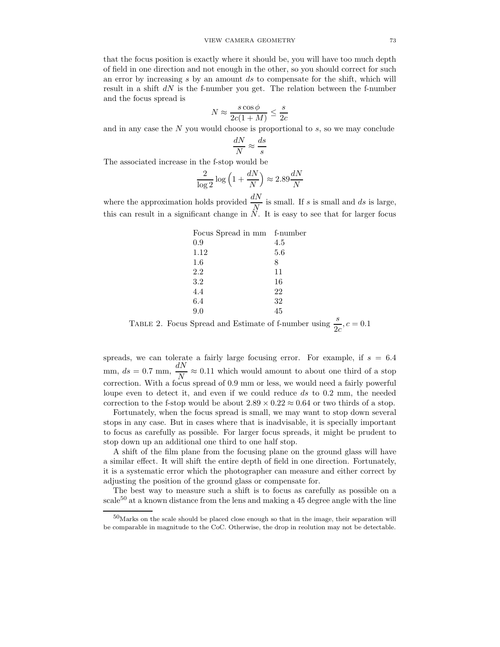that the focus position is exactly where it should be, you will have too much depth of field in one direction and not enough in the other, so you should correct for such an error by increasing  $s$  by an amount  $ds$  to compensate for the shift, which will result in a shift  $dN$  is the f-number you get. The relation between the f-number and the focus spread is

$$
N \approx \frac{s \cos \phi}{2c(1+M)} \le \frac{s}{2c}
$$

and in any case the  $N$  you would choose is proportional to  $s$ , so we may conclude

$$
\frac{dN}{N} \approx \frac{ds}{s}
$$

The associated increase in the f-stop would be

$$
\frac{2}{\log 2} \log \left( 1 + \frac{dN}{N} \right) \approx 2.89 \frac{dN}{N}
$$

where the approximation holds provided  $\frac{dN}{N}$  is small. If s is small and ds is large, this can result in a significant change in N. It is easy to see that for larger focus

| Focus Spread in mm f-number |     |
|-----------------------------|-----|
| 0.9                         | 4.5 |
| 1.12                        | 5.6 |
| 1.6                         | 8   |
| 2.2                         | 11  |
| 3.2                         | 16  |
| 4.4                         | 22  |
| 6.4                         | 32  |
| 9.0                         | 45  |
|                             |     |

TABLE 2. Focus Spread and Estimate of f-number using  $\frac{s}{2c}$ ,  $c = 0.1$ 

spreads, we can tolerate a fairly large focusing error. For example, if  $s = 6.4$ mm,  $ds = 0.7$  mm,  $\frac{dN}{N}$  $\frac{\Delta x}{N} \approx 0.11$  which would amount to about one third of a stop correction. With a focus spread of 0.9 mm or less, we would need a fairly powerful loupe even to detect it, and even if we could reduce ds to 0.2 mm, the needed correction to the f-stop would be about  $2.89 \times 0.22 \approx 0.64$  or two thirds of a stop.

Fortunately, when the focus spread is small, we may want to stop down several stops in any case. But in cases where that is inadvisable, it is specially important to focus as carefully as possible. For larger focus spreads, it might be prudent to stop down up an additional one third to one half stop.

A shift of the film plane from the focusing plane on the ground glass will have a similar effect. It will shift the entire depth of field in one direction. Fortunately, it is a systematic error which the photographer can measure and either correct by adjusting the position of the ground glass or compensate for.

The best way to measure such a shift is to focus as carefully as possible on a scale<sup>50</sup> at a known distance from the lens and making a 45 degree angle with the line

 $50$ Marks on the scale should be placed close enough so that in the image, their separation will be comparable in magnitude to the CoC. Otherwise, the drop in reolution may not be detectable.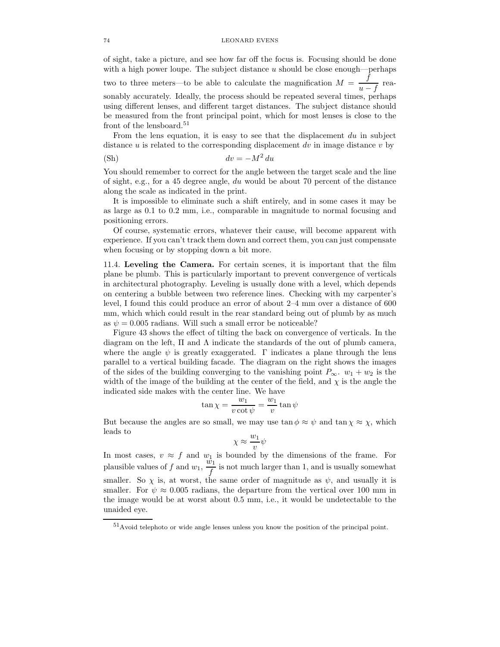of sight, take a picture, and see how far off the focus is. Focusing should be done with a high power loupe. The subject distance  $u$  should be close enough—perhaps two to three meters—to be able to calculate the magnification  $M = \frac{f}{f}$  $\frac{f}{u-f}$  reasonably accurately. Ideally, the process should be repeated several times, perhaps using different lenses, and different target distances. The subject distance should be measured from the front principal point, which for most lenses is close to the front of the lensboard.<sup>51</sup>

From the lens equation, it is easy to see that the displacement  $du$  in subject distance u is related to the corresponding displacement dv in image distance v by

$$
dv = -M^2 du
$$

You should remember to correct for the angle between the target scale and the line of sight, e.g., for a 45 degree angle, du would be about 70 percent of the distance along the scale as indicated in the print.

It is impossible to eliminate such a shift entirely, and in some cases it may be as large as 0.1 to 0.2 mm, i.e., comparable in magnitude to normal focusing and positioning errors.

Of course, systematic errors, whatever their cause, will become apparent with experience. If you can't track them down and correct them, you can just compensate when focusing or by stopping down a bit more.

11.4. Leveling the Camera. For certain scenes, it is important that the film plane be plumb. This is particularly important to prevent convergence of verticals in architectural photography. Leveling is usually done with a level, which depends on centering a bubble between two reference lines. Checking with my carpenter's level, I found this could produce an error of about 2–4 mm over a distance of 600 mm, which which could result in the rear standard being out of plumb by as much as  $\psi = 0.005$  radians. Will such a small error be noticeable?

Figure 43 shows the effect of tilting the back on convergence of verticals. In the diagram on the left,  $\Pi$  and  $\Lambda$  indicate the standards of the out of plumb camera, where the angle  $\psi$  is greatly exaggerated. Γ indicates a plane through the lens parallel to a vertical building facade. The diagram on the right shows the images of the sides of the building converging to the vanishing point  $P_{\infty}$ .  $w_1 + w_2$  is the width of the image of the building at the center of the field, and  $\chi$  is the angle the indicated side makes with the center line. We have

$$
\tan \chi = \frac{w_1}{v \cot \psi} = \frac{w_1}{v} \tan \psi
$$

But because the angles are so small, we may use  $\tan \phi \approx \psi$  and  $\tan \chi \approx \chi$ , which leads to

$$
\chi \approx \frac{w_1}{v} \psi
$$

In most cases,  $v \approx f$  and  $w_1$  is bounded by the dimensions of the frame. For plausible values of f and  $w_1$ ,  $\frac{w_1}{f}$  $\frac{d}{f}$  is not much larger than 1, and is usually somewhat smaller. So  $\chi$  is, at worst, the same order of magnitude as  $\psi$ , and usually it is smaller. For  $\psi \approx 0.005$  radians, the departure from the vertical over 100 mm in the image would be at worst about 0.5 mm, i.e., it would be undetectable to the unaided eye.

<sup>51</sup>Avoid telephoto or wide angle lenses unless you know the position of the principal point.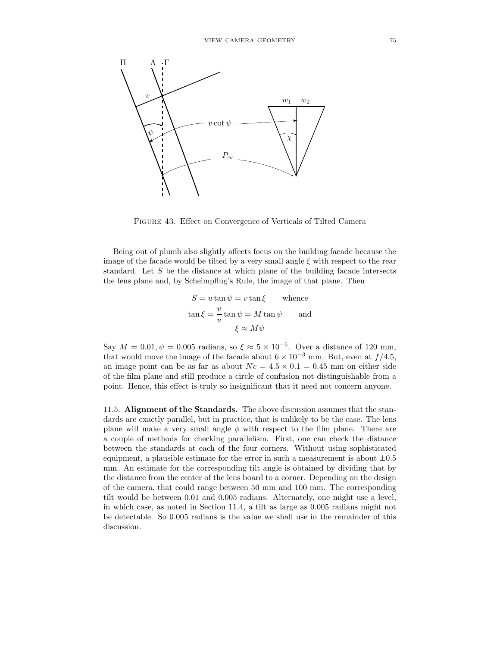

Figure 43. Effect on Convergence of Verticals of Tilted Camera

Being out of plumb also slightly affects focus on the building facade because the image of the facade would be tilted by a very small angle  $\xi$  with respect to the rear standard. Let S be the distance at which plane of the building facade intersects the lens plane and, by Scheimpflug's Rule, the image of that plane. Then

$$
S = u \tan \psi = v \tan \xi \quad \text{whence}
$$
  

$$
\tan \xi = \frac{v}{u} \tan \psi = M \tan \psi \quad \text{and}
$$
  

$$
\xi \approx M\psi
$$

Say  $M = 0.01, \psi = 0.005$  radians, so  $\xi \approx 5 \times 10^{-5}$ . Over a distance of 120 mm, that would move the image of the facade about  $6 \times 10^{-3}$  mm. But, even at  $f/4.5$ , an image point can be as far as about  $Nc = 4.5 \times 0.1 = 0.45$  mm on either side of the film plane and still produce a circle of confusion not distinguishable from a point. Hence, this effect is truly so insignificant that it need not concern anyone.

11.5. Alignment of the Standards. The above discussion assumes that the standards are exactly parallel, but in practice, that is unlikely to be the case. The lens plane will make a very small angle  $\phi$  with respect to the film plane. There are a couple of methods for checking parallelism. First, one can check the distance between the standards at each of the four corners. Without using sophisticated equipment, a plausible estimate for the error in such a measurement is about  $\pm 0.5$ mm. An estimate for the corresponding tilt angle is obtained by dividing that by the distance from the center of the lens board to a corner. Depending on the design of the camera, that could range between 50 mm and 100 mm. The corresponding tilt would be between 0.01 and 0.005 radians. Alternately, one might use a level, in which case, as noted in Section 11.4, a tilt as large as 0.005 radians might not be detectable. So 0.005 radians is the value we shall use in the remainder of this discussion.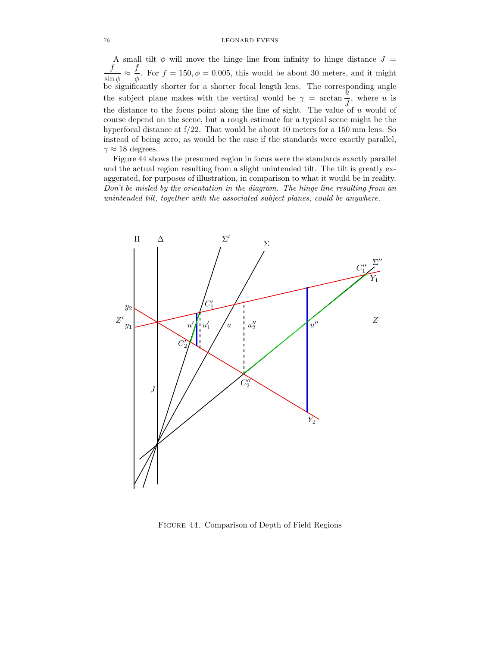A small tilt  $\phi$  will move the hinge line from infinity to hinge distance  $J =$ f  $\sin \phi$ <sup> $\approx$ </sup> f  $\frac{\partial}{\partial \phi}$ . For  $f = 150, \phi = 0.005$ , this would be about 30 meters, and it might be significantly shorter for a shorter focal length lens. The corresponding angle the subject plane makes with the vertical would be  $\gamma = \arctan \frac{\pi}{J}$ , where u is the distance to the focus point along the line of sight. The value of  $u$  would of course depend on the scene, but a rough estimate for a typical scene might be the hyperfocal distance at f/22. That would be about 10 meters for a 150 mm lens. So instead of being zero, as would be the case if the standards were exactly parallel,  $\gamma \approx 18$  degrees.

Figure 44 shows the presumed region in focus were the standards exactly parallel and the actual region resulting from a slight unintended tilt. The tilt is greatly exaggerated, for purposes of illustration, in comparison to what it would be in reality. Don't be misled by the orientation in the diagram. The hinge line resulting from an unintended tilt, together with the associated subject planes, could be anywhere.



Figure 44. Comparison of Depth of Field Regions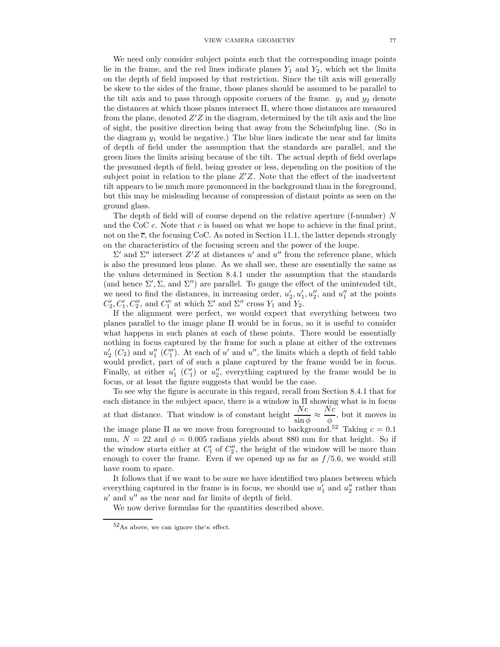We need only consider subject points such that the corresponding image points lie in the frame, and the red lines indicate planes  $Y_1$  and  $Y_2$ , which set the limits on the depth of field imposed by that restriction. Since the tilt axis will generally be skew to the sides of the frame, those planes should be assumed to be parallel to the tilt axis and to pass through opposite corners of the frame.  $y_1$  and  $y_2$  denote the distances at which those planes intersect Π, where those distances are measured from the plane, denoted  $Z'Z$  in the diagram, determined by the tilt axis and the line of sight, the positive direction being that away from the Scheimfplug line. (So in the diagram  $y_1$  would be negative.) The blue lines indicate the near and far limits of depth of field under the assumption that the standards are parallel, and the green lines the limits arising because of the tilt. The actual depth of field overlaps the presumed depth of field, being greater or less, depending on the position of the subject point in relation to the plane  $Z'Z$ . Note that the effect of the inadvertent tilt appears to be much more pronounced in the background than in the foreground, but this may be misleading because of compression of distant points as seen on the ground glass.

The depth of field will of course depend on the relative aperture (f-number)  $N$ and the CoC  $c$ . Note that  $c$  is based on what we hope to achieve in the final print, not on the  $\overline{c}$ , the focusing CoC. As noted in Section 11.1, the latter depends strongly on the characteristics of the focusing screen and the power of the loupe.

 $\Sigma'$  and  $\Sigma''$  intersect  $Z'Z$  at distances u' and u'' from the reference plane, which is also the presumed lens plane. As we shall see, these are essentially the same as the values determined in Section 8.4.1 under the assumption that the standards (and hence  $\Sigma'$ ,  $\Sigma$ , and  $\Sigma''$ ) are parallel. To gauge the effect of the unintended tilt, we need to find the distances, in increasing order,  $u'_2, u'_1, u''_2$ , and  $u''_1$  at the points  $C'_2, C'_1, C''_2$ , and  $C''_1$  at which  $\Sigma'$  and  $\Sigma''$  cross  $Y_1$  and  $Y_2$ .

If the alignment were perfect, we would expect that everything between two planes parallel to the image plane Π would be in focus, so it is useful to consider what happens in such planes at each of these points. There would be essentially nothing in focus captured by the frame for such a plane at either of the extremes  $u'_{2}(C_{2})$  and  $u''_{1}(C''_{1})$ . At each of u' and u'', the limits which a depth of field table would predict, part of of such a plane captured by the frame would be in focus. Finally, at either  $u'_1$  ( $C'_1$ ) or  $u''_2$ , everything captured by the frame would be in focus, or at least the figure suggests that would be the case.

To see why the figure is accurate in this regard, recall from Section 8.4.1 that for each distance in the subject space, there is a window in  $\Pi$  showing what is in focus at that distance. That window is of constant height  $\frac{Nc}{\sin \phi} \approx$  $Nc$  $\frac{1}{\phi}$ , but it moves in the image plane  $\Pi$  as we move from foreground to background.<sup>52</sup> Taking  $c = 0.1$ mm,  $N = 22$  and  $\phi = 0.005$  radians yields about 880 mm for that height. So if the window starts either at  $C'_1$  of  $C''_2$ , the height of the window will be more than enough to cover the frame. Even if we opened up as far as  $f/5.6$ , we would still have room to spare.

It follows that if we want to be sure we have identified two planes between which everything captured in the frame is in focus, we should use  $u'_1$  and  $u''_2$  rather than  $u'$  and  $u''$  as the near and far limits of depth of field.

We now derive formulas for the quantities described above.

 $52\text{As}$  above, we can ignore the'<sub>K</sub> effect.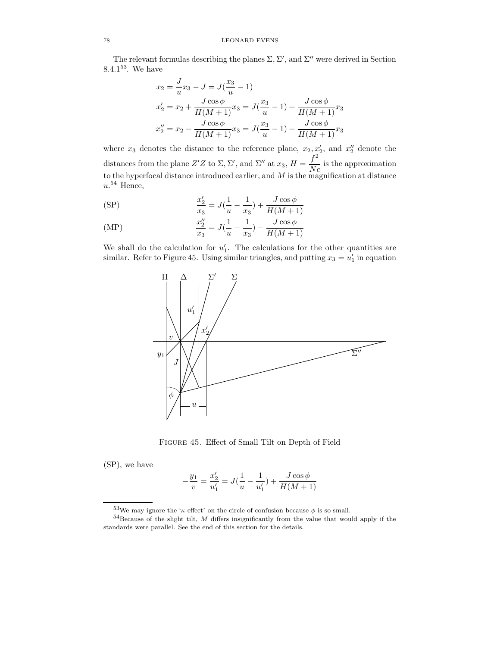The relevant formulas describing the planes  $\Sigma$ ,  $\Sigma'$ , and  $\Sigma''$  were derived in Section 8.4.1 $53$ . We have

$$
x_2 = \frac{J}{u}x_3 - J = J(\frac{x_3}{u} - 1)
$$
  
\n
$$
x'_2 = x_2 + \frac{J\cos\phi}{H(M+1)}x_3 = J(\frac{x_3}{u} - 1) + \frac{J\cos\phi}{H(M+1)}x_3
$$
  
\n
$$
x''_2 = x_2 - \frac{J\cos\phi}{H(M+1)}x_3 = J(\frac{x_3}{u} - 1) - \frac{J\cos\phi}{H(M+1)}x_3
$$

where  $x_3$  denotes the distance to the reference plane,  $x_2, x'_2$ , and  $x''_2$  denote the 2 distances from the plane Z'Z to  $\Sigma$ ,  $\Sigma'$ , and  $\Sigma''$  at  $x_3$ ,  $H = \frac{f^2}{N}$  $\frac{J}{Nc}$  is the approximation to the hyperfocal distance introduced earlier, and  $M$  is the magnification at distance  $u.$ <sup>54</sup> Hence,

(SP) 
$$
\frac{x_2'}{x_3} = J(\frac{1}{u} - \frac{1}{x_3}) + \frac{J\cos\phi}{H(M+1)}
$$

(MP) 
$$
\frac{x_2''}{x_3} = J(\frac{1}{u} - \frac{1}{x_3}) - \frac{J\cos\phi}{H(M+1)}
$$

We shall do the calculation for  $u'_1$ . The calculations for the other quantities are similar. Refer to Figure 45. Using similar triangles, and putting  $x_3 = u'_1$  in equation



Figure 45. Effect of Small Tilt on Depth of Field

(SP), we have

$$
-\frac{y_1}{v} = \frac{x_2'}{u_1'} = J(\frac{1}{u} - \frac{1}{u_1'}) + \frac{J\cos\phi}{H(M+1)}
$$

 $53$ We may ignore the ' $\kappa$  effect' on the circle of confusion because  $\phi$  is so small.

 $54$ Because of the slight tilt,  $M$  differs insignificantly from the value that would apply if the standards were parallel. See the end of this section for the details.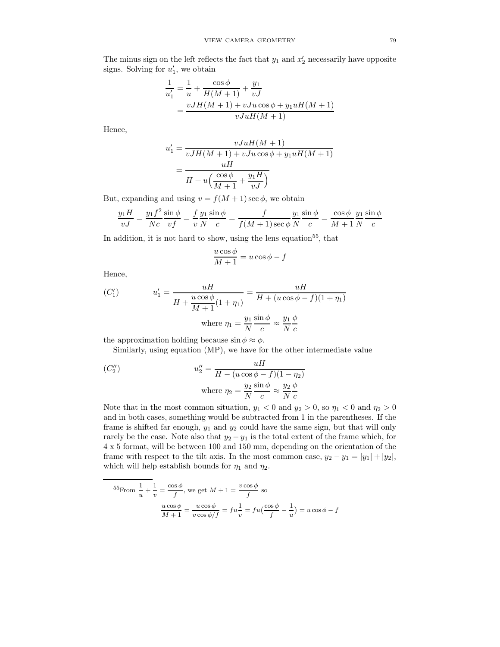The minus sign on the left reflects the fact that  $y_1$  and  $x_2'$  necessarily have opposite signs. Solving for  $u'_1$ , we obtain

$$
\frac{1}{u'_1} = \frac{1}{u} + \frac{\cos\phi}{H(M+1)} + \frac{y_1}{vJ}
$$
  
= 
$$
\frac{vJH(M+1) + vJu\cos\phi + y_1uH(M+1)}{vJuH(M+1)}
$$

Hence,

$$
u'_1 = \frac{vJuH(M+1)}{vJH(M+1) + vJu\cos\phi + y_1uH(M+1)}
$$

$$
= \frac{uH}{H+u\left(\frac{\cos\phi}{M+1} + \frac{y_1H}{vJ}\right)}
$$

But, expanding and using  $v = f(M + 1) \sec \phi$ , we obtain

$$
\frac{y_1H}{vJ} = \frac{y_1f^2}{Nc} \frac{\sin \phi}{vf} = \frac{f}{v} \frac{y_1}{N} \frac{\sin \phi}{c} = \frac{f}{f(M+1)\sec \phi} \frac{y_1}{N} \frac{\sin \phi}{c} = \frac{\cos \phi}{M+1} \frac{y_1}{N} \frac{\sin \phi}{c}
$$

In addition, it is not hard to show, using the lens equation<sup>55</sup>, that

$$
\frac{u\cos\phi}{M+1} = u\cos\phi - f
$$

Hence,

(C1)  

$$
u'_1 = \frac{uH}{H + \frac{u\cos\phi}{M+1}(1+\eta_1)} = \frac{uH}{H + (u\cos\phi - f)(1+\eta_1)}
$$
  
where  $\eta_1 = \frac{y_1}{N} \frac{\sin\phi}{c} \approx \frac{y_1}{N} \frac{\phi}{c}$ 

the approximation holding because  $\sin \phi \approx \phi$ .

Similarly, using equation (MP), we have for the other intermediate value

$$
(C_2'')
$$
\n
$$
u_2'' = \frac{uH}{H - (u\cos\phi - f)(1 - \eta_2)}
$$
\n
$$
\text{where } \eta_2 = \frac{y_2}{N} \frac{\sin\phi}{c} \approx \frac{y_2}{N} \frac{\phi}{c}
$$

Note that in the most common situation,  $y_1 < 0$  and  $y_2 > 0$ , so  $\eta_1 < 0$  and  $\eta_2 > 0$ and in both cases, something would be subtracted from 1 in the parentheses. If the frame is shifted far enough,  $y_1$  and  $y_2$  could have the same sign, but that will only rarely be the case. Note also that  $y_2 - y_1$  is the total extent of the frame which, for 4 x 5 format, will be between 100 and 150 mm, depending on the orientation of the frame with respect to the tilt axis. In the most common case,  $y_2 - y_1 = |y_1| + |y_2|$ , which will help establish bounds for  $\eta_1$  and  $\eta_2$ .

$$
{}^{55}\text{From } \frac{1}{u} + \frac{1}{v} = \frac{\cos\phi}{f}, \text{ we get } M + 1 = \frac{v\cos\phi}{f} \text{ so}
$$

$$
\frac{u\cos\phi}{M+1} = \frac{u\cos\phi}{v\cos\phi/f} = fu\frac{1}{v} = fu\left(\frac{\cos\phi}{f} - \frac{1}{u}\right) = u\cos\phi - f
$$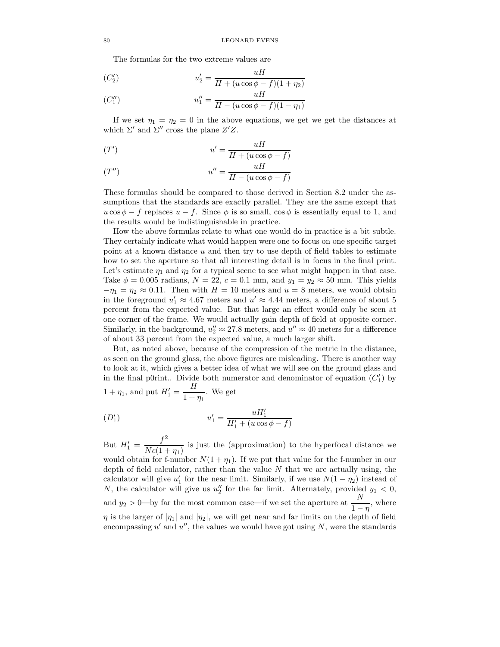The formulas for the two extreme values are

$$
(C_2') \t u_2' = \frac{uH}{H + (u\cos\phi - f)(1 + \eta_2)}
$$

$$
(C_1'') \t u_1'' = \frac{uH}{H - (u\cos\phi - f)(1 - \eta_1)}
$$

If we set  $\eta_1 = \eta_2 = 0$  in the above equations, we get we get the distances at which  $\Sigma'$  and  $\Sigma''$  cross the plane  $Z'Z$ .

$$
(T') \t u' = \frac{uH}{H + (u\cos\phi - f)}
$$

$$
(T'') \t u'' = \frac{uH}{H - (u\cos\phi - f)}
$$

These formulas should be compared to those derived in Section 8.2 under the assumptions that the standards are exactly parallel. They are the same except that  $u \cos \phi - f$  replaces  $u - f$ . Since  $\phi$  is so small,  $\cos \phi$  is essentially equal to 1, and the results would be indistinguishable in practice.

How the above formulas relate to what one would do in practice is a bit subtle. They certainly indicate what would happen were one to focus on one specific target point at a known distance  $u$  and then try to use depth of field tables to estimate how to set the aperture so that all interesting detail is in focus in the final print. Let's estimate  $\eta_1$  and  $\eta_2$  for a typical scene to see what might happen in that case. Take  $\phi = 0.005$  radians,  $N = 22$ ,  $c = 0.1$  mm, and  $y_1 = y_2 \approx 50$  mm. This yields  $-\eta_1 = \eta_2 \approx 0.11$ . Then with  $H = 10$  meters and  $u = 8$  meters, we would obtain in the foreground  $u'_1 \approx 4.67$  meters and  $u' \approx 4.44$  meters, a difference of about 5 percent from the expected value. But that large an effect would only be seen at one corner of the frame. We would actually gain depth of field at opposite corner. Similarly, in the background,  $u''_2 \approx 27.8$  meters, and  $u'' \approx 40$  meters for a difference of about 33 percent from the expected value, a much larger shift.

But, as noted above, because of the compression of the metric in the distance, as seen on the ground glass, the above figures are misleading. There is another way to look at it, which gives a better idea of what we will see on the ground glass and in the final p0rint.. Divide both numerator and denominator of equation  $(C'_1)$  by  $1 + \eta_1$ , and put  $H'_1 = \frac{H}{1 + H}$  $\frac{1}{1+\eta_1}$ . We get

$$
(D'_1) \t u'_1 = \frac{uH'_1}{H'_1 + (u\cos\phi - f)}
$$

But  $H'_1 = \frac{f^2}{N_c(1 + 1)}$  $\frac{\partial}{\partial Nc(1 + \eta_1)}$  is just the (approximation) to the hyperfocal distance we would obtain for f-number  $N(1 + \eta_1)$ . If we put that value for the f-number in our depth of field calculator, rather than the value  $N$  that we are actually using, the calculator will give  $u'_1$  for the near limit. Similarly, if we use  $N(1 - \eta_2)$  instead of N, the calculator will give us  $u''_2$  for the far limit. Alternately, provided  $y_1 < 0$ , and  $y_2 > 0$ —by far the most common case—if we set the aperture at  $\frac{N}{1}$  $\frac{1}{1-\eta}$ , where  $\eta$  is the larger of  $|\eta_1|$  and  $|\eta_2|$ , we will get near and far limits on the depth of field encompassing  $u'$  and  $u''$ , the values we would have got using  $N$ , were the standards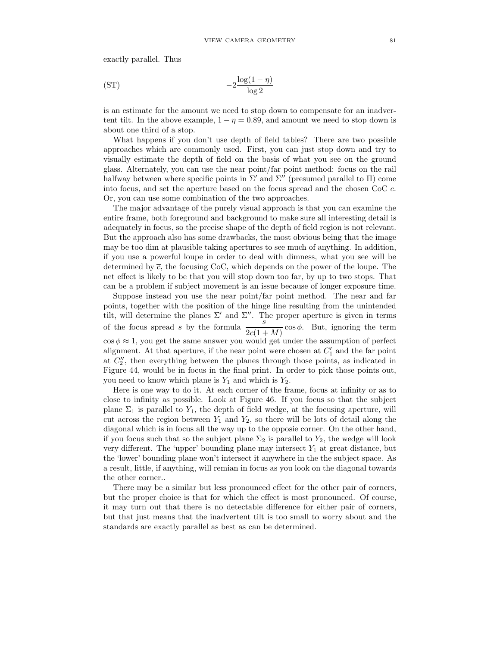exactly parallel. Thus

$$
(ST) \t\t -2\frac{\log(1-\eta)}{\log 2}
$$

is an estimate for the amount we need to stop down to compensate for an inadvertent tilt. In the above example,  $1 - \eta = 0.89$ , and amount we need to stop down is about one third of a stop.

What happens if you don't use depth of field tables? There are two possible approaches which are commonly used. First, you can just stop down and try to visually estimate the depth of field on the basis of what you see on the ground glass. Alternately, you can use the near point/far point method: focus on the rail halfway between where specific points in  $\Sigma'$  and  $\Sigma''$  (presumed parallel to  $\Pi$ ) come into focus, and set the aperture based on the focus spread and the chosen CoC c. Or, you can use some combination of the two approaches.

The major advantage of the purely visual approach is that you can examine the entire frame, both foreground and background to make sure all interesting detail is adequately in focus, so the precise shape of the depth of field region is not relevant. But the approach also has some drawbacks, the most obvious being that the image may be too dim at plausible taking apertures to see much of anything. In addition, if you use a powerful loupe in order to deal with dimness, what you see will be determined by  $\bar{c}$ , the focusing CoC, which depends on the power of the loupe. The net effect is likely to be that you will stop down too far, by up to two stops. That can be a problem if subject movement is an issue because of longer exposure time.

Suppose instead you use the near point/far point method. The near and far points, together with the position of the hinge line resulting from the unintended tilt, will determine the planes  $\Sigma'$  and  $\Sigma''$ . The proper aperture is given in terms of the focus spread s by the formula  $\frac{s}{2c(1+M)}$  cos  $\phi$ . But, ignoring the term  $\cos \phi \approx 1$ , you get the same answer you would get under the assumption of perfect alignment. At that aperture, if the near point were chosen at  $C'_1$  and the far point at C ′′ 2 , then everything between the planes through those points, as indicated in Figure 44, would be in focus in the final print. In order to pick those points out, you need to know which plane is  $Y_1$  and which is  $Y_2$ .

Here is one way to do it. At each corner of the frame, focus at infinity or as to close to infinity as possible. Look at Figure 46. If you focus so that the subject plane  $\Sigma_1$  is parallel to  $Y_1$ , the depth of field wedge, at the focusing aperture, will cut across the region between  $Y_1$  and  $Y_2$ , so there will be lots of detail along the diagonal which is in focus all the way up to the opposie corner. On the other hand, if you focus such that so the subject plane  $\Sigma_2$  is parallel to  $Y_2$ , the wedge will look very different. The 'upper' bounding plane may intersect  $Y_1$  at great distance, but the 'lower' bounding plane won't intersect it anywhere in the the subject space. As a result, little, if anything, will remian in focus as you look on the diagonal towards the other corner..

There may be a similar but less pronounced effect for the other pair of corners, but the proper choice is that for which the effect is most pronounced. Of course, it may turn out that there is no detectable difference for either pair of corners, but that just means that the inadvertent tilt is too small to worry about and the standards are exactly parallel as best as can be determined.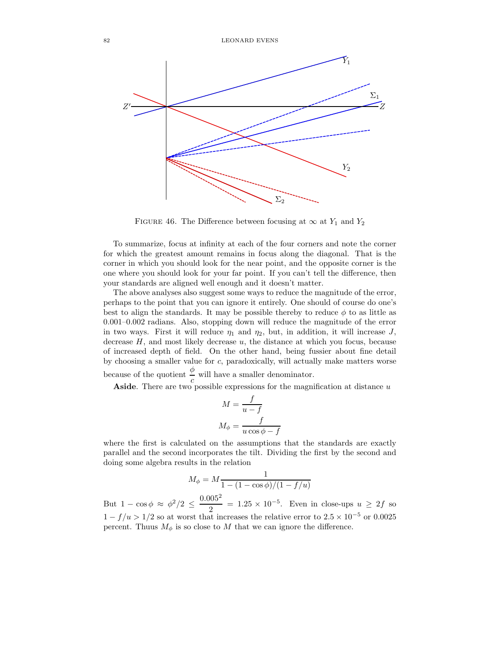

FIGURE 46. The Difference between focusing at  $\infty$  at  $Y_1$  and  $Y_2$ 

To summarize, focus at infinity at each of the four corners and note the corner for which the greatest amount remains in focus along the diagonal. That is the corner in which you should look for the near point, and the opposite corner is the one where you should look for your far point. If you can't tell the difference, then your standards are aligned well enough and it doesn't matter.

The above analyses also suggest some ways to reduce the magnitude of the error, perhaps to the point that you can ignore it entirely. One should of course do one's best to align the standards. It may be possible thereby to reduce  $\phi$  to as little as 0.001–0.002 radians. Also, stopping down will reduce the magnitude of the error in two ways. First it will reduce  $\eta_1$  and  $\eta_2$ , but, in addition, it will increase J, decrease  $H$ , and most likely decrease  $u$ , the distance at which you focus, because of increased depth of field. On the other hand, being fussier about fine detail by choosing a smaller value for c, paradoxically, will actually make matters worse because of the quotient  $\frac{\phi}{c}$  will have a smaller denominator.

Aside. There are two possible expressions for the magnification at distance  $u$ 

$$
M = \frac{f}{u - f}
$$

$$
M_{\phi} = \frac{f}{u \cos \phi - f}
$$

where the first is calculated on the assumptions that the standards are exactly parallel and the second incorporates the tilt. Dividing the first by the second and doing some algebra results in the relation

$$
M_{\phi} = M \frac{1}{1 - (1 - \cos \phi)/(1 - f/u)}
$$

But  $1 - \cos \phi \approx \phi^2/2 \leq \frac{0.005^2}{2}$  $\frac{1}{2}$  = 1.25 × 10<sup>-5</sup>. Even in close-ups  $u \geq 2f$  so  $1 - f/u > 1/2$  so at worst that increases the relative error to  $2.5 \times 10^{-5}$  or 0.0025 percent. Thuus  $M_{\phi}$  is so close to M that we can ignore the difference.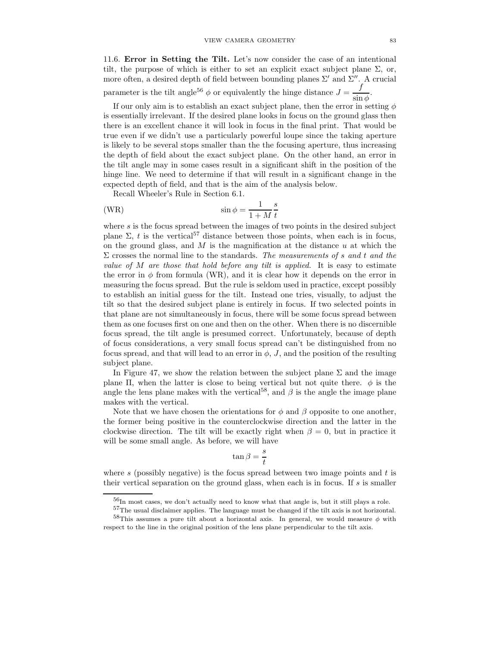11.6. Error in Setting the Tilt. Let's now consider the case of an intentional tilt, the purpose of which is either to set an explicit exact subject plane  $\Sigma$ , or, more often, a desired depth of field between bounding planes  $\Sigma'$  and  $\Sigma''$ . A crucial parameter is the tilt angle<sup>56</sup>  $\phi$  or equivalently the hinge distance  $J = \frac{f}{f}$  $\frac{J}{\sin \phi}$ .

If our only aim is to establish an exact subject plane, then the error in setting  $\phi$ is essentially irrelevant. If the desired plane looks in focus on the ground glass then there is an excellent chance it will look in focus in the final print. That would be true even if we didn't use a particularly powerful loupe since the taking aperture is likely to be several stops smaller than the the focusing aperture, thus increasing the depth of field about the exact subject plane. On the other hand, an error in the tilt angle may in some cases result in a significant shift in the position of the hinge line. We need to determine if that will result in a significant change in the expected depth of field, and that is the aim of the analysis below.

Recall Wheeler's Rule in Section 6.1.

(WR) 
$$
\sin \phi = \frac{1}{1+M} \frac{s}{t}
$$

where  $s$  is the focus spread between the images of two points in the desired subject plane  $\Sigma$ , t is the vertical<sup>57</sup> distance between those points, when each is in focus, on the ground glass, and  $M$  is the magnification at the distance  $u$  at which the  $\Sigma$  crosses the normal line to the standards. The measurements of s and t and the value of  $M$  are those that hold before any tilt is applied. It is easy to estimate the error in  $\phi$  from formula (WR), and it is clear how it depends on the error in measuring the focus spread. But the rule is seldom used in practice, except possibly to establish an initial guess for the tilt. Instead one tries, visually, to adjust the tilt so that the desired subject plane is entirely in focus. If two selected points in that plane are not simultaneously in focus, there will be some focus spread between them as one focuses first on one and then on the other. When there is no discernible focus spread, the tilt angle is presumed correct. Unfortunately, because of depth of focus considerations, a very small focus spread can't be distinguished from no focus spread, and that will lead to an error in  $\phi$ , J, and the position of the resulting subject plane.

In Figure 47, we show the relation between the subject plane  $\Sigma$  and the image plane  $\Pi$ , when the latter is close to being vertical but not quite there.  $\phi$  is the angle the lens plane makes with the vertical<sup>58</sup>, and  $\beta$  is the angle the image plane makes with the vertical.

Note that we have chosen the orientations for  $\phi$  and  $\beta$  opposite to one another, the former being positive in the counterclockwise direction and the latter in the clockwise direction. The tilt will be exactly right when  $\beta = 0$ , but in practice it will be some small angle. As before, we will have

$$
\tan\beta = \frac{s}{t}
$$

where s (possibly negative) is the focus spread between two image points and  $t$  is their vertical separation on the ground glass, when each is in focus. If s is smaller

 $^{56}{\rm In}$  most cases, we don't actually need to know what that angle is, but it still plays a role.

<sup>&</sup>lt;sup>57</sup>The usual disclaimer applies. The language must be changed if the tilt axis is not horizontal.  $58$ This assumes a pure tilt about a horizontal axis. In general, we would measure  $\phi$  with

respect to the line in the original position of the lens plane perpendicular to the tilt axis.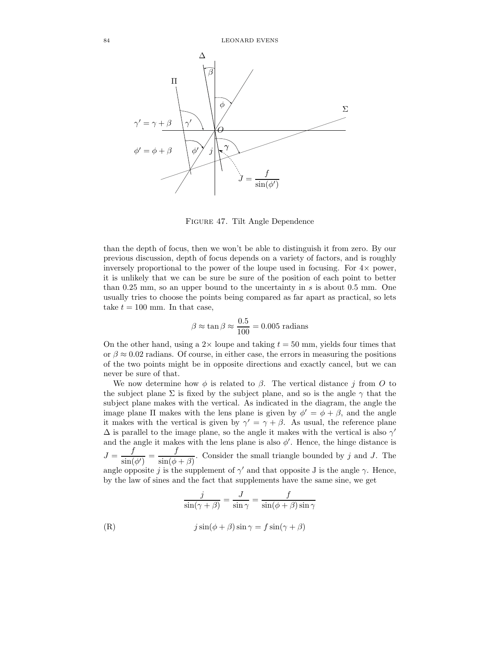

Figure 47. Tilt Angle Dependence

than the depth of focus, then we won't be able to distinguish it from zero. By our previous discussion, depth of focus depends on a variety of factors, and is roughly inversely proportional to the power of the loupe used in focusing. For  $4\times$  power, it is unlikely that we can be sure be sure of the position of each point to better than 0.25 mm, so an upper bound to the uncertainty in  $s$  is about 0.5 mm. One usually tries to choose the points being compared as far apart as practical, so lets take  $t = 100$  mm. In that case,

$$
\beta \approx \tan \beta \approx \frac{0.5}{100} = 0.005 \text{ radians}
$$

On the other hand, using a  $2 \times$  loupe and taking  $t = 50$  mm, yields four times that or  $\beta \approx 0.02$  radians. Of course, in either case, the errors in measuring the positions of the two points might be in opposite directions and exactly cancel, but we can never be sure of that.

We now determine how  $\phi$  is related to  $\beta$ . The vertical distance j from O to the subject plane  $\Sigma$  is fixed by the subject plane, and so is the angle  $\gamma$  that the subject plane makes with the vertical. As indicated in the diagram, the angle the image plane  $\Pi$  makes with the lens plane is given by  $\phi' = \phi + \beta$ , and the angle it makes with the vertical is given by  $\gamma' = \gamma + \beta$ . As usual, the reference plane  $\Delta$  is parallel to the image plane, so the angle it makes with the vertical is also  $\gamma'$ and the angle it makes with the lens plane is also  $\phi'$ . Hence, the hinge distance is  $J = \frac{f}{\cdot \cdot \cdot}$  $\frac{f}{\sin(\phi')} = \frac{f}{\sin(\phi)}$  $\frac{J}{\sin(\phi+\beta)}$ . Consider the small triangle bounded by j and J. The angle opposite j is the supplement of  $\gamma'$  and that opposite J is the angle  $\gamma$ . Hence, by the law of sines and the fact that supplements have the same sine, we get

$$
\frac{j}{\sin(\gamma + \beta)} = \frac{J}{\sin \gamma} = \frac{f}{\sin(\phi + \beta)\sin \gamma}
$$
  
(R)  

$$
j\sin(\phi + \beta)\sin \gamma = f\sin(\gamma + \beta)
$$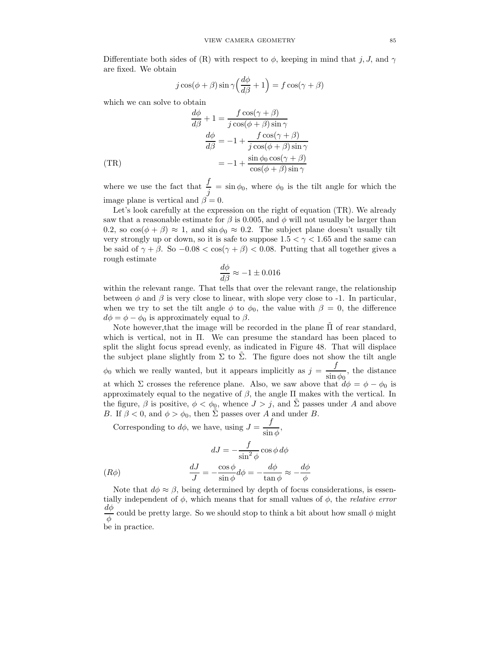Differentiate both sides of (R) with respect to  $\phi$ , keeping in mind that j, J, and  $\gamma$ are fixed. We obtain

$$
j\cos(\phi+\beta)\sin\gamma\left(\frac{d\phi}{d\beta}+1\right) = f\cos(\gamma+\beta)
$$

which we can solve to obtain

$$
\frac{d\phi}{d\beta} + 1 = \frac{f \cos(\gamma + \beta)}{j \cos(\phi + \beta) \sin \gamma}
$$

$$
\frac{d\phi}{d\beta} = -1 + \frac{f \cos(\gamma + \beta)}{j \cos(\phi + \beta) \sin \gamma}
$$

$$
= -1 + \frac{\sin \phi_0 \cos(\gamma + \beta)}{\cos(\phi + \beta) \sin \gamma}
$$

where we use the fact that  $\frac{f}{j} = \sin \phi_0$ , where  $\phi_0$  is the tilt angle for which the image plane is vertical and  $\beta = 0$ .

Let's look carefully at the expression on the right of equation (TR). We already saw that a reasonable estimate for  $\beta$  is 0.005, and  $\phi$  will not usually be larger than 0.2, so  $\cos(\phi + \beta) \approx 1$ , and  $\sin \phi_0 \approx 0.2$ . The subject plane doesn't usually tilt very strongly up or down, so it is safe to suppose  $1.5 < \gamma < 1.65$  and the same can be said of  $\gamma + \beta$ . So  $-0.08 < \cos(\gamma + \beta) < 0.08$ . Putting that all together gives a rough estimate

$$
\frac{d\phi}{d\beta} \approx -1 \pm 0.016
$$

within the relevant range. That tells that over the relevant range, the relationship between  $\phi$  and  $\beta$  is very close to linear, with slope very close to -1. In particular, when we try to set the tilt angle  $\phi$  to  $\phi_0$ , the value with  $\beta = 0$ , the difference  $d\phi = \phi - \phi_0$  is approximately equal to  $\beta$ .

Note however, that the image will be recorded in the plane  $\Pi$  of rear standard, which is vertical, not in Π. We can presume the standard has been placed to split the slight focus spread evenly, as indicated in Figure 48. That will displace the subject plane slightly from  $\Sigma$  to  $\Sigma$ . The figure does not show the tilt angle  $\phi_0$  which we really wanted, but it appears implicitly as  $j = \frac{f}{\sin \theta}$  $\frac{J}{\sin \phi_0}$ , the distance at which  $\Sigma$  crosses the reference plane. Also, we saw above that  $d\phi = \phi - \phi_0$  is approximately equal to the negative of  $\beta$ , the angle  $\Pi$  makes with the vertical. In the figure,  $\beta$  is positive,  $\phi < \phi_0$ , whence  $J > j$ , and  $\tilde{\Sigma}$  passes under A and above B. If  $\beta < 0$ , and  $\phi > \phi_0$ , then  $\tilde{\Sigma}$  passes over A and under B.

Corresponding to  $d\phi$ , we have, using  $J = -\frac{f}{d\phi}$  $\frac{\partial}{\sin \phi}$ ,

$$
dJ = -\frac{f}{\sin^2 \phi} \cos \phi \, d\phi
$$

$$
(R\phi) \qquad \frac{dJ}{J} = -\frac{\cos \phi}{\sin \phi} d\phi = -\frac{d\phi}{\tan \phi} \approx -\frac{d\phi}{\phi}
$$

Note that  $d\phi \approx \beta$ , being determined by depth of focus considerations, is essentially independent of  $\phi$ , which means that for small values of  $\phi$ , the *relative error*  $d\phi$  $\frac{\partial \phi}{\partial \phi}$  could be pretty large. So we should stop to think a bit about how small  $\phi$  might be in practice.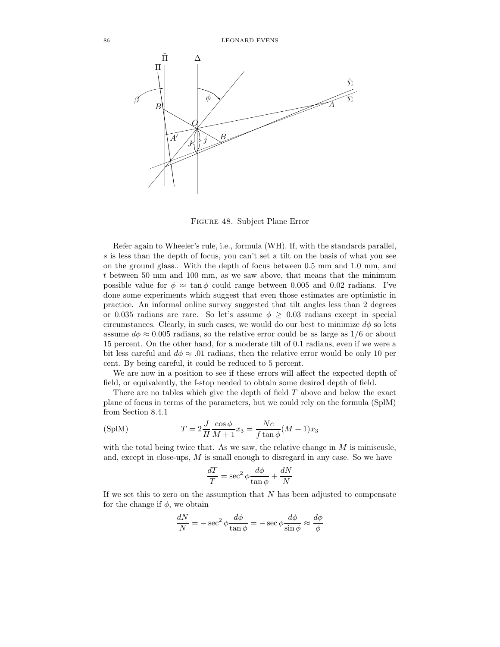

Figure 48. Subject Plane Error

Refer again to Wheeler's rule, i.e., formula (WH). If, with the standards parallel, s is less than the depth of focus, you can't set a tilt on the basis of what you see on the ground glass.. With the depth of focus between 0.5 mm and 1.0 mm, and t between 50 mm and 100 mm, as we saw above, that means that the minimum possible value for  $\phi \approx \tan \phi$  could range between 0.005 and 0.02 radians. I've done some experiments which suggest that even those estimates are optimistic in practice. An informal online survey suggested that tilt angles less than 2 degrees or 0.035 radians are rare. So let's assume  $\phi \geq 0.03$  radians except in special circumstances. Clearly, in such cases, we would do our best to minimize  $d\phi$  so lets assume  $d\phi \approx 0.005$  radians, so the relative error could be as large as 1/6 or about 15 percent. On the other hand, for a moderate tilt of 0.1 radians, even if we were a bit less careful and  $d\phi \approx .01$  radians, then the relative error would be only 10 per cent. By being careful, it could be reduced to 5 percent.

We are now in a position to see if these errors will affect the expected depth of field, or equivalently, the f-stop needed to obtain some desired depth of field.

There are no tables which give the depth of field  $T$  above and below the exact plane of focus in terms of the parameters, but we could rely on the formula (SplM) from Section 8.4.1

(SplM) 
$$
T = 2\frac{J}{H}\frac{\cos\phi}{M+1}x_3 = \frac{Nc}{f\tan\phi}(M+1)x_3
$$

with the total being twice that. As we saw, the relative change in  $M$  is miniscusle, and, except in close-ups,  $M$  is small enough to disregard in any case. So we have

$$
\frac{dT}{T} = \sec^2 \phi \frac{d\phi}{\tan \phi} + \frac{dN}{N}
$$

If we set this to zero on the assumption that  $N$  has been adjusted to compensate for the change if  $\phi$ , we obtain

$$
\frac{dN}{N} = -\sec^2\phi \frac{d\phi}{\tan\phi} = -\sec\phi \frac{d\phi}{\sin\phi} \approx \frac{d\phi}{\phi}
$$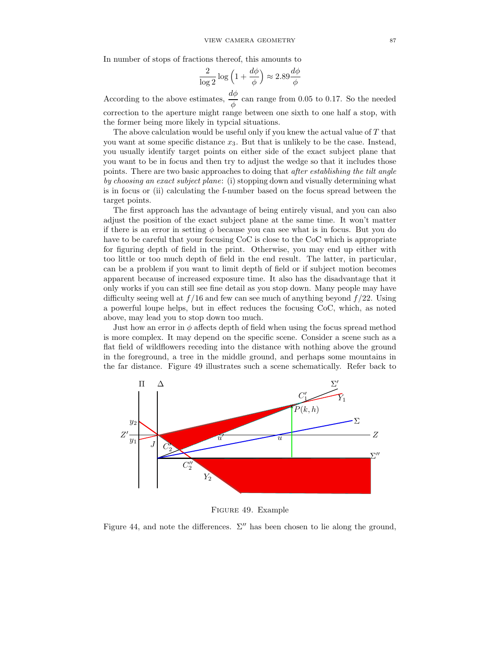In number of stops of fractions thereof, this amounts to

$$
\frac{2}{\log 2} \log \left( 1 + \frac{d\phi}{\phi} \right) \approx 2.89 \frac{d\phi}{\phi}
$$

According to the above estimates,  $\frac{d\phi}{\phi}$  can range from 0.05 to 0.17. So the needed correction to the aperture might range between one sixth to one half a stop, with the former being more likely in typcial situations.

The above calculation would be useful only if you knew the actual value of  $T$  that you want at some specific distance  $x_3$ . But that is unlikely to be the case. Instead, you usually identify target points on either side of the exact subject plane that you want to be in focus and then try to adjust the wedge so that it includes those points. There are two basic approaches to doing that after establishing the tilt angle by choosing an exact subject plane: (i) stopping down and visually determining what is in focus or (ii) calculating the f-number based on the focus spread between the target points.

The first approach has the advantage of being entirely visual, and you can also adjust the position of the exact subject plane at the same time. It won't matter if there is an error in setting  $\phi$  because you can see what is in focus. But you do have to be careful that your focusing CoC is close to the CoC which is appropriate for figuring depth of field in the print. Otherwise, you may end up either with too little or too much depth of field in the end result. The latter, in particular, can be a problem if you want to limit depth of field or if subject motion becomes apparent because of increased exposure time. It also has the disadvantage that it only works if you can still see fine detail as you stop down. Many people may have difficulty seeing well at  $f/16$  and few can see much of anything beyond  $f/22$ . Using a powerful loupe helps, but in effect reduces the focusing CoC, which, as noted above, may lead you to stop down too much.

Just how an error in  $\phi$  affects depth of field when using the focus spread method is more complex. It may depend on the specific scene. Consider a scene such as a flat field of wildflowers receding into the distance with nothing above the ground in the foreground, a tree in the middle ground, and perhaps some mountains in the far distance. Figure 49 illustrates such a scene schematically. Refer back to



Figure 49. Example

Figure 44, and note the differences.  $\Sigma''$  has been chosen to lie along the ground,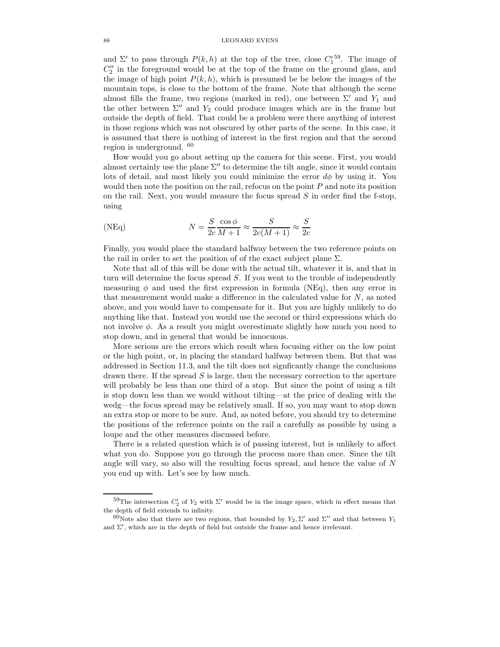#### 88 LEONARD EVENS

and  $\Sigma'$  to pass through  $P(k, h)$  at the top of the tree, close  $C_1^{'59}$ . The image of  $C''_2$  in the foreground would be at the top of the frame on the ground glass, and the image of high point  $P(k, h)$ , which is presumed be be below the images of the mountain tops, is close to the bottom of the frame. Note that although the scene almost fills the frame, two regions (marked in red), one between  $\Sigma'$  and  $Y_1$  and the other between  $\Sigma''$  and  $Y_2$  could produce images which are in the frame but outside the depth of field. That could be a problem were there anything of interest in those regions which was not obscured by other parts of the scene. In this case, it is assumed that there is nothing of interest in the first region and that the second region is underground. <sup>60</sup>

How would you go about setting up the camera for this scene. First, you would almost certainly use the plane  $\Sigma''$  to determine the tilt angle, since it would contain lots of detail, and most likely you could minimize the error  $d\phi$  by using it. You would then note the position on the rail, refocus on the point  $P$  and note its position on the rail. Next, you would measure the focus spread  $S$  in order find the f-stop, using

(NEq) 
$$
N = \frac{S}{2c} \frac{\cos \phi}{M+1} \approx \frac{S}{2c(M+1)} \approx \frac{S}{2c}
$$

Finally, you would place the standard halfway between the two reference points on the rail in order to set the position of of the exact subject plane  $\Sigma$ .

Note that all of this will be done with the actual tilt, whatever it is, and that in turn will determine the focus spread  $S$ . If you went to the trouble of independently measuring  $\phi$  and used the first expression in formula (NEq), then any error in that measurement would make a difference in the calculated value for  $N$ , as noted above, and you would have to compensate for it. But you are highly unlikely to do anything like that. Instead you would use the second or third expressions which do not involve  $\phi$ . As a result you might overestimate slightly how much you need to stop down, and in general that would be innocuous.

More serious are the errors which result when focusing either on the low point or the high point, or, in placing the standard halfway between them. But that was addressed in Section 11.3, and the tilt does not signficantly change the conclusions drawn there. If the spread  $S$  is large, then the necessary correction to the aperture will probably be less than one third of a stop. But since the point of using a tilt is stop down less than we would without tilting—at the price of dealing with the wedg—the focus spread may be relatively small. If so, you may want to stop down an extra stop or more to be sure. And, as noted before, you should try to determine the positions of the reference points on the rail a carefully as possible by using a loupe and the other measures discussed before.

There is a related question which is of passing interest, but is unlikely to affect what you do. Suppose you go through the process more than once. Since the tilt angle will vary, so also will the resulting focus spread, and hence the value of  $N$ you end up with. Let's see by how much.

<sup>&</sup>lt;sup>59</sup>The intersection  $C'_2$  of  $Y_2$  with  $\Sigma'$  would be in the image space, which in effect means that the depth of field extends to infinity.

<sup>&</sup>lt;sup>60</sup>Note also that there are two regions, that bounded by  $Y_2, \Sigma'$  and  $\Sigma''$  and that between  $Y_1$ and  $\Sigma'$ , which are in the depth of field but outside the frame and hence irrelevant.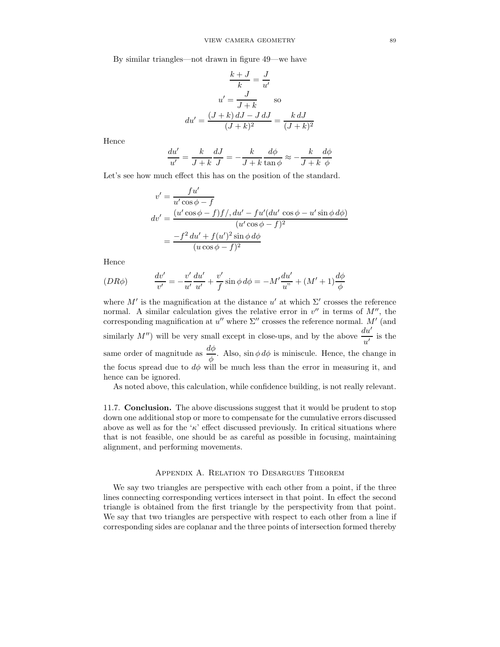By similar triangles—not drawn in figure 49—we have

$$
\frac{k+J}{k} = \frac{J}{u'}
$$

$$
u' = \frac{J}{J+k} \quad \text{so}
$$

$$
du' = \frac{(J+k) dJ - J dJ}{(J+k)^2} = \frac{k dJ}{(J+k)^2}
$$

Hence

$$
\frac{du'}{u'} = \frac{k}{J+k} \frac{dJ}{J} = -\frac{k}{J+k} \frac{d\phi}{\tan \phi} \approx -\frac{k}{J+k} \frac{d\phi}{\phi}
$$

Let's see how much effect this has on the position of the standard.

$$
v' = \frac{fu'}{u'\cos\phi - f}
$$
  
\n
$$
dv' = \frac{(u'\cos\phi - f)f}{du'\cos\phi - f'}
$$
  
\n
$$
= \frac{-f^2 du' + f(u')^2 \sin\phi d\phi}{(u'\cos\phi - f)^2}
$$
  
\n
$$
= \frac{-f^2 dv' + f(u')^2 \sin\phi d\phi}{(u\cos\phi - f)^2}
$$

Hence

$$
(DR\phi) \qquad \qquad \frac{dv'}{v'} = -\frac{v'}{u'}\frac{du'}{u'} + \frac{v'}{f}\sin\phi \,d\phi = -M'\frac{du'}{u''} + (M' + 1)\frac{d\phi}{\phi}
$$

where  $M'$  is the magnification at the distance u' at which  $\Sigma'$  crosses the reference normal. A similar calculation gives the relative error in  $v''$  in terms of  $M''$ , the corresponding magnification at  $u''$  where  $\Sigma''$  crosses the reference normal. M' (and similarly  $M''$ ) will be very small except in close-ups, and by the above  $\frac{du'}{u'}$  is the same order of magnitude as  $\frac{d\phi}{\phi}$ . Also,  $\sin \phi \, d\phi$  is miniscule. Hence, the change in the focus spread due to  $d\phi$  will be much less than the error in measuring it, and hence can be ignored.

As noted above, this calculation, while confidence building, is not really relevant.

11.7. Conclusion. The above discussions suggest that it would be prudent to stop down one additional stop or more to compensate for the cumulative errors discussed above as well as for the ' $\kappa$ ' effect discussed previously. In critical situations where that is not feasible, one should be as careful as possible in focusing, maintaining alignment, and performing movements.

# Appendix A. Relation to Desargues Theorem

We say two triangles are perspective with each other from a point, if the three lines connecting corresponding vertices intersect in that point. In effect the second triangle is obtained from the first triangle by the perspectivity from that point. We say that two triangles are perspective with respect to each other from a line if corresponding sides are coplanar and the three points of intersection formed thereby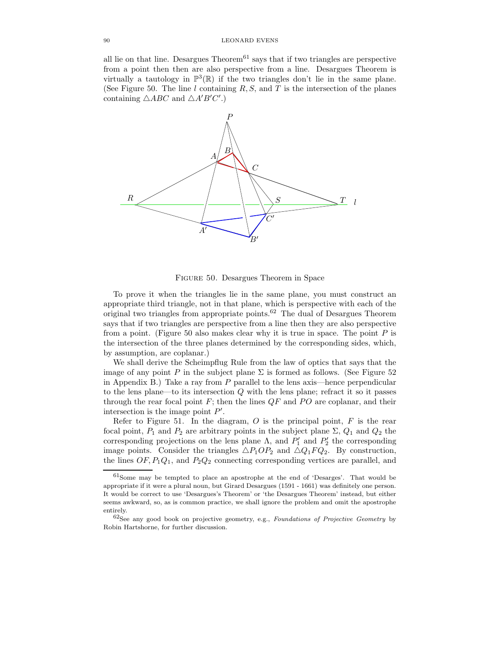all lie on that line. Desargues  $Theorem<sup>61</sup>$  says that if two triangles are perspective from a point then then are also perspective from a line. Desargues Theorem is virtually a tautology in  $\mathbb{P}^3(\mathbb{R})$  if the two triangles don't lie in the same plane. (See Figure 50. The line l containing  $R, S$ , and T is the intersection of the planes containing  $\triangle ABC$  and  $\triangle A'B'C'.$ 



Figure 50. Desargues Theorem in Space

To prove it when the triangles lie in the same plane, you must construct an appropriate third triangle, not in that plane, which is perspective with each of the original two triangles from appropriate points.<sup>62</sup> The dual of Desargues Theorem says that if two triangles are perspective from a line then they are also perspective from a point. (Figure 50 also makes clear why it is true in space. The point  $P$  is the intersection of the three planes determined by the corresponding sides, which, by assumption, are coplanar.)

We shall derive the Scheimpflug Rule from the law of optics that says that the image of any point P in the subject plane  $\Sigma$  is formed as follows. (See Figure 52 in Appendix B.) Take a ray from  $P$  parallel to the lens axis—hence perpendicular to the lens plane—to its intersection  $Q$  with the lens plane; refract it so it passes through the rear focal point  $F$ ; then the lines  $QF$  and PO are coplanar, and their intersection is the image point  $P'$ .

Refer to Figure 51. In the diagram,  $O$  is the principal point,  $F$  is the rear focal point,  $P_1$  and  $P_2$  are arbitrary points in the subject plane  $\Sigma$ ,  $Q_1$  and  $Q_2$  the corresponding projections on the lens plane  $\Lambda$ , and  $P'_1$  and  $P'_2$  the corresponding image points. Consider the triangles  $\triangle P_1OP_2$  and  $\triangle Q_1FQ_2$ . By construction, the lines  $OF, P_1Q_1$ , and  $P_2Q_2$  connecting corresponding vertices are parallel, and

<sup>61</sup>Some may be tempted to place an apostrophe at the end of 'Desarges'. That would be appropriate if it were a plural noun, but Girard Desargues (1591 - 1661) was definitely one person. It would be correct to use 'Desargues's Theorem' or 'the Desargues Theorem' instead, but either seems awkward, so, as is common practice, we shall ignore the problem and omit the apostrophe entirely.

 $62$ See any good book on projective geometry, e.g., Foundations of Projective Geometry by Robin Hartshorne, for further discussion.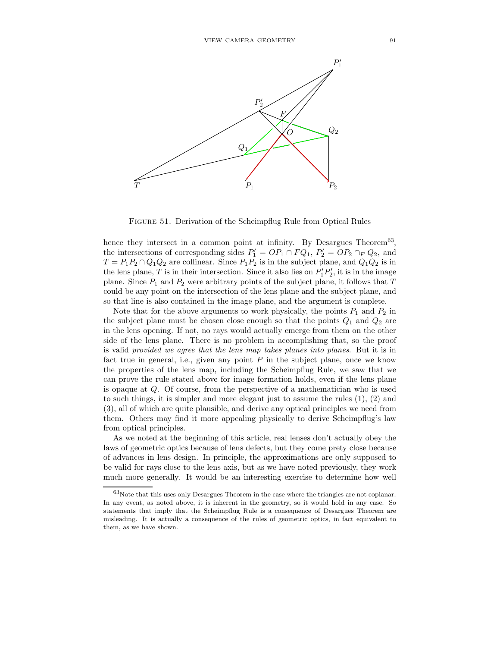

Figure 51. Derivation of the Scheimpflug Rule from Optical Rules

hence they intersect in a common point at infinity. By Desargues Theorem<sup>63</sup>, the intersections of corresponding sides  $P'_1 = OP_1 \cap FQ_1$ ,  $P'_2 = OP_2 \cap FQ_2$ , and  $T = P_1P_2 \cap Q_1Q_2$  are collinear. Since  $P_1P_2$  is in the subject plane, and  $Q_1Q_2$  is in the lens plane, T is in their intersection. Since it also lies on  $P'_1P'_2$ , it is in the image plane. Since  $P_1$  and  $P_2$  were arbitrary points of the subject plane, it follows that  $T$ could be any point on the intersection of the lens plane and the subject plane, and so that line is also contained in the image plane, and the argument is complete.

Note that for the above arguments to work physically, the points  $P_1$  and  $P_2$  in the subject plane must be chosen close enough so that the points  $Q_1$  and  $Q_2$  are in the lens opening. If not, no rays would actually emerge from them on the other side of the lens plane. There is no problem in accomplishing that, so the proof is valid provided we agree that the lens map takes planes into planes. But it is in fact true in general, i.e., given any point  $P$  in the subject plane, once we know the properties of the lens map, including the Scheimpflug Rule, we saw that we can prove the rule stated above for image formation holds, even if the lens plane is opaque at Q. Of course, from the perspective of a mathematician who is used to such things, it is simpler and more elegant just to assume the rules  $(1)$ ,  $(2)$  and (3), all of which are quite plausible, and derive any optical principles we need from them. Others may find it more appealing physically to derive Scheimpflug's law from optical principles.

As we noted at the beginning of this article, real lenses don't actually obey the laws of geometric optics because of lens defects, but they come prety close because of advances in lens design. In principle, the approximations are only supposed to be valid for rays close to the lens axis, but as we have noted previously, they work much more generally. It would be an interesting exercise to determine how well

<sup>63</sup>Note that this uses only Desargues Theorem in the case where the triangles are not coplanar. In any event, as noted above, it is inherent in the geometry, so it would hold in any case. So statements that imply that the Scheimpflug Rule is a consequence of Desargues Theorem are misleading. It is actually a consequence of the rules of geometric optics, in fact equivalent to them, as we have shown.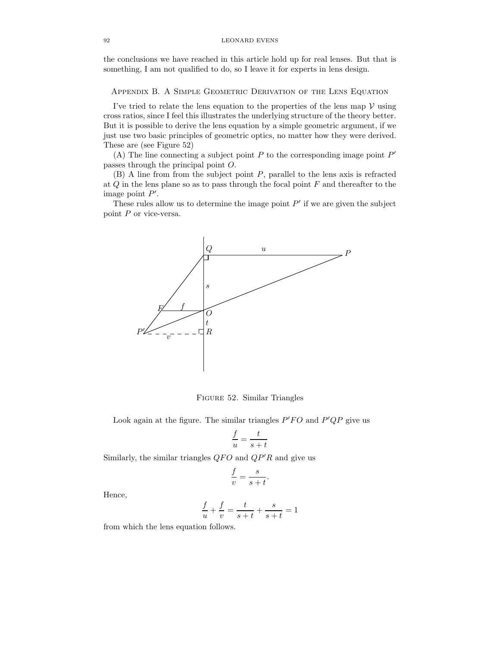the conclusions we have reached in this article hold up for real lenses. But that is something, I am not qualified to do, so I leave it for experts in lens design.

Appendix B. A Simple Geometric Derivation of the Lens Equation

I've tried to relate the lens equation to the properties of the lens map  $\mathcal V$  using cross ratios, since I feel this illustrates the underlying structure of the theory better. But it is possible to derive the lens equation by a simple geometric argument, if we just use two basic principles of geometric optics, no matter how they were derived. These are (see Figure 52)

(A) The line connecting a subject point  $P$  to the corresponding image point  $P'$ passes through the principal point O.

(B) A line from from the subject point P, parallel to the lens axis is refracted at  $Q$  in the lens plane so as to pass through the focal point  $F$  and thereafter to the image point  $P'$ .

These rules allow us to determine the image point  $P'$  if we are given the subject point  $P$  or vice-versa.



Figure 52. Similar Triangles

Look again at the figure. The similar triangles  $P'FO$  and  $P'QP$  give us

$$
\frac{f}{u} = \frac{t}{s+t}
$$

Similarly, the similar triangles  $QFO$  and  $QP'R$  and give us

$$
\frac{f}{v} = \frac{s}{s+t}.
$$

Hence,

$$
\frac{f}{u} + \frac{f}{v} = \frac{t}{s+t} + \frac{s}{s+t} = 1
$$

from which the lens equation follows.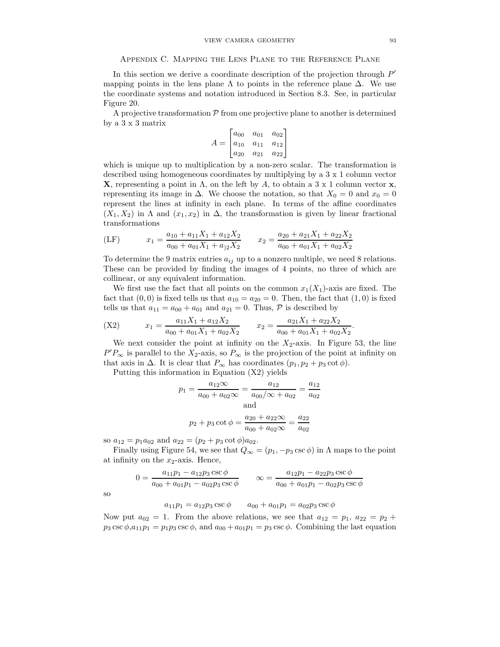In this section we derive a coordinate description of the projection through  $P'$ mapping points in the lens plane  $\Lambda$  to points in the reference plane  $\Delta$ . We use the coordinate systems and notation introduced in Section 8.3. See, in particular Figure 20.

A projective transformation  $P$  from one projective plane to another is determined by a 3 x 3 matrix

$$
A = \begin{bmatrix} a_{00} & a_{01} & a_{02} \\ a_{10} & a_{11} & a_{12} \\ a_{20} & a_{21} & a_{22} \end{bmatrix}
$$

which is unique up to multiplication by a non-zero scalar. The transformation is described using homogeneous coordinates by multiplying by a 3 x 1 column vector **X**, representing a point in  $\Lambda$ , on the left by A, to obtain a 3 x 1 column vector x, representing its image in  $\Delta$ . We choose the notation, so that  $X_0 = 0$  and  $x_0 = 0$ represent the lines at infinity in each plane. In terms of the affine coordinates  $(X_1, X_2)$  in  $\Lambda$  and  $(x_1, x_2)$  in  $\Delta$ , the transformation is given by linear fractional transformations

$$
(LF) \t x1 = \frac{a_{10} + a_{11}X_1 + a_{12}X_2}{a_{00} + a_{01}X_1 + a_{12}X_2} \t x2 = \frac{a_{20} + a_{21}X_1 + a_{22}X_2}{a_{00} + a_{01}X_1 + a_{02}X_2}
$$

To determine the 9 matrix entries  $a_{ij}$  up to a nonzero multiple, we need 8 relations. These can be provided by finding the images of 4 points, no three of which are collinear, or any equivalent information.

We first use the fact that all points on the common  $x_1(X_1)$ -axis are fixed. The fact that  $(0, 0)$  is fixed tells us that  $a_{10} = a_{20} = 0$ . Then, the fact that  $(1, 0)$  is fixed tells us that  $a_{11} = a_{00} + a_{01}$  and  $a_{21} = 0$ . Thus,  $P$  is described by

$$
(X2) \t x_1 = \frac{a_{11}X_1 + a_{12}X_2}{a_{00} + a_{01}X_1 + a_{02}X_2} \t x_2 = \frac{a_{21}X_1 + a_{22}X_2}{a_{00} + a_{01}X_1 + a_{02}X_2}
$$

We next consider the point at infinity on the  $X_2$ -axis. In Figure 53, the line  $P'P_{\infty}$  is parallel to the  $X_2$ -axis, so  $P_{\infty}$  is the projection of the point at infinity on that axis in  $\Delta$ . It is clear that  $P_{\infty}$  has coordinates  $(p_1, p_2 + p_3 \cot \phi)$ .

Putting this information in Equation (X2) yields

$$
p_1 = \frac{a_{12}\infty}{a_{00} + a_{02}\infty} = \frac{a_{12}}{a_{00}/\infty + a_{02}} = \frac{a_{12}}{a_{02}}
$$
  
and  

$$
p_2 + p_3 \cot \phi = \frac{a_{20} + a_{22}\infty}{a_{00} + a_{02}\infty} = \frac{a_{22}}{a_{02}}
$$

so  $a_{12} = p_1 a_{02}$  and  $a_{22} = (p_2 + p_3 \cot \phi) a_{02}$ .

Finally using Figure 54, we see that  $Q_{\infty} = (p_1, -p_3 \csc \phi)$  in  $\Lambda$  maps to the point at infinity on the  $x_2$ -axis. Hence,

$$
0 = \frac{a_{11}p_1 - a_{12}p_3 \csc \phi}{a_{00} + a_{01}p_1 - a_{02}p_3 \csc \phi} \qquad \infty = \frac{a_{12}p_1 - a_{22}p_3 \csc \phi}{a_{00} + a_{01}p_1 - a_{02}p_3 \csc \phi}
$$

so

$$
a_{11}p_1 = a_{12}p_3 \csc \phi \qquad a_{00} + a_{01}p_1 = a_{02}p_3 \csc \phi
$$

Now put  $a_{02} = 1$ . From the above relations, we see that  $a_{12} = p_1$ ,  $a_{22} = p_2 + p_3$  $p_3 \csc \phi, a_{11}p_1 = p_1p_3 \csc \phi$ , and  $a_{00} + a_{01}p_1 = p_3 \csc \phi$ . Combining the last equation

.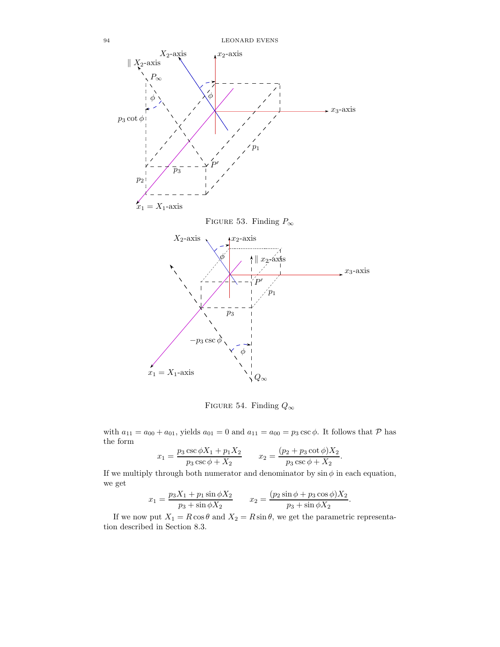

FIGURE 54. Finding  $Q_{\infty}$ 

with  $a_{11} = a_{00} + a_{01}$ , yields  $a_{01} = 0$  and  $a_{11} = a_{00} = p_3 \csc \phi$ . It follows that  $P$  has the form

$$
x_1 = \frac{p_3 \csc \phi X_1 + p_1 X_2}{p_3 \csc \phi + X_2} \qquad x_2 = \frac{(p_2 + p_3 \cot \phi) X_2}{p_3 \csc \phi + X_2}
$$

.

.

If we multiply through both numerator and denominator by  $\sin \phi$  in each equation, we get

$$
x_1 = \frac{p_3 X_1 + p_1 \sin \phi X_2}{p_3 + \sin \phi X_2} \qquad x_2 = \frac{(p_2 \sin \phi + p_3 \cos \phi) X_2}{p_3 + \sin \phi X_2}
$$

If we now put  $X_1 = R \cos \theta$  and  $X_2 = R \sin \theta$ , we get the parametric representation described in Section 8.3.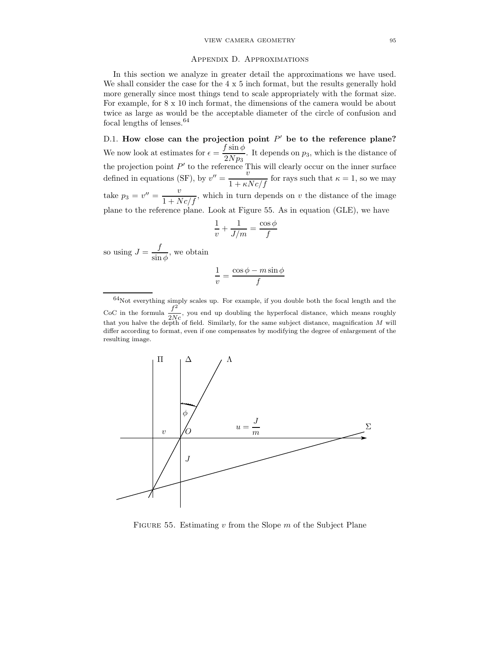#### Appendix D. Approximations

In this section we analyze in greater detail the approximations we have used. We shall consider the case for the  $4 \times 5$  inch format, but the results generally hold more generally since most things tend to scale appropriately with the format size. For example, for 8 x 10 inch format, the dimensions of the camera would be about twice as large as would be the acceptable diameter of the circle of confusion and focal lengths of lenses.<sup>64</sup>

D.1. How close can the projection point  $P'$  be to the reference plane? We now look at estimates for  $\epsilon = \frac{f \sin \phi}{\partial M}$  $\frac{\sqrt{2Np_3}}{2Np_3}$ . It depends on  $p_3$ , which is the distance of the projection point  $P'$  to the reference This will clearly occur on the inner surface defined in equations (SF), by  $v'' = \frac{v}{1 + \kappa N c/f}$  for rays such that  $\kappa = 1$ , so we may take  $p_3 = v'' = \frac{v}{1 + Nc/f}$ , which in turn depends on v the distance of the image plane to the reference plane. Look at Figure 55. As in equation (GLE), we have

$$
\frac{1}{v} + \frac{1}{J/m} = \frac{\cos \phi}{f}
$$

so using  $J = \frac{f}{f}$  $\frac{\partial}{\partial \sin \phi}$ , we obtain

$$
\frac{1}{v} = \frac{\cos\phi - m\sin\phi}{f}
$$

<sup>64</sup>Not everything simply scales up. For example, if you double both the focal length and the CoC in the formula  $\frac{f^2}{2M}$  $\frac{J}{2Nc}$ , you end up doubling the hyperfocal distance, which means roughly that you halve the depth of field. Similarly, for the same subject distance, magnification M will differ according to format, even if one compensates by modifying the degree of enlargement of the resulting image.



FIGURE 55. Estimating  $v$  from the Slope  $m$  of the Subject Plane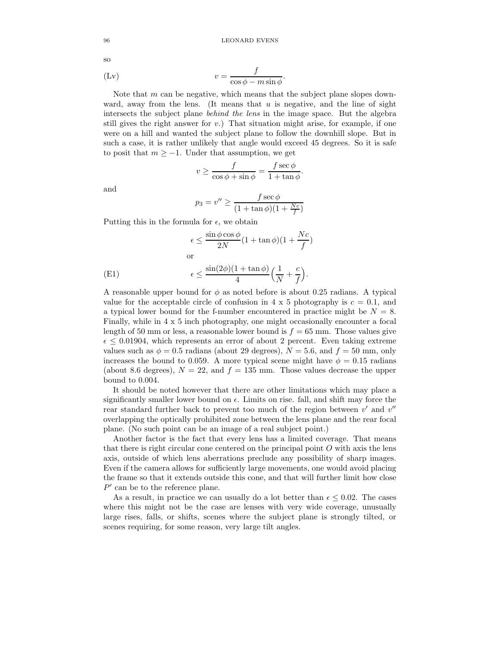96 LEONARD EVENS

$$
v = \frac{f}{\cos \phi - m \sin \phi}
$$

Note that  $m$  can be negative, which means that the subject plane slopes downward, away from the lens. (It means that  $u$  is negative, and the line of sight intersects the subject plane behind the lens in the image space. But the algebra still gives the right answer for  $v$ .) That situation might arise, for example, if one were on a hill and wanted the subject plane to follow the downhill slope. But in such a case, it is rather unlikely that angle would exceed 45 degrees. So it is safe to posit that  $m \geq -1$ . Under that assumption, we get

$$
v \ge \frac{f}{\cos \phi + \sin \phi} = \frac{f \sec \phi}{1 + \tan \phi}.
$$

and

$$
p_3 = v'' \ge \frac{f \sec \phi}{(1 + \tan \phi)(1 + \frac{Nc}{f})}
$$

Putting this in the formula for  $\epsilon$ , we obtain

$$
\epsilon \le \frac{\sin \phi \cos \phi}{2N} (1 + \tan \phi)(1 + \frac{Nc}{f})
$$
  
or  

$$
\epsilon \le \frac{\sin(2\phi)(1 + \tan \phi)}{4} \left(\frac{1}{N} + \frac{c}{f}\right).
$$

A reasonable upper bound for  $\phi$  as noted before is about 0.25 radians. A typical value for the acceptable circle of confusion in 4 x 5 photography is  $c = 0.1$ , and a typical lower bound for the f-number encountered in practice might be  $N = 8$ . Finally, while in 4 x 5 inch photography, one might occasionally encounter a focal length of 50 mm or less, a reasonable lower bound is  $f = 65$  mm. Those values give  $\epsilon \leq 0.01904$ , which represents an error of about 2 percent. Even taking extreme values such as  $\phi = 0.5$  radians (about 29 degrees),  $N = 5.6$ , and  $f = 50$  mm, only increases the bound to 0.059. A more typical scene might have  $\phi = 0.15$  radians (about 8.6 degrees),  $N = 22$ , and  $f = 135$  mm. Those values decrease the upper bound to 0.004.

It should be noted however that there are other limitations which may place a significantly smaller lower bound on  $\epsilon$ . Limits on rise. fall, and shift may force the rear standard further back to prevent too much of the region between  $v'$  and  $v''$ overlapping the optically prohibited zone between the lens plane and the rear focal plane. (No such point can be an image of a real subject point.)

Another factor is the fact that every lens has a limited coverage. That means that there is right circular cone centered on the principal point  $O$  with axis the lens axis, outside of which lens aberrations preclude any possibility of sharp images. Even if the camera allows for sufficiently large movements, one would avoid placing the frame so that it extends outside this cone, and that will further limit how close  $P'$  can be to the reference plane.

As a result, in practice we can usually do a lot better than  $\epsilon \leq 0.02$ . The cases where this might not be the case are lenses with very wide coverage, unusually large rises, falls, or shifts, scenes where the subject plane is strongly tilted, or scenes requiring, for some reason, very large tilt angles.

so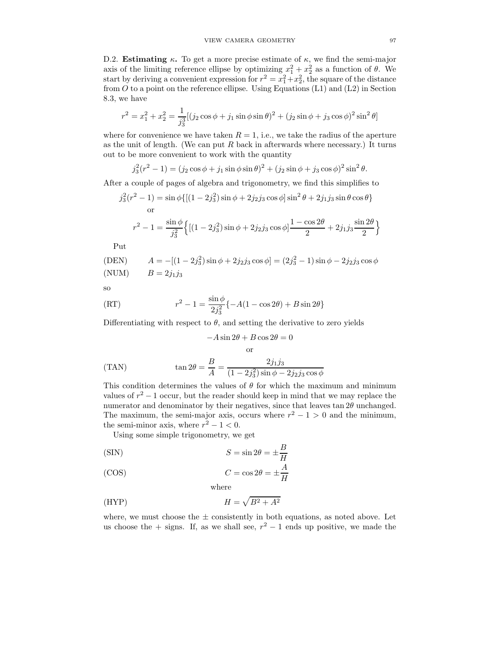D.2. **Estimating**  $\kappa$ . To get a more precise estimate of  $\kappa$ , we find the semi-major axis of the limiting reference ellipse by optimizing  $x_1^2 + x_2^2$  as a function of  $\theta$ . We start by deriving a convenient expression for  $r^2 = x_1^2 + x_2^2$ , the square of the distance from  $O$  to a point on the reference ellipse. Using Equations (L1) and (L2) in Section 8.3, we have

$$
r^{2} = x_{1}^{2} + x_{2}^{2} = \frac{1}{j_{3}^{3}}[(j_{2}\cos\phi + j_{1}\sin\phi\sin\theta)^{2} + (j_{2}\sin\phi + j_{3}\cos\phi)^{2}\sin^{2}\theta]
$$

where for convenience we have taken  $R = 1$ , i.e., we take the radius of the aperture as the unit of length. (We can put  $R$  back in afterwards where necessary.) It turns out to be more convenient to work with the quantity

$$
j_3^2(r^2 - 1) = (j_2 \cos \phi + j_1 \sin \phi \sin \theta)^2 + (j_2 \sin \phi + j_3 \cos \phi)^2 \sin^2 \theta.
$$

After a couple of pages of algebra and trigonometry, we find this simplifies to

$$
j_3^2(r^2 - 1) = \sin \phi \{ [(1 - 2j_3^2) \sin \phi + 2j_2 j_3 \cos \phi] \sin^2 \theta + 2j_1 j_3 \sin \theta \cos \theta \}
$$
  
or  

$$
r^2 - 1 = \frac{\sin \phi}{j_3^2} \{ [(1 - 2j_3^2) \sin \phi + 2j_2 j_3 \cos \phi] \frac{1 - \cos 2\theta}{2} + 2j_1 j_3 \frac{\sin 2\theta}{2} \}
$$

Put

$$
\text{(DEN)} \qquad A = -[(1 - 2j_3^2)\sin\phi + 2j_2j_3\cos\phi] = (2j_3^2 - 1)\sin\phi - 2j_2j_3\cos\phi
$$
\n
$$
\text{(NUM)} \qquad B = 2j_1j_3
$$

so

(RT) 
$$
r^2 - 1 = \frac{\sin \phi}{2j_3^2} \{-A(1 - \cos 2\theta) + B \sin 2\theta\}
$$

Differentiating with respect to  $\theta$ , and setting the derivative to zero yields

$$
-A\sin 2\theta + B\cos 2\theta = 0
$$
  
or  

$$
\tan 2\theta = \frac{B}{A} = \frac{2j_1j_3}{(1 - 2j_3^2)\sin \phi - 2j_2j_3\cos \phi}
$$

This condition determines the values of  $\theta$  for which the maximum and minimum values of  $r^2 - 1$  occur, but the reader should keep in mind that we may replace the numerator and denominator by their negatives, since that leaves tan  $2\theta$  unchanged. The maximum, the semi-major axis, occurs where  $r^2 - 1 > 0$  and the minimum, the semi-minor axis, where  $r^2 - 1 < 0$ .

Using some simple trigonometry, we get

(SIN) 
$$
S = \sin 2\theta = \pm \frac{B}{H}
$$

(COS) 
$$
C = \cos 2\theta = \pm \frac{\Lambda}{H}
$$

where

$$
(HYP) \t\t\t H = \sqrt{B^2 + A^2}
$$

where, we must choose the  $\pm$  consistently in both equations, as noted above. Let us choose the  $+$  signs. If, as we shall see,  $r^2 - 1$  ends up positive, we made the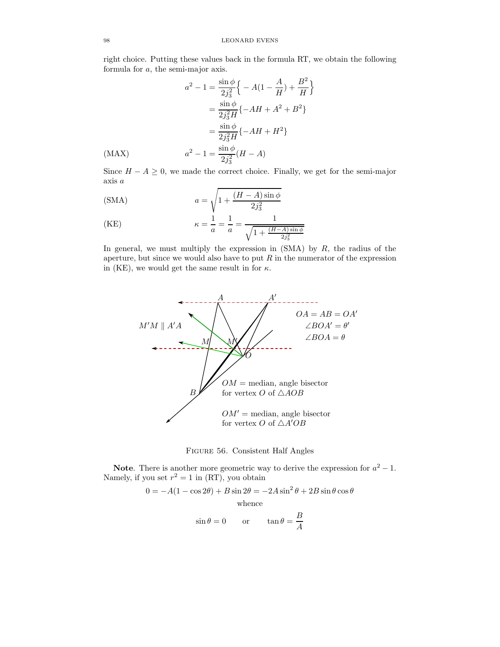right choice. Putting these values back in the formula RT, we obtain the following formula for a, the semi-major axis.

o

$$
a^{2} - 1 = \frac{\sin \phi}{2j_{3}^{2}} \left\{ -A(1 - \frac{A}{H}) + \frac{B^{2}}{H} \right\}
$$

$$
= \frac{\sin \phi}{2j_{3}^{2}H} \left\{ -AH + A^{2} + B^{2} \right\}
$$

$$
= \frac{\sin \phi}{2j_{3}^{2}H} \left\{ -AH + H^{2} \right\}
$$

$$
a^{2} - 1 = \frac{\sin \phi}{2j_{3}^{2}} (H - A)
$$

Since  $H - A \geq 0$ , we made the correct choice. Finally, we get for the semi-major axis a

$$
(SMA) \t\t a = \sqrt{1 + \frac{(H - A)\sin\phi}{2j_3^2}}
$$

(KE) 
$$
\kappa = \frac{1}{a} = \frac{1}{a} = \frac{1}{\sqrt{1 + \frac{(H - A)\sin\phi}{2j_3^2}}}
$$

In general, we must multiply the expression in  $(SMA)$  by  $R$ , the radius of the aperture, but since we would also have to put  $R$  in the numerator of the expression in (KE), we would get the same result in for  $\kappa$ .





Note. There is another more geometric way to derive the expression for  $a^2 - 1$ . Namely, if you set  $r^2 = 1$  in (RT), you obtain

$$
0 = -A(1 - \cos 2\theta) + B \sin 2\theta = -2A \sin^2 \theta + 2B \sin \theta \cos \theta
$$
  
whence  

$$
B
$$

$$
\sin \theta = 0
$$
 or  $\tan \theta = \frac{B}{A}$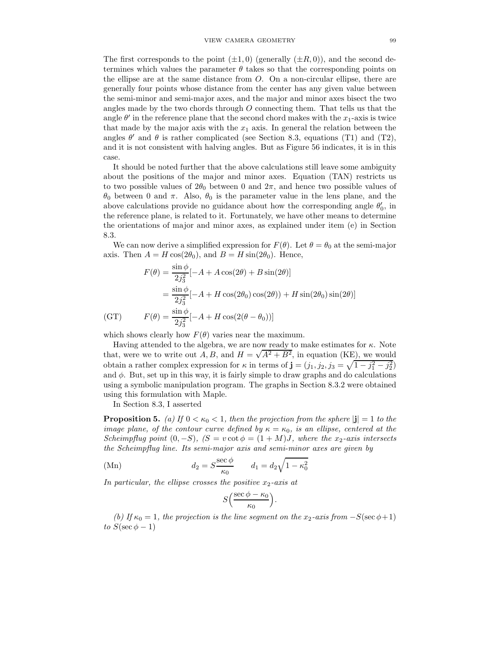The first corresponds to the point  $(\pm 1, 0)$  (generally  $(\pm R, 0)$ ), and the second determines which values the parameter  $\theta$  takes so that the corresponding points on the ellipse are at the same distance from O. On a non-circular ellipse, there are generally four points whose distance from the center has any given value between the semi-minor and semi-major axes, and the major and minor axes bisect the two angles made by the two chords through  $O$  connecting them. That tells us that the angle  $\theta'$  in the reference plane that the second chord makes with the  $x_1$ -axis is twice that made by the major axis with the  $x_1$  axis. In general the relation between the angles  $\theta'$  and  $\theta$  is rather complicated (see Section 8.3, equations (T1) and (T2), and it is not consistent with halving angles. But as Figure 56 indicates, it is in this case.

It should be noted further that the above calculations still leave some ambiguity about the positions of the major and minor axes. Equation (TAN) restricts us to two possible values of  $2\theta_0$  between 0 and  $2\pi$ , and hence two possible values of  $θ_0$  between 0 and π. Also,  $θ_0$  is the parameter value in the lens plane, and the above calculations provide no guidance about how the corresponding angle  $\theta'_0$ , in the reference plane, is related to it. Fortunately, we have other means to determine the orientations of major and minor axes, as explained under item (e) in Section 8.3.

We can now derive a simplified expression for  $F(\theta)$ . Let  $\theta = \theta_0$  at the semi-major axis. Then  $A = H \cos(2\theta_0)$ , and  $B = H \sin(2\theta_0)$ . Hence,

$$
F(\theta) = \frac{\sin \phi}{2j_3^2} [-A + A \cos(2\theta) + B \sin(2\theta)]
$$
  
=  $\frac{\sin \phi}{2j_3^2} [-A + H \cos(2\theta_0) \cos(2\theta)) + H \sin(2\theta_0) \sin(2\theta)]$   
(GT) 
$$
F(\theta) = \frac{\sin \phi}{2j_3^2} [-A + H \cos(2(\theta - \theta_0))]
$$

which shows clearly how  $F(\theta)$  varies near the maximum.

Having attended to the algebra, we are now ready to make estimates for  $\kappa$ . Note that, were we to write out A, B, and  $H = \sqrt{A^2 + B^2}$ , in equation (KE), we would obtain a rather complex expression for  $\kappa$  in terms of  $\mathbf{j} = (j_1, j_2, j_3 = \sqrt{1 - j_1^2 - j_2^2})$ and  $\phi$ . But, set up in this way, it is fairly simple to draw graphs and do calculations using a symbolic manipulation program. The graphs in Section 8.3.2 were obtained using this formulation with Maple.

In Section 8.3, I asserted

**Proposition 5.** (a) If  $0 < \kappa_0 < 1$ , then the projection from the sphere  $|\mathbf{j}| = 1$  to the image plane, of the contour curve defined by  $\kappa = \kappa_0$ , is an ellipse, centered at the Scheimpflug point  $(0, -S)$ ,  $(S = v \cot \phi = (1 + M)J$ , where the x<sub>2</sub>-axis intersects the Scheimpflug line. Its semi-major axis and semi-minor axes are given by

(Mn) 
$$
d_2 = S \frac{\sec \phi}{\kappa_0} \qquad d_1 = d_2 \sqrt{1 - \kappa_0^2}
$$

In particular, the ellipse crosses the positive  $x_2$ -axis at

$$
S\left(\frac{\sec\phi-\kappa_0}{\kappa_0}\right).
$$

(b) If  $\kappa_0 = 1$ , the projection is the line segment on the x<sub>2</sub>-axis from  $-S(\sec \phi + 1)$ to  $S(\sec \phi - 1)$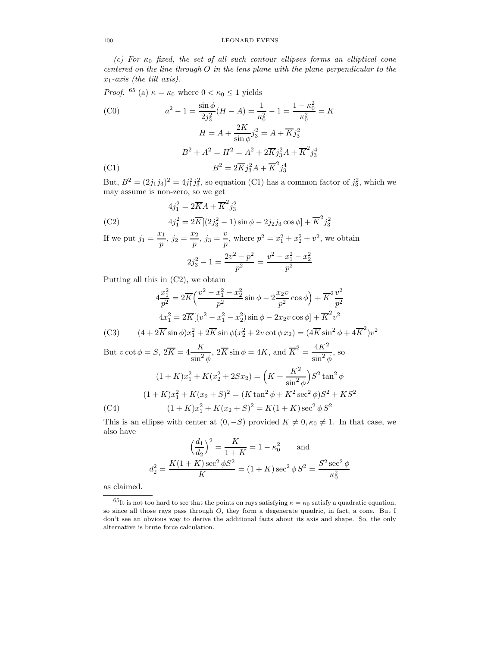## 100 LEONARD EVENS

(c) For  $\kappa_0$  fixed, the set of all such contour ellipses forms an elliptical cone centered on the line through  $O$  in the lens plane with the plane perpendicular to the  $x_1$ -axis (the tilt axis).

*Proof.* <sup>65</sup> (a) 
$$
\kappa = \kappa_0
$$
 where  $0 < \kappa_0 \le 1$  yields  
\n(C0)  $a^2 - 1 = \frac{\sin \phi}{2j_3^2} (H - A) = \frac{1}{\kappa_0^2} - 1 = \frac{1 - \kappa_0^2}{\kappa_0^2} = K$   
\n $H = A + \frac{2K}{\sin \phi} j_3^2 = A + \overline{K} j_3^2$   
\n $B^2 + A^2 = H^2 = A^2 + 2\overline{K} j_3^2 A + \overline{K}^2 j_3^4$   
\n(C1)  $B^2 = 2\overline{K} j_3^2 A + \overline{K}^2 j_3^4$ 

But,  $B^2 = (2j_1j_3)^2 = 4j_1^2j_3^2$ , so equation (C1) has a common factor of  $j_3^2$ , which we may assume is non-zero, so we get

(C2) 
$$
4j_1^2 = 2\overline{K}A + \overline{K}^2 j_3^2
$$

$$
4j_1^2 = 2\overline{K}[(2j_3^2 - 1)\sin\phi - 2j_2j_3\cos\phi] + \overline{K}^2 j_3^2
$$

If we put  $j_1 = \frac{x_1}{x_2}$  $\frac{x_1}{p}, j_2 = \frac{x_2}{p}$  $\frac{v_2}{p}, j_3 = \frac{v}{p}$  $\frac{v}{p}$ , where  $p^2 = x_1^2 + x_2^2 + v^2$ , we obtain  $2j_3^2 - 1 = \frac{2v^2 - p^2}{n^2}$  $\frac{(p-1)^2}{p^2} = \frac{v^2 - x_1^2 - x_2^2}{p^2}$  $p^2$ 

Putting all this in (C2), we obtain

$$
4\frac{x_1^2}{p^2} = 2\overline{K}\left(\frac{v^2 - x_1^2 - x_2^2}{p^2}\sin\phi - 2\frac{x_2v}{p^2}\cos\phi\right) + \overline{K}^2\frac{v^2}{p^2}
$$

$$
4x_1^2 = 2\overline{K}\left[(v^2 - x_1^2 - x_2^2)\sin\phi - 2x_2v\cos\phi\right] + \overline{K}^2v^2
$$

(C3) 
$$
(4 + 2\overline{K} \sin \phi)x_1^2 + 2\overline{K} \sin \phi(x_2^2 + 2v \cot \phi x_2) = (4\overline{K} \sin^2 \phi + 4\overline{K}^2)v^2
$$

But 
$$
v \cot \phi = S
$$
,  $2\overline{K} = 4\frac{K}{\sin^2 \phi}$ ,  $2\overline{K} \sin \phi = 4K$ , and  $\overline{K}^2 = \frac{4K^2}{\sin^2 \phi}$ , so  
\n
$$
(1 + K)x_1^2 + K(x_2^2 + 2Sx_2) = \left(K + \frac{K^2}{\sin^2 \phi}\right)S^2 \tan^2 \phi
$$
\n
$$
(1 + K)x_1^2 + K(x_2 + S)^2 = (K \tan^2 \phi + K^2 \sec^2 \phi)S^2 + KS^2
$$
\n(C4) 
$$
(1 + K)x_1^2 + K(x_2 + S)^2 = K(1 + K)\sec^2 \phi S^2
$$

This is an ellipse with center at  $(0, -S)$  provided  $K \neq 0, \kappa_0 \neq 1$ . In that case, we also have

$$
\left(\frac{d_1}{d_2}\right)^2 = \frac{K}{1+K} = 1 - \kappa_0^2 \quad \text{and}
$$

$$
d_2^2 = \frac{K(1+K)\sec^2\phi S^2}{K} = (1+K)\sec^2\phi S^2 = \frac{S^2\sec^2\phi}{\kappa_0^2}
$$

as claimed.

 $^{65}$ It is not too hard to see that the points on rays satisfying  $\kappa = \kappa_0$  satisfy a quadratic equation, so since all those rays pass through  $O$ , they form a degenerate quadric, in fact, a cone. But I don't see an obvious way to derive the additional facts about its axis and shape. So, the only alternative is brute force calculation.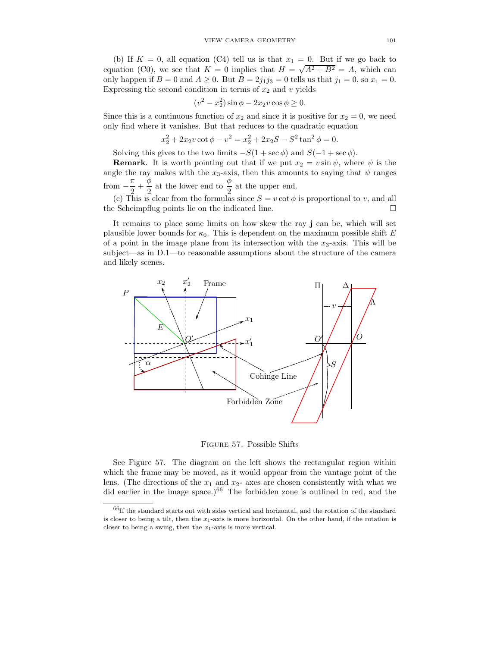(b) If  $K = 0$ , all equation (C4) tell us is that  $x_1 = 0$ . But if we go back to equation (C0), we see that  $K = 0$  implies that  $H = \sqrt{A^2 + B^2} = A$ , which can only happen if  $B = 0$  and  $A \ge 0$ . But  $B = 2j_1j_3 = 0$  tells us that  $j_1 = 0$ , so  $x_1 = 0$ . Expressing the second condition in terms of  $x_2$  and v yields

$$
(v2 - x22) sin \phi - 2x2v cos \phi \ge 0.
$$

Since this is a continuous function of  $x_2$  and since it is positive for  $x_2 = 0$ , we need only find where it vanishes. But that reduces to the quadratic equation

$$
x_2^2 + 2x_2v \cot \phi - v^2 = x_2^2 + 2x_2S - S^2 \tan^2 \phi = 0.
$$

Solving this gives to the two limits  $-S(1 + \sec \phi)$  and  $S(-1 + \sec \phi)$ .

**Remark**. It is worth pointing out that if we put  $x_2 = v \sin \psi$ , where  $\psi$  is the angle the ray makes with the  $x_3$ -axis, then this amounts to saying that  $\psi$  ranges from  $-\frac{\pi}{2}$  $\frac{\pi}{2} + \frac{\phi}{2}$  $\frac{\phi}{2}$  at the lower end to  $\frac{\phi}{2}$  at the upper end.

(c) This is clear from the formulas since  $S = v \cot \phi$  is proportional to v, and all the Scheimpflug points lie on the indicated line.

It remains to place some limits on how skew the ray j can be, which will set plausible lower bounds for  $\kappa_0$ . This is dependent on the maximum possible shift E of a point in the image plane from its intersection with the  $x_3$ -axis. This will be subject—as in D.1—to reasonable assumptions about the structure of the camera and likely scenes.



Figure 57. Possible Shifts

See Figure 57. The diagram on the left shows the rectangular region within which the frame may be moved, as it would appear from the vantage point of the lens. (The directions of the  $x_1$  and  $x_2$ - axes are chosen consistently with what we did earlier in the image space.)<sup>66</sup> The forbidden zone is outlined in red, and the

 $^{66}\mathrm{If}$  the standard starts out with sides vertical and horizontal, and the rotation of the standard is closer to being a tilt, then the  $x_1$ -axis is more horizontal. On the other hand, if the rotation is closer to being a swing, then the  $x_1$ -axis is more vertical.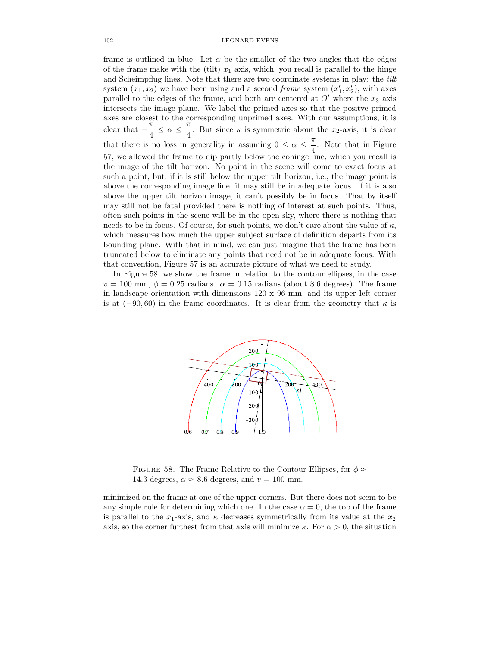frame is outlined in blue. Let  $\alpha$  be the smaller of the two angles that the edges of the frame make with the (tilt)  $x_1$  axis, which, you recall is parallel to the hinge and Scheimpflug lines. Note that there are two coordinate systems in play: the tilt system  $(x_1, x_2)$  we have been using and a second *frame* system  $(x'_1, x'_2)$ , with axes parallel to the edges of the frame, and both are centered at  $O'$  where the  $x_3$  axis intersects the image plane. We label the primed axes so that the positve primed axes are closest to the corresponding unprimed axes. With our assumptions, it is clear that  $-\frac{\pi}{4}$  $\frac{\pi}{4} \leq \alpha \leq \frac{\pi}{4}$  $\frac{\pi}{4}$ . But since  $\kappa$  is symmetric about the  $x_2$ -axis, it is clear that there is no loss in generality in assuming  $0 \leq \alpha \leq \frac{\pi}{4}$  $\frac{1}{4}$ . Note that in Figure 57, we allowed the frame to dip partly below the cohinge line, which you recall is the image of the tilt horizon. No point in the scene will come to exact focus at such a point, but, if it is still below the upper tilt horizon, i.e., the image point is above the corresponding image line, it may still be in adequate focus. If it is also above the upper tilt horizon image, it can't possibly be in focus. That by itself may still not be fatal provided there is nothing of interest at such points. Thus, often such points in the scene will be in the open sky, where there is nothing that needs to be in focus. Of course, for such points, we don't care about the value of  $\kappa$ , which measures how much the upper subject surface of definition departs from its bounding plane. With that in mind, we can just imagine that the frame has been truncated below to eliminate any points that need not be in adequate focus. With that convention, Figure 57 is an accurate picture of what we need to study.

In Figure 58, we show the frame in relation to the contour ellipses, in the case  $v = 100$  mm,  $\phi = 0.25$  radians.  $\alpha = 0.15$  radians (about 8.6 degrees). The frame in landscape orientation with dimensions 120 x 96 mm, and its upper left corner is at  $(-90, 60)$  in the frame coordinates. It is clear from the geometry that  $\kappa$  is



FIGURE 58. The Frame Relative to the Contour Ellipses, for  $\phi \approx$ 14.3 degrees,  $\alpha \approx 8.6$  degrees, and  $v = 100$  mm.

minimized on the frame at one of the upper corners. But there does not seem to be any simple rule for determining which one. In the case  $\alpha = 0$ , the top of the frame is parallel to the  $x_1$ -axis, and  $\kappa$  decreases symmetrically from its value at the  $x_2$ axis, so the corner furthest from that axis will minimize  $\kappa$ . For  $\alpha > 0$ , the situation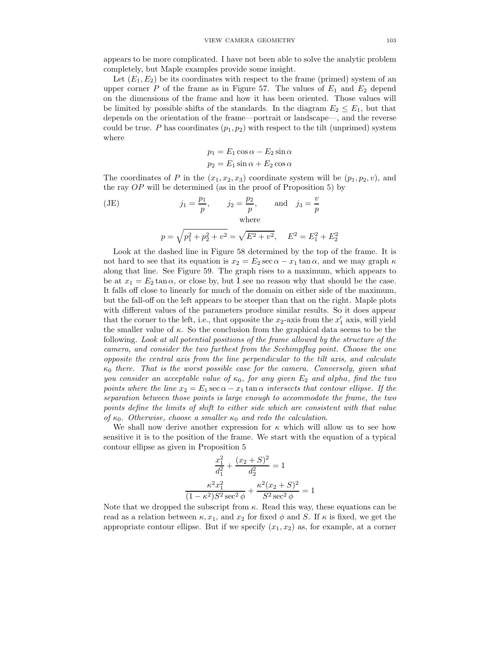appears to be more complicated. I have not been able to solve the analytic problem completely, but Maple examples provide some insight.

Let  $(E_1, E_2)$  be its coordinates with respect to the frame (primed) system of an upper corner  $P$  of the frame as in Figure 57. The values of  $E_1$  and  $E_2$  depend on the dimensions of the frame and how it has been oriented. Those values will be limited by possible shifts of the standards. In the diagram  $E_2 \leq E_1$ , but that depends on the orientation of the frame—portrait or landscape—, and the reverse could be true. P has coordinates  $(p_1, p_2)$  with respect to the tilt (unprimed) system where

$$
p_1 = E_1 \cos \alpha - E_2 \sin \alpha
$$
  

$$
p_2 = E_1 \sin \alpha + E_2 \cos \alpha
$$

The coordinates of P in the  $(x_1, x_2, x_3)$  coordinate system will be  $(p_1, p_2, v)$ , and the ray  $OP$  will be determined (as in the proof of Proposition 5) by

(JE) 
$$
j_1 = \frac{p_1}{p}
$$
,  $j_2 = \frac{p_2}{p}$ , and  $j_3 = \frac{v}{p}$   
where  
 $p = \sqrt{p_1^2 + p_2^2 + v^2} = \sqrt{E^2 + v^2}$ ,  $E^2 = E_1^2 + E_2^2$ 

Look at the dashed line in Figure 58 determined by the top of the frame. It is not hard to see that its equation is  $x_2 = E_2 \sec \alpha - x_1 \tan \alpha$ , and we may graph  $\kappa$ along that line. See Figure 59. The graph rises to a maximum, which appears to be at  $x_1 = E_2 \tan \alpha$ , or close by, but I see no reason why that should be the case. It falls off close to linearly for much of the domain on either side of the maximum, but the fall-off on the left appears to be steeper than that on the right. Maple plots with different values of the parameters produce similar results. So it does appear that the corner to the left, i.e., that opposite the  $x_2$ -axis from the  $x'_1$  axis, will yield the smaller value of  $\kappa$ . So the conclusion from the graphical data seems to be the following. Look at all potential positions of the frame allowed by the structure of the camera, and consider the two furthest from the Scehimpflug point. Choose the one opposite the central axis from the line perpendicular to the tilt axis, and calculate  $\kappa_0$  there. That is the worst possible case for the camera. Conversely, given what you consider an acceptable value of  $\kappa_0$ , for any given  $E_2$  and alpha, find the two points where the line  $x_2 = E_1 \sec \alpha - x_1 \tan \alpha$  intersects that contour ellipse. If the separation between those points is large enough to accommodate the frame, the two points define the limits of shift to either side which are consistent with that value of  $\kappa_0$ . Otherwise, choose a smaller  $\kappa_0$  and redo the calculation.

We shall now derive another expression for  $\kappa$  which will allow us to see how sensitive it is to the position of the frame. We start with the equation of a typical contour ellipse as given in Proposition 5

$$
\frac{x_1^2}{d_1^2} + \frac{(x_2 + S)^2}{d_2^2} = 1
$$

$$
\frac{\kappa^2 x_1^2}{(1 - \kappa^2)S^2 \sec^2 \phi} + \frac{\kappa^2 (x_2 + S)^2}{S^2 \sec^2 \phi} = 1
$$

Note that we dropped the subscript from  $\kappa$ . Read this way, these equations can be read as a relation between  $\kappa, x_1$ , and  $x_2$  for fixed  $\phi$  and S. If  $\kappa$  is fixed, we get the appropriate contour ellipse. But if we specify  $(x_1, x_2)$  as, for example, at a corner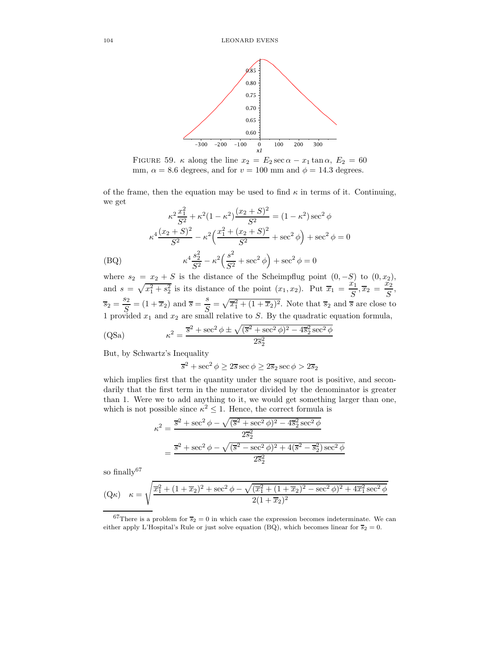

FIGURE 59.  $\kappa$  along the line  $x_2 = E_2 \sec \alpha - x_1 \tan \alpha$ ,  $E_2 = 60$ mm,  $\alpha = 8.6$  degrees, and for  $v = 100$  mm and  $\phi = 14.3$  degrees.

of the frame, then the equation may be used to find  $\kappa$  in terms of it. Continuing, we get

$$
\kappa^2 \frac{x_1^2}{S^2} + \kappa^2 (1 - \kappa^2) \frac{(x_2 + S)^2}{S^2} = (1 - \kappa^2) \sec^2 \phi
$$

$$
\kappa^4 \frac{(x_2 + S)^2}{S^2} - \kappa^2 \left(\frac{x_1^2 + (x_2 + S)^2}{S^2} + \sec^2 \phi\right) + \sec^2 \phi = 0
$$
(BQ)
$$
\kappa^4 \frac{s_2^2}{S^2} - \kappa^2 \left(\frac{s^2}{S^2} + \sec^2 \phi\right) + \sec^2 \phi = 0
$$

where  $s_2 = x_2 + S$  is the distance of the Scheimpflug point  $(0, -S)$  to  $(0, x_2)$ , and  $s = \sqrt{x_1^2 + s_2^2}$  is its distance of the point  $(x_1, x_2)$ . Put  $\overline{x}_1 = \frac{x_1}{S}$  $\frac{x_1}{S}, \overline{x}_2 = \frac{x_2}{S}$  $\frac{S}{S}$ ,  $\overline{s}_2 = \frac{s_2}{c}$  $\frac{s_2}{S}$  = (1 +  $\overline{x_2}$ ) and  $\overline{s}$  =  $\frac{s}{S}$  $\overline{S}_{\overline{S}_{1}} = \sqrt{\overline{x}_1^2 + (1 + \overline{x}_2)^2}$ . Note that  $\overline{s}_2$  and  $\overline{s}$  are close to 1 provided  $x_1$  and  $x_2$  are small relative to S. By the quadratic equation formula,

(QSa) 
$$
\kappa^2 = \frac{\overline{s}^2 + \sec^2 \phi \pm \sqrt{(\overline{s}^2 + \sec^2 \phi)^2 - 4\overline{s}_2^2 \sec^2 \phi}}{2\overline{s}_2^2}
$$

But, by Schwartz's Inequality

 $\overline{s}^2 + \sec^2 \phi \geq 2\overline{s} \sec \phi \geq 2\overline{s}_2 \sec \phi > 2\overline{s}_2$ 

which implies first that the quantity under the square root is positive, and secondarily that the first term in the numerator divided by the denominator is greater than 1. Were we to add anything to it, we would get something larger than one, which is not possible since  $\kappa^2 \leq 1$ . Hence, the correct formula is

$$
\kappa^2 = \frac{\overline{s}^2 + \sec^2 \phi - \sqrt{(\overline{s}^2 + \sec^2 \phi)^2 - 4\overline{s}_2^2 \sec^2 \phi}}{2\overline{s}_2^2}
$$

$$
= \frac{\overline{s}^2 + \sec^2 \phi - \sqrt{(\overline{s}^2 - \sec^2 \phi)^2 + 4(\overline{s}^2 - \overline{s}_2^2)\sec^2 \phi}}{2\overline{s}_2^2}
$$

so finally $67$ 

$$
(\mathbf{Q}\kappa) \quad \kappa = \sqrt{\frac{\overline{x}_1^2 + (1 + \overline{x}_2)^2 + \sec^2 \phi - \sqrt{(\overline{x}_1^2 + (1 + \overline{x}_2)^2 - \sec^2 \phi)^2 + 4\overline{x}_1^2 \sec^2 \phi}}{2(1 + \overline{x}_2)^2}}
$$

<sup>67</sup>There is a problem for  $\overline{s}_2 = 0$  in which case the expression becomes indeterminate. We can either apply L'Hospital's Rule or just solve equation (BQ), which becomes linear for  $\overline{s}_2 = 0$ .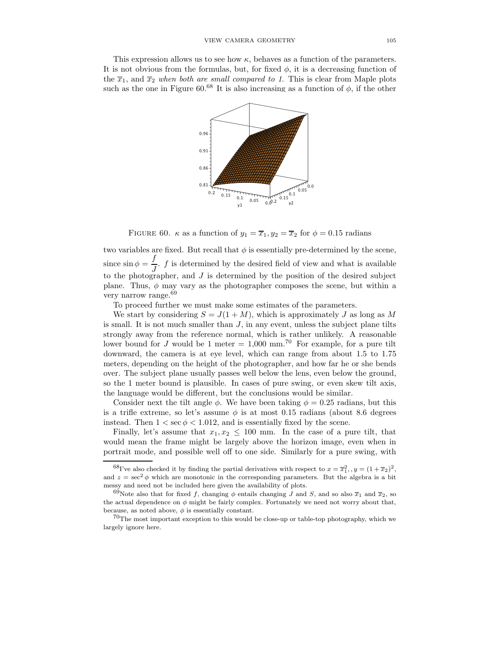This expression allows us to see how  $\kappa$ , behaves as a function of the parameters. It is not obvious from the formulas, but, for fixed  $\phi$ , it is a decreasing function of the  $\overline{x}_1$ , and  $\overline{x}_2$  when both are small compared to 1. This is clear from Maple plots such as the one in Figure 60.<sup>68</sup> It is also increasing as a function of  $\phi$ , if the other



FIGURE 60.  $\kappa$  as a function of  $y_1 = \overline{x}_1, y_2 = \overline{x}_2$  for  $\phi = 0.15$  radians

two variables are fixed. But recall that  $\phi$  is essentially pre-determined by the scene, since  $\sin \phi = \frac{f}{\phi}$  $\frac{J}{J}$ . f is determined by the desired field of view and what is available to the photographer, and  $J$  is determined by the position of the desired subject plane. Thus,  $\phi$  may vary as the photographer composes the scene, but within a very narrow range.<sup>69</sup>

To proceed further we must make some estimates of the parameters.

We start by considering  $S = J(1 + M)$ , which is approximately J as long as M is small. It is not much smaller than  $J$ , in any event, unless the subject plane tilts strongly away from the reference normal, which is rather unlikely. A reasonable lower bound for J would be 1 meter  $= 1,000$  mm.<sup>70</sup> For example, for a pure tilt downward, the camera is at eye level, which can range from about 1.5 to 1.75 meters, depending on the height of the photographer, and how far he or she bends over. The subject plane usually passes well below the lens, even below the ground, so the 1 meter bound is plausible. In cases of pure swing, or even skew tilt axis, the language would be different, but the conclusions would be similar.

Consider next the tilt angle  $\phi$ . We have been taking  $\phi = 0.25$  radians, but this is a trifle extreme, so let's assume  $\phi$  is at most 0.15 radians (about 8.6 degrees instead. Then  $1 < \sec \phi < 1.012$ , and is essentially fixed by the scene.

Finally, let's assume that  $x_1, x_2 \leq 100$  mm. In the case of a pure tilt, that would mean the frame might be largely above the horizon image, even when in portrait mode, and possible well off to one side. Similarly for a pure swing, with

<sup>&</sup>lt;sup>68</sup>I've also checked it by finding the partial derivatives with respect to  $x = \overline{x}_1^2$ ,  $y = (1 + \overline{x}_2)^2$ , and  $z = \sec^2 \phi$  which are monotonic in the corresponding parameters. But the algebra is a bit messy and need not be included here given the availability of plots.

<sup>&</sup>lt;sup>69</sup>Note also that for fixed f, changing  $\phi$  entails changing J and S, and so also  $\overline{x}_1$  and  $\overline{x}_2$ , so the actual dependence on  $\phi$  might be fairly complex. Fortunately we need not worry about that, because, as noted above,  $\phi$  is essentially constant.

<sup>70</sup>The most important exception to this would be close-up or table-top photography, which we largely ignore here.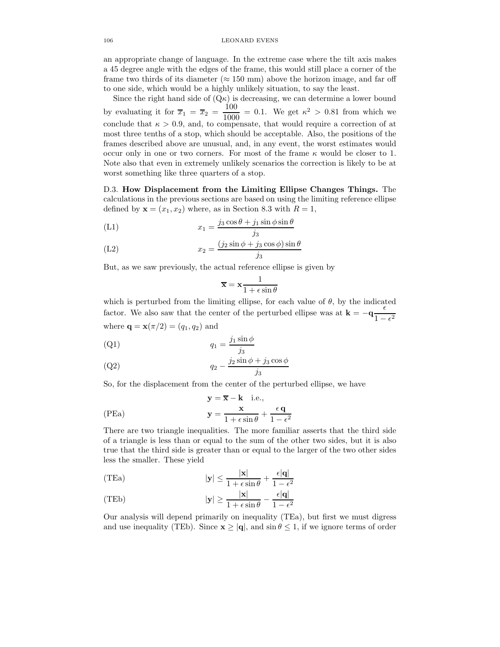an appropriate change of language. In the extreme case where the tilt axis makes a 45 degree angle with the edges of the frame, this would still place a corner of the frame two thirds of its diameter ( $\approx 150$  mm) above the horizon image, and far off to one side, which would be a highly unlikely situation, to say the least.

Since the right hand side of  $(Q_K)$  is decreasing, we can determine a lower bound by evaluating it for  $\overline{x}_1 = \overline{x}_2 = \frac{100}{1000}$  $\frac{100}{1000}$  = 0.1. We get  $\kappa^2 > 0.81$  from which we conclude that  $\kappa > 0.9$ , and, to compensate, that would require a correction of at most three tenths of a stop, which should be acceptable. Also, the positions of the frames described above are unusual, and, in any event, the worst estimates would occur only in one or two corners. For most of the frame  $\kappa$  would be closer to 1. Note also that even in extremely unlikely scenarios the correction is likely to be at worst something like three quarters of a stop.

D.3. How Displacement from the Limiting Ellipse Changes Things. The calculations in the previous sections are based on using the limiting reference ellipse defined by  $\mathbf{x} = (x_1, x_2)$  where, as in Section 8.3 with  $R = 1$ ,

$$
(L1) \t\t\t x_1 = \frac{j_3 \cos \theta + j_1 \sin \phi \sin \theta}{j_3}
$$

$$
(L2) \t\t x_2 = \frac{(j_2 \sin \phi + j_3 \cos \phi) \sin \theta}{j_3}
$$

But, as we saw previously, the actual reference ellipse is given by

$$
\overline{\mathbf{x}} = \mathbf{x} \frac{1}{1 + \epsilon \sin \theta}
$$

which is perturbed from the limiting ellipse, for each value of  $\theta$ , by the indicated factor. We also saw that the center of the perturbed ellipse was at  $\mathbf{k} = -\mathbf{q} \frac{\epsilon}{1-\epsilon}$  $1-\epsilon^2$ where  $\mathbf{q} = \mathbf{x}(\pi/2) = (q_1, q_2)$  and

$$
q_1 = \frac{j_1 \sin \phi}{j_3}
$$

$$
(Q2) \t\t q_2 - \frac{j_2 \sin \phi + j_3 \cos \phi}{j_3}
$$

So, for the displacement from the center of the perturbed ellipse, we have

(PEa)  

$$
y = \overline{x} - k \text{ i.e.,}
$$

$$
y = \frac{x}{1 + \epsilon \sin \theta} + \frac{\epsilon q}{1 - \epsilon^2}
$$

There are two triangle inequalities. The more familiar asserts that the third side of a triangle is less than or equal to the sum of the other two sides, but it is also true that the third side is greater than or equal to the larger of the two other sides less the smaller. These yield

(TEa) 
$$
|\mathbf{y}| \le \frac{|\mathbf{x}|}{1 + \epsilon \sin \theta} + \frac{\epsilon |\mathbf{q}|}{1 - \epsilon^2}
$$

(TEb) 
$$
|\mathbf{y}| \ge \frac{|\mathbf{x}|}{1 + \epsilon \sin \theta} - \frac{\epsilon |\mathbf{q}|}{1 - \epsilon^2}
$$

Our analysis will depend primarily on inequality (TEa), but first we must digress and use inequality (TEb). Since  $\mathbf{x} \geq |\mathbf{q}|$ , and  $\sin \theta \leq 1$ , if we ignore terms of order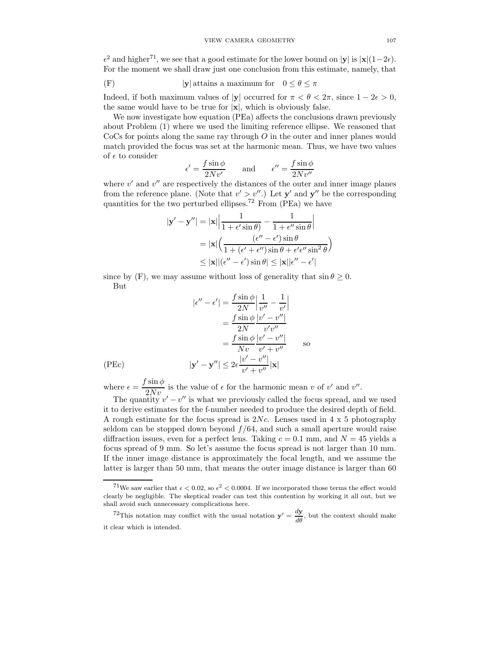$\epsilon^2$  and higher<sup>71</sup>, we see that a good estimate for the lower bound on  $|\mathbf{y}|$  is  $|\mathbf{x}|(1-2\epsilon)$ . For the moment we shall draw just one conclusion from this estimate, namely, that

(F) 
$$
|\mathbf{y}|
$$
 attains a maximum for  $0 \le \theta \le \pi$ 

Indeed, if both maximum values of |y| occurred for  $\pi < \theta < 2\pi$ , since  $1 - 2\epsilon > 0$ , the same would have to be true for  $|x|$ , which is obviously false.

We now investigate how equation (PEa) affects the conclusions drawn previously about Problem (1) where we used the limiting reference ellipse. We reasoned that  $\rm{CoCs}$  for points along the same ray through O in the outer and inner planes would match provided the focus was set at the harmonic mean. Thus, we have two values of  $\epsilon$  to consider

$$
\epsilon' = \frac{f \sin \phi}{2Nv'} \quad \text{and} \quad \epsilon'' = \frac{f \sin \phi}{2Nv''}
$$

where  $v'$  and  $v''$  are respectively the distances of the outer and inner image planes from the reference plane. (Note that  $v' > v''$ .) Let  $y'$  and  $y''$  be the corresponding quantities for the two perturbed ellipses.<sup>72</sup> From (PEa) we have

$$
|\mathbf{y}' - \mathbf{y}''| = |\mathbf{x}| \left| \frac{1}{1 + \epsilon' \sin \theta} - \frac{1}{1 + \epsilon'' \sin \theta} \right|
$$
  
=  $|\mathbf{x}| \left( \frac{(\epsilon'' - \epsilon') \sin \theta}{1 + (\epsilon' + \epsilon'') \sin \theta + \epsilon' \epsilon'' \sin^2 \theta} \right)$   
 $\leq |\mathbf{x}| |(\epsilon'' - \epsilon') \sin \theta| \leq |\mathbf{x}| |\epsilon'' - \epsilon'|$ 

since by (F), we may assume without loss of generality that  $\sin \theta \geq 0$ . But

$$
|\epsilon'' - \epsilon'| = \frac{f \sin \phi}{2N} \left| \frac{1}{v''} - \frac{1}{v'} \right|
$$

$$
= \frac{f \sin \phi}{2N} \frac{|v' - v''|}{v'v''}
$$

$$
= \frac{f \sin \phi}{Nv} \frac{|v' - v''|}{v' + v''}
$$
so  
(PEC)
$$
|\mathbf{y}' - \mathbf{y}''| \le 2\epsilon \frac{|v' - v''|}{v' + v''} |\mathbf{x}|
$$

where  $\epsilon = \frac{f \sin \phi}{g M}$  $\frac{\sin \varphi}{2Nv}$  is the value of  $\epsilon$  for the harmonic mean v of v' and v''.

The quantity  $v' - v''$  is what we previously called the focus spread, and we used it to derive estimates for the f-number needed to produce the desired depth of field. A rough estimate for the focus spread is  $2Nc$ . Lenses used in  $4 \times 5$  photography seldom can be stopped down beyond  $f/64$ , and such a small aperture would raise diffraction issues, even for a perfect lens. Taking  $c = 0.1$  mm, and  $N = 45$  yields a focus spread of 9 mm. So let's assume the focus spread is not larger than 10 mm. If the inner image distance is approximately the focal length, and we assume the latter is larger than 50 mm, that means the outer image distance is larger than 60

<sup>72</sup>This notation may conflict with the usual notation  $y' = \frac{dy}{dx}$  $\frac{d\mathbf{d}}{d\theta}$ , but the context should make it clear which is intended.

<sup>&</sup>lt;sup>71</sup>We saw earlier that  $\epsilon < 0.02$ , so  $\epsilon^2 < 0.0004$ . If we incorporated those terms the effect would clearly be negligible. The skeptical reader can test this contention by working it all out, but we shall avoid such unnecessary complications here.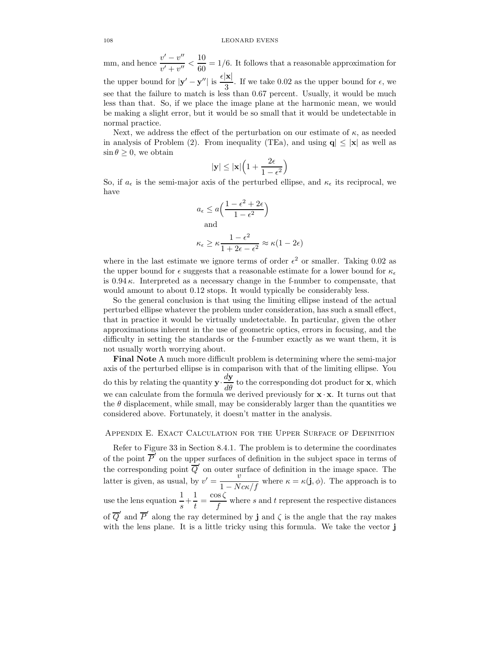mm, and hence  $\frac{v'-v''}{v'-u''}$  $\frac{v'-v''}{v'+v''} < \frac{10}{60}$  $\frac{1}{60}$  = 1/6. It follows that a reasonable approximation for the upper bound for  $|\mathbf{y}' - \mathbf{y}''|$  is  $\frac{\epsilon |\mathbf{x}|}{3}$  $\frac{1}{3}$ . If we take 0.02 as the upper bound for  $\epsilon$ , we see that the failure to match is less than 0.67 percent. Usually, it would be much less than that. So, if we place the image plane at the harmonic mean, we would be making a slight error, but it would be so small that it would be undetectable in normal practice.

Next, we address the effect of the perturbation on our estimate of  $\kappa$ , as needed in analysis of Problem (2). From inequality (TEa), and using  $q \leq |x|$  as well as  $\sin \theta \geq 0$ , we obtain

$$
|\mathbf{y}|\leq |\mathbf{x}|\Big(1+\frac{2\epsilon}{1-\epsilon^2}\Big)
$$

So, if  $a_{\epsilon}$  is the semi-major axis of the perturbed ellipse, and  $\kappa_{\epsilon}$  its reciprocal, we have

$$
a_{\epsilon} \le a \left( \frac{1 - \epsilon^2 + 2\epsilon}{1 - \epsilon^2} \right)
$$
  
and  

$$
\kappa_{\epsilon} \ge \kappa \frac{1 - \epsilon^2}{1 + 2\epsilon - \epsilon^2} \approx \kappa (1 - 2\epsilon)
$$

where in the last estimate we ignore terms of order  $\epsilon^2$  or smaller. Taking 0.02 as the upper bound for  $\epsilon$  suggests that a reasonable estimate for a lower bound for  $\kappa_{\epsilon}$ is  $0.94 \kappa$ . Interpreted as a necessary change in the f-number to compensate, that would amount to about 0.12 stops. It would typically be considerably less.

So the general conclusion is that using the limiting ellipse instead of the actual perturbed ellipse whatever the problem under consideration, has such a small effect, that in practice it would be virtually undetectable. In particular, given the other approximations inherent in the use of geometric optics, errors in focusing, and the difficulty in setting the standards or the f-number exactly as we want them, it is not usually worth worrying about.

Final Note A much more difficult problem is determining where the semi-major axis of the perturbed ellipse is in comparison with that of the limiting ellipse. You do this by relating the quantity  $y \frac{dy}{d\theta}$  to the corresponding dot product for x, which we can calculate from the formula we derived previously for  $\mathbf{x} \cdot \mathbf{x}$ . It turns out that the  $\theta$  displacement, while small, may be considerably larger than the quantities we considered above. Fortunately, it doesn't matter in the analysis.

# Appendix E. Exact Calculation for the Upper Surface of Definition

Refer to Figure 33 in Section 8.4.1. The problem is to determine the coordinates of the point  $\overline{P}'$  on the upper surfaces of definition in the subject space in terms of the corresponding point  $\overline{Q}'$  on outer surface of definition in the image space. The latter is given, as usual, by  $v' = \frac{v}{1 - Nc\kappa/f}$  where  $\kappa = \kappa(\mathbf{j}, \phi)$ . The approach is to use the lens equation  $\frac{1}{s} + \frac{1}{t}$  $\frac{1}{t} = \frac{\cos \zeta}{f}$  $\frac{\partial S}{\partial f}$  where s and t represent the respective distances of  $\overline{Q}'$  and  $\overline{P}'$  along the ray determined by **j** and  $\zeta$  is the angle that the ray makes with the lens plane. It is a little tricky using this formula. We take the vector j